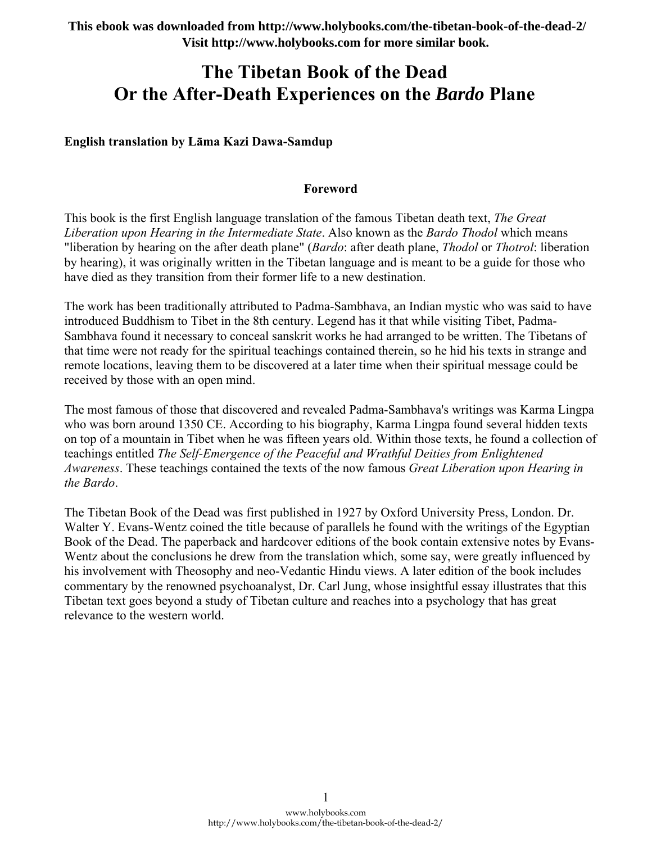**This ebook was downloaded from<http://www.holybooks.com/the-tibetan-book-of-the-dead-2/> Visit<http://www.holybooks.com> for more similar book.**

# **The Tibetan Book of the Dead Or the After-Death Experiences on the** *Bardo* **Plane**

### **English translation by Lāma Kazi Dawa-Samdup**

#### **Foreword**

This book is the first English language translation of the famous Tibetan death text, *The Great Liberation upon Hearing in the Intermediate State*. Also known as the *Bardo Thodol* which means "liberation by hearing on the after death plane" (*Bardo*: after death plane, *Thodol* or *Thotrol*: liberation by hearing), it was originally written in the Tibetan language and is meant to be a guide for those who have died as they transition from their former life to a new destination.

The work has been traditionally attributed to Padma-Sambhava, an Indian mystic who was said to have introduced Buddhism to Tibet in the 8th century. Legend has it that while visiting Tibet, Padma-Sambhava found it necessary to conceal sanskrit works he had arranged to be written. The Tibetans of that time were not ready for the spiritual teachings contained therein, so he hid his texts in strange and remote locations, leaving them to be discovered at a later time when their spiritual message could be received by those with an open mind.

The most famous of those that discovered and revealed Padma-Sambhava's writings was Karma Lingpa who was born around 1350 CE. According to his biography, Karma Lingpa found several hidden texts on top of a mountain in Tibet when he was fifteen years old. Within those texts, he found a collection of teachings entitled *The Self-Emergence of the Peaceful and Wrathful Deities from Enlightened Awareness*. These teachings contained the texts of the now famous *Great Liberation upon Hearing in the Bardo*.

The Tibetan Book of the Dead was first published in 1927 by Oxford University Press, London. Dr. Walter Y. Evans-Wentz coined the title because of parallels he found with the writings of the Egyptian Book of the Dead. The paperback and hardcover editions of the book contain extensive notes by Evans-Wentz about the conclusions he drew from the translation which, some say, were greatly influenced by his involvement with Theosophy and neo-Vedantic Hindu views. A later edition of the book includes commentary by the renowned psychoanalyst, Dr. Carl Jung, whose insightful essay illustrates that this Tibetan text goes beyond a study of Tibetan culture and reaches into a psychology that has great relevance to the western world.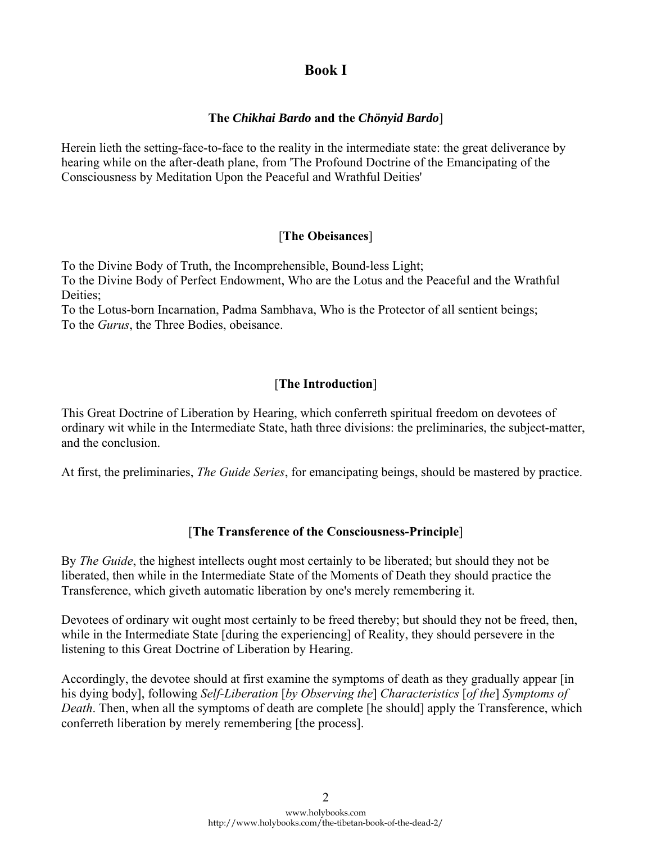# **Book I**

### **The** *Chikhai Bardo* **and the** *Chönyid Bardo*]

Herein lieth the setting-face-to-face to the reality in the intermediate state: the great deliverance by hearing while on the after-death plane, from 'The Profound Doctrine of the Emancipating of the Consciousness by Meditation Upon the Peaceful and Wrathful Deities'

# [**The Obeisances**]

To the Divine Body of Truth, the Incomprehensible, Bound-less Light; To the Divine Body of Perfect Endowment, Who are the Lotus and the Peaceful and the Wrathful Deities:

To the Lotus-born Incarnation, Padma Sambhava, Who is the Protector of all sentient beings; To the *Gurus*, the Three Bodies, obeisance.

# [**The Introduction**]

This Great Doctrine of Liberation by Hearing, which conferreth spiritual freedom on devotees of ordinary wit while in the Intermediate State, hath three divisions: the preliminaries, the subject-matter, and the conclusion.

At first, the preliminaries, *The Guide Series*, for emancipating beings, should be mastered by practice.

# [**The Transference of the Consciousness-Principle**]

By *The Guide*, the highest intellects ought most certainly to be liberated; but should they not be liberated, then while in the Intermediate State of the Moments of Death they should practice the Transference, which giveth automatic liberation by one's merely remembering it.

Devotees of ordinary wit ought most certainly to be freed thereby; but should they not be freed, then, while in the Intermediate State [during the experiencing] of Reality, they should persevere in the listening to this Great Doctrine of Liberation by Hearing.

Accordingly, the devotee should at first examine the symptoms of death as they gradually appear [in his dying body], following *Self-Liberation* [*by Observing the*] *Characteristics* [*of the*] *Symptoms of Death*. Then, when all the symptoms of death are complete [he should] apply the Transference, which conferreth liberation by merely remembering [the process].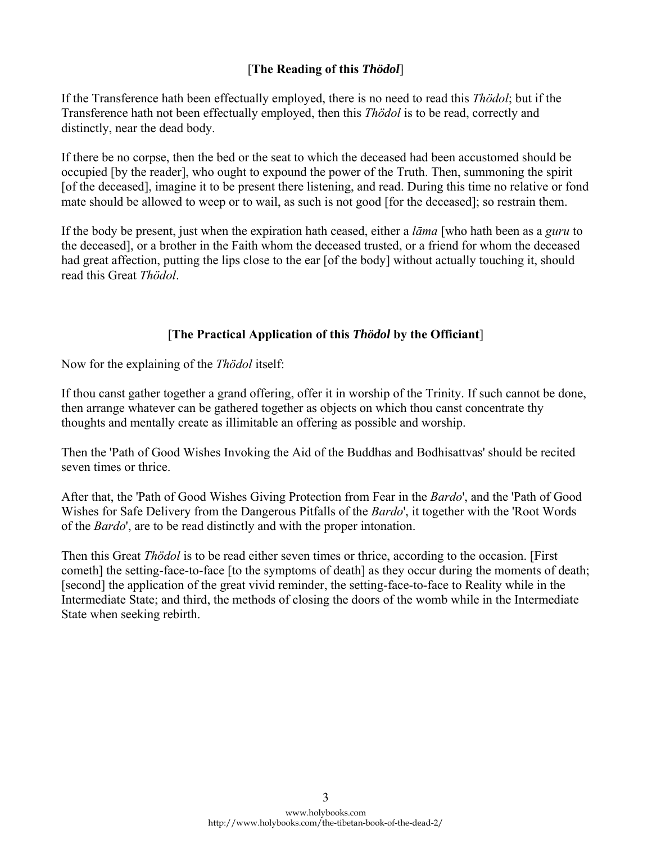# [**The Reading of this** *Thödol*]

If the Transference hath been effectually employed, there is no need to read this *Thödol*; but if the Transference hath not been effectually employed, then this *Thödol* is to be read, correctly and distinctly, near the dead body.

If there be no corpse, then the bed or the seat to which the deceased had been accustomed should be occupied [by the reader], who ought to expound the power of the Truth. Then, summoning the spirit [of the deceased], imagine it to be present there listening, and read. During this time no relative or fond mate should be allowed to weep or to wail, as such is not good [for the deceased]; so restrain them.

If the body be present, just when the expiration hath ceased, either a *lāma* [who hath been as a *guru* to the deceased], or a brother in the Faith whom the deceased trusted, or a friend for whom the deceased had great affection, putting the lips close to the ear [of the body] without actually touching it, should read this Great *Thödol*.

# [**The Practical Application of this** *Thödol* **by the Officiant**]

Now for the explaining of the *Thödol* itself:

If thou canst gather together a grand offering, offer it in worship of the Trinity. If such cannot be done, then arrange whatever can be gathered together as objects on which thou canst concentrate thy thoughts and mentally create as illimitable an offering as possible and worship.

Then the 'Path of Good Wishes Invoking the Aid of the Buddhas and Bodhisattvas' should be recited seven times or thrice.

After that, the 'Path of Good Wishes Giving Protection from Fear in the *Bardo*', and the 'Path of Good Wishes for Safe Delivery from the Dangerous Pitfalls of the *Bardo*', it together with the 'Root Words of the *Bardo*', are to be read distinctly and with the proper intonation.

Then this Great *Thödol* is to be read either seven times or thrice, according to the occasion. [First cometh] the setting-face-to-face [to the symptoms of death] as they occur during the moments of death; [second] the application of the great vivid reminder, the setting-face-to-face to Reality while in the Intermediate State; and third, the methods of closing the doors of the womb while in the Intermediate State when seeking rebirth.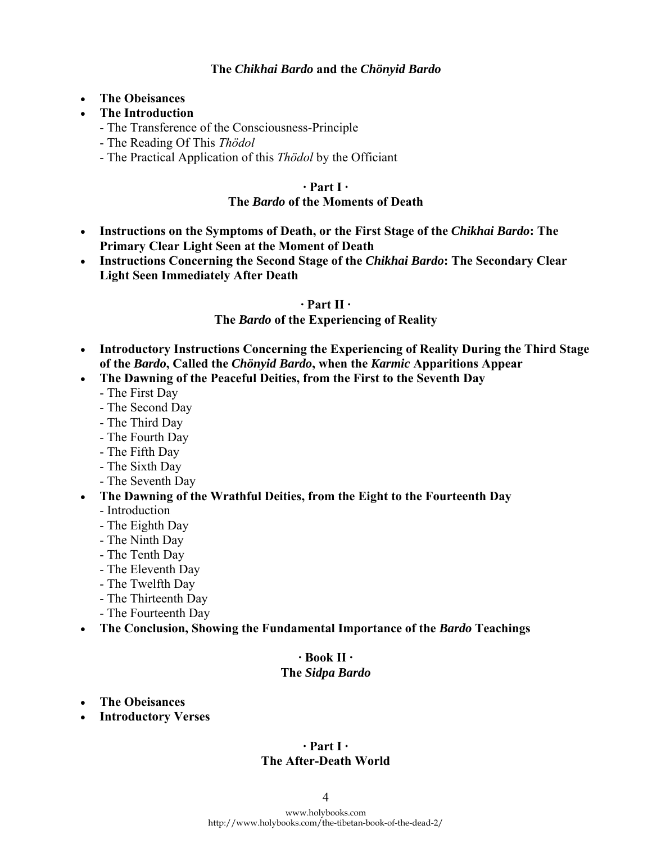#### **The** *Chikhai Bardo* **and the** *Chönyid Bardo*

- **The Obeisances**
- **The Introduction**
	- The Transference of the Consciousness-Principle
	- The Reading Of This *Thödol*
	- The Practical Application of this *Thödol* by the Officiant

### **· Part I ·**

#### **The** *Bardo* **of the Moments of Death**

- Instructions on the Symptoms of Death, or the First Stage of the *Chikhai Bardo*: The **Primary Clear Light Seen at the Moment of Death**
- **Instructions Concerning the Second Stage of the** *Chikhai Bardo***: The Secondary Clear Light Seen Immediately After Death**

#### **· Part II ·**

#### **The** *Bardo* **of the Experiencing of Reality**

- **Introductory Instructions Concerning the Experiencing of Reality During the Third Stage of the** *Bardo***, Called the** *Chönyid Bardo***, when the** *Karmic* **Apparitions Appear**
- **The Dawning of the Peaceful Deities, from the First to the Seventh Day**
	- The First Day
	- The Second Day
	- The Third Day
	- The Fourth Day
	- The Fifth Day
	- The Sixth Day
	- The Seventh Day

# • **The Dawning of the Wrathful Deities, from the Eight to the Fourteenth Day**

- Introduction
- The Eighth Day
- The Ninth Day
- The Tenth Day
- The Eleventh Day
- The Twelfth Day
- The Thirteenth Day
- The Fourteenth Day

• **The Conclusion, Showing the Fundamental Importance of the** *Bardo* **Teachings**

### **· Book II ·**

### **The** *Sidpa Bardo*

- **The Obeisances**
- **Introductory Verses**

# **· Part I ·**

#### **The After-Death World**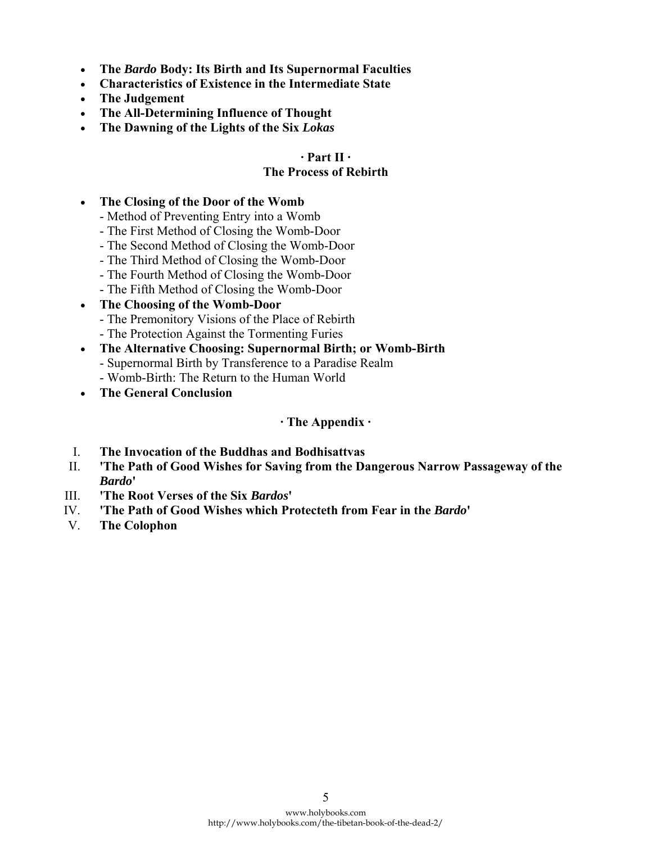- **The** *Bardo* **Body: Its Birth and Its Supernormal Faculties**
- **Characteristics of Existence in the Intermediate State**
- **The Judgement**
- **The All-Determining Influence of Thought**
- **The Dawning of the Lights of the Six** *Lokas*

### **· Part II · The Process of Rebirth**

### • **The Closing of the Door of the Womb**

- Method of Preventing Entry into a Womb
- The First Method of Closing the Womb-Door
- The Second Method of Closing the Womb-Door
- The Third Method of Closing the Womb-Door
- The Fourth Method of Closing the Womb-Door
- The Fifth Method of Closing the Womb-Door
- **The Choosing of the Womb-Door**
	- The Premonitory Visions of the Place of Rebirth
	- The Protection Against the Tormenting Furies
- **The Alternative Choosing: Supernormal Birth; or Womb-Birth** - Supernormal Birth by Transference to a Paradise Realm
	- Womb-Birth: The Return to the Human World
- **The General Conclusion**

### **· The Appendix ·**

- I. **The Invocation of the Buddhas and Bodhisattvas**
- II. **'The Path of Good Wishes for Saving from the Dangerous Narrow Passageway of the**  *Bardo***'**
- III. **'The Root Verses of the Six** *Bardos***'**
- IV. **'The Path of Good Wishes which Protecteth from Fear in the** *Bardo***'**
- V. **The Colophon**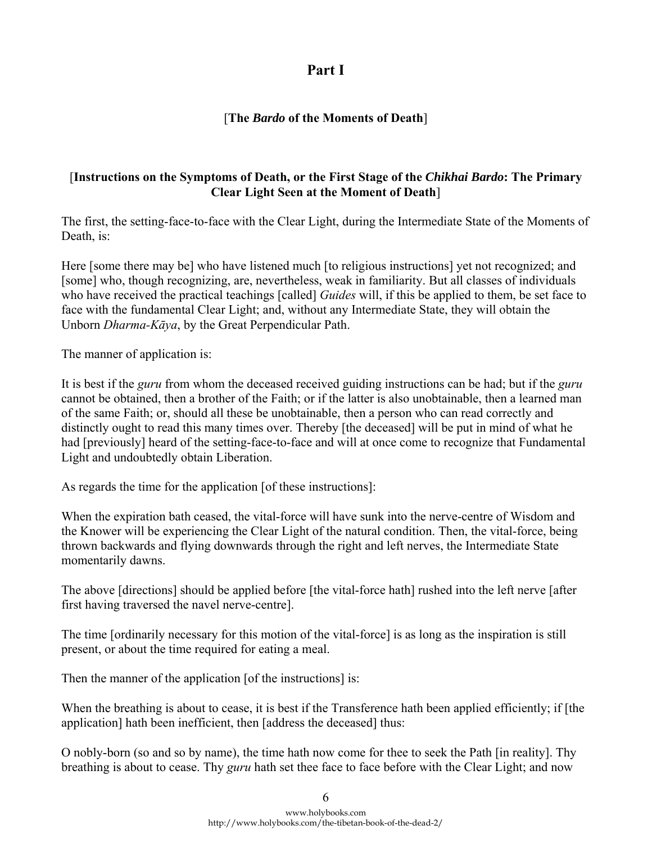# **Part I**

# [**The** *Bardo* **of the Moments of Death**]

### [**Instructions on the Symptoms of Death, or the First Stage of the** *Chikhai Bardo***: The Primary Clear Light Seen at the Moment of Death**]

The first, the setting-face-to-face with the Clear Light, during the Intermediate State of the Moments of Death, is:

Here [some there may be] who have listened much [to religious instructions] yet not recognized; and [some] who, though recognizing, are, nevertheless, weak in familiarity. But all classes of individuals who have received the practical teachings [called] *Guides* will, if this be applied to them, be set face to face with the fundamental Clear Light; and, without any Intermediate State, they will obtain the Unborn *Dharma-Kāya*, by the Great Perpendicular Path.

The manner of application is:

It is best if the *guru* from whom the deceased received guiding instructions can be had; but if the *guru* cannot be obtained, then a brother of the Faith; or if the latter is also unobtainable, then a learned man of the same Faith; or, should all these be unobtainable, then a person who can read correctly and distinctly ought to read this many times over. Thereby [the deceased] will be put in mind of what he had [previously] heard of the setting-face-to-face and will at once come to recognize that Fundamental Light and undoubtedly obtain Liberation.

As regards the time for the application [of these instructions]:

When the expiration bath ceased, the vital-force will have sunk into the nerve-centre of Wisdom and the Knower will be experiencing the Clear Light of the natural condition. Then, the vital-force, being thrown backwards and flying downwards through the right and left nerves, the Intermediate State momentarily dawns.

The above [directions] should be applied before [the vital-force hath] rushed into the left nerve [after first having traversed the navel nerve-centre].

The time [ordinarily necessary for this motion of the vital-force] is as long as the inspiration is still present, or about the time required for eating a meal.

Then the manner of the application [of the instructions] is:

When the breathing is about to cease, it is best if the Transference hath been applied efficiently; if [the application] hath been inefficient, then [address the deceased] thus:

O nobly-born (so and so by name), the time hath now come for thee to seek the Path [in reality]. Thy breathing is about to cease. Thy *guru* hath set thee face to face before with the Clear Light; and now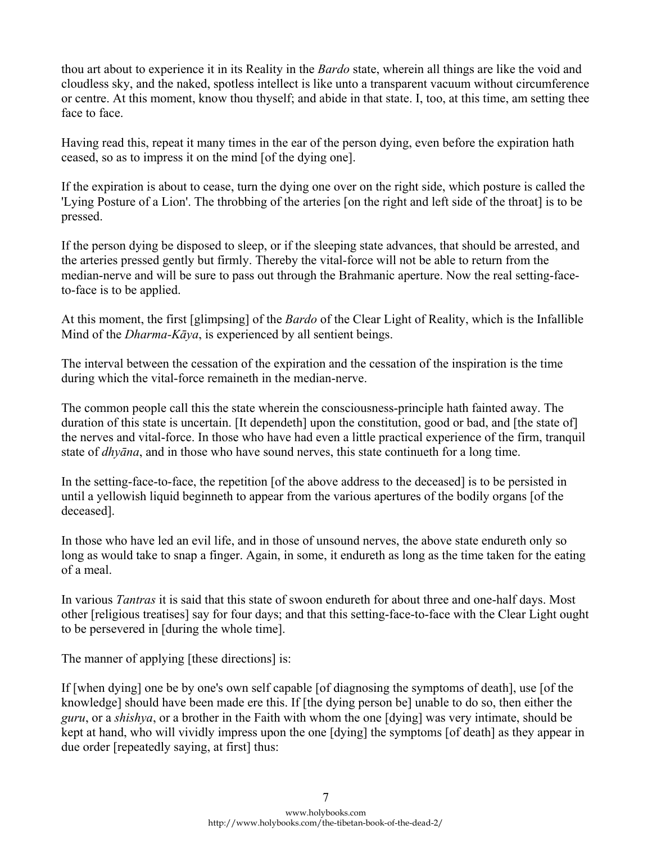thou art about to experience it in its Reality in the *Bardo* state, wherein all things are like the void and cloudless sky, and the naked, spotless intellect is like unto a transparent vacuum without circumference or centre. At this moment, know thou thyself; and abide in that state. I, too, at this time, am setting thee face to face.

Having read this, repeat it many times in the ear of the person dying, even before the expiration hath ceased, so as to impress it on the mind [of the dying one].

If the expiration is about to cease, turn the dying one over on the right side, which posture is called the 'Lying Posture of a Lion'. The throbbing of the arteries [on the right and left side of the throat] is to be pressed.

If the person dying be disposed to sleep, or if the sleeping state advances, that should be arrested, and the arteries pressed gently but firmly. Thereby the vital-force will not be able to return from the median-nerve and will be sure to pass out through the Brahmanic aperture. Now the real setting-faceto-face is to be applied.

At this moment, the first [glimpsing] of the *Bardo* of the Clear Light of Reality, which is the Infallible Mind of the *Dharma-Kāya*, is experienced by all sentient beings.

The interval between the cessation of the expiration and the cessation of the inspiration is the time during which the vital-force remaineth in the median-nerve.

The common people call this the state wherein the consciousness-principle hath fainted away. The duration of this state is uncertain. [It dependeth] upon the constitution, good or bad, and [the state of] the nerves and vital-force. In those who have had even a little practical experience of the firm, tranquil state of *dhyāna*, and in those who have sound nerves, this state continueth for a long time.

In the setting-face-to-face, the repetition [of the above address to the deceased] is to be persisted in until a yellowish liquid beginneth to appear from the various apertures of the bodily organs [of the deceased].

In those who have led an evil life, and in those of unsound nerves, the above state endureth only so long as would take to snap a finger. Again, in some, it endureth as long as the time taken for the eating of a meal.

In various *Tantras* it is said that this state of swoon endureth for about three and one-half days. Most other [religious treatises] say for four days; and that this setting-face-to-face with the Clear Light ought to be persevered in [during the whole time].

The manner of applying [these directions] is:

If [when dying] one be by one's own self capable [of diagnosing the symptoms of death], use [of the knowledge] should have been made ere this. If [the dying person be] unable to do so, then either the *guru*, or a *shishya*, or a brother in the Faith with whom the one [dying] was very intimate, should be kept at hand, who will vividly impress upon the one [dying] the symptoms [of death] as they appear in due order [repeatedly saying, at first] thus: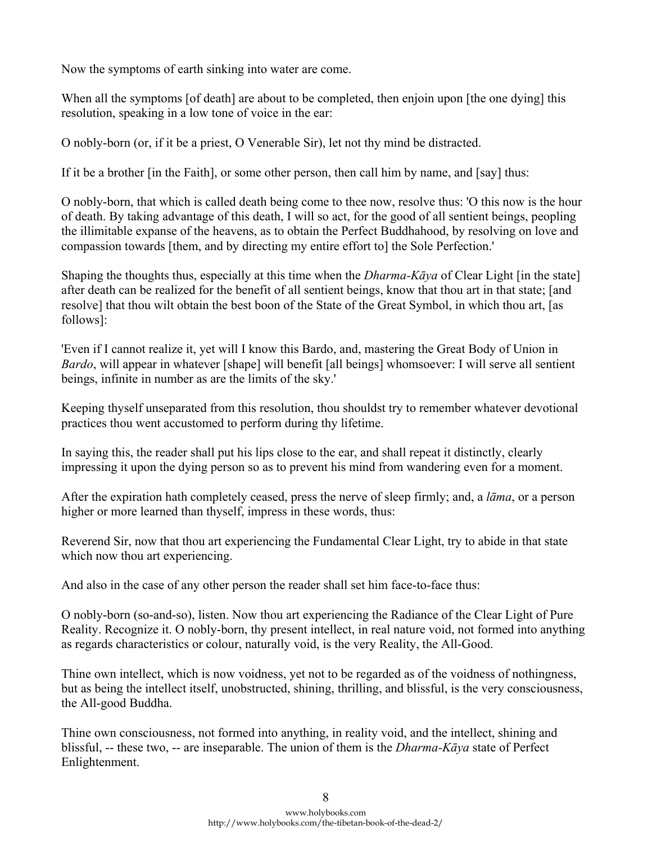Now the symptoms of earth sinking into water are come.

When all the symptoms [of death] are about to be completed, then enjoin upon [the one dying] this resolution, speaking in a low tone of voice in the ear:

O nobly-born (or, if it be a priest, O Venerable Sir), let not thy mind be distracted.

If it be a brother [in the Faith], or some other person, then call him by name, and [say] thus:

O nobly-born, that which is called death being come to thee now, resolve thus: 'O this now is the hour of death. By taking advantage of this death, I will so act, for the good of all sentient beings, peopling the illimitable expanse of the heavens, as to obtain the Perfect Buddhahood, by resolving on love and compassion towards [them, and by directing my entire effort to] the Sole Perfection.'

Shaping the thoughts thus, especially at this time when the *Dharma-Kāya* of Clear Light [in the state] after death can be realized for the benefit of all sentient beings, know that thou art in that state; [and resolve] that thou wilt obtain the best boon of the State of the Great Symbol, in which thou art, [as follows]:

'Even if I cannot realize it, yet will I know this Bardo, and, mastering the Great Body of Union in *Bardo*, will appear in whatever [shape] will benefit [all beings] whomsoever: I will serve all sentient beings, infinite in number as are the limits of the sky.'

Keeping thyself unseparated from this resolution, thou shouldst try to remember whatever devotional practices thou went accustomed to perform during thy lifetime.

In saying this, the reader shall put his lips close to the ear, and shall repeat it distinctly, clearly impressing it upon the dying person so as to prevent his mind from wandering even for a moment.

After the expiration hath completely ceased, press the nerve of sleep firmly; and, a *lāma*, or a person higher or more learned than thyself, impress in these words, thus:

Reverend Sir, now that thou art experiencing the Fundamental Clear Light, try to abide in that state which now thou art experiencing.

And also in the case of any other person the reader shall set him face-to-face thus:

O nobly-born (so-and-so), listen. Now thou art experiencing the Radiance of the Clear Light of Pure Reality. Recognize it. O nobly-born, thy present intellect, in real nature void, not formed into anything as regards characteristics or colour, naturally void, is the very Reality, the All-Good.

Thine own intellect, which is now voidness, yet not to be regarded as of the voidness of nothingness, but as being the intellect itself, unobstructed, shining, thrilling, and blissful, is the very consciousness, the All-good Buddha.

Thine own consciousness, not formed into anything, in reality void, and the intellect, shining and blissful, -- these two, -- are inseparable. The union of them is the *Dharma-Kāya* state of Perfect Enlightenment.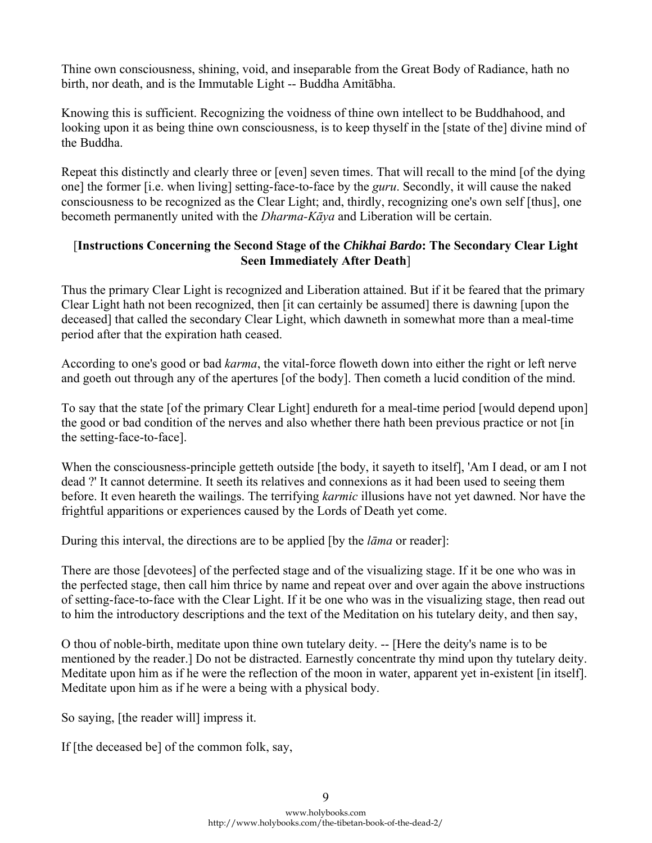Thine own consciousness, shining, void, and inseparable from the Great Body of Radiance, hath no birth, nor death, and is the Immutable Light -- Buddha Amitābha.

Knowing this is sufficient. Recognizing the voidness of thine own intellect to be Buddhahood, and looking upon it as being thine own consciousness, is to keep thyself in the [state of the] divine mind of the Buddha.

Repeat this distinctly and clearly three or [even] seven times. That will recall to the mind [of the dying one] the former [i.e. when living] setting-face-to-face by the *guru*. Secondly, it will cause the naked consciousness to be recognized as the Clear Light; and, thirdly, recognizing one's own self [thus], one becometh permanently united with the *Dharma-Kāya* and Liberation will be certain.

# [**Instructions Concerning the Second Stage of the** *Chikhai Bardo***: The Secondary Clear Light Seen Immediately After Death**]

Thus the primary Clear Light is recognized and Liberation attained. But if it be feared that the primary Clear Light hath not been recognized, then [it can certainly be assumed] there is dawning [upon the deceased] that called the secondary Clear Light, which dawneth in somewhat more than a meal-time period after that the expiration hath ceased.

According to one's good or bad *karma*, the vital-force floweth down into either the right or left nerve and goeth out through any of the apertures [of the body]. Then cometh a lucid condition of the mind.

To say that the state [of the primary Clear Light] endureth for a meal-time period [would depend upon] the good or bad condition of the nerves and also whether there hath been previous practice or not [in the setting-face-to-face].

When the consciousness-principle getteth outside [the body, it sayeth to itself], 'Am I dead, or am I not dead ?' It cannot determine. It seeth its relatives and connexions as it had been used to seeing them before. It even heareth the wailings. The terrifying *karmic* illusions have not yet dawned. Nor have the frightful apparitions or experiences caused by the Lords of Death yet come.

During this interval, the directions are to be applied [by the *lāma* or reader]:

There are those [devotees] of the perfected stage and of the visualizing stage. If it be one who was in the perfected stage, then call him thrice by name and repeat over and over again the above instructions of setting-face-to-face with the Clear Light. If it be one who was in the visualizing stage, then read out to him the introductory descriptions and the text of the Meditation on his tutelary deity, and then say,

O thou of noble-birth, meditate upon thine own tutelary deity. -- [Here the deity's name is to be mentioned by the reader.] Do not be distracted. Earnestly concentrate thy mind upon thy tutelary deity. Meditate upon him as if he were the reflection of the moon in water, apparent yet in-existent [in itself]. Meditate upon him as if he were a being with a physical body.

So saying, [the reader will] impress it.

If [the deceased be] of the common folk, say,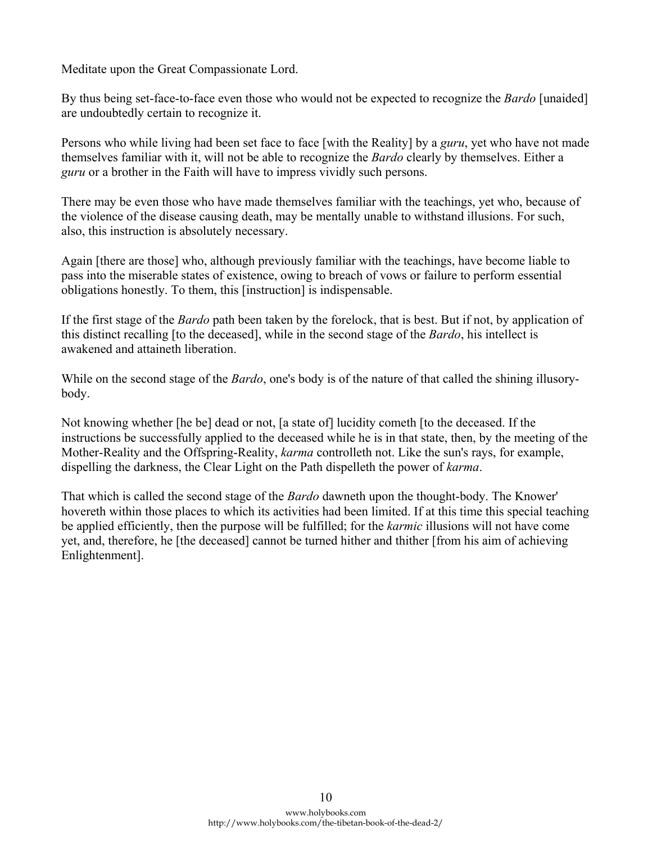Meditate upon the Great Compassionate Lord.

By thus being set-face-to-face even those who would not be expected to recognize the *Bardo* [unaided] are undoubtedly certain to recognize it.

Persons who while living had been set face to face [with the Reality] by a *guru*, yet who have not made themselves familiar with it, will not be able to recognize the *Bardo* clearly by themselves. Either a *guru* or a brother in the Faith will have to impress vividly such persons.

There may be even those who have made themselves familiar with the teachings, yet who, because of the violence of the disease causing death, may be mentally unable to withstand illusions. For such, also, this instruction is absolutely necessary.

Again [there are those] who, although previously familiar with the teachings, have become liable to pass into the miserable states of existence, owing to breach of vows or failure to perform essential obligations honestly. To them, this [instruction] is indispensable.

If the first stage of the *Bardo* path been taken by the forelock, that is best. But if not, by application of this distinct recalling [to the deceased], while in the second stage of the *Bardo*, his intellect is awakened and attaineth liberation.

While on the second stage of the *Bardo*, one's body is of the nature of that called the shining illusorybody.

Not knowing whether [he be] dead or not, [a state of] lucidity cometh [to the deceased. If the instructions be successfully applied to the deceased while he is in that state, then, by the meeting of the Mother-Reality and the Offspring-Reality, *karma* controlleth not. Like the sun's rays, for example, dispelling the darkness, the Clear Light on the Path dispelleth the power of *karma*.

That which is called the second stage of the *Bardo* dawneth upon the thought-body. The Knower' hovereth within those places to which its activities had been limited. If at this time this special teaching be applied efficiently, then the purpose will be fulfilled; for the *karmic* illusions will not have come yet, and, therefore, he [the deceased] cannot be turned hither and thither [from his aim of achieving Enlightenment].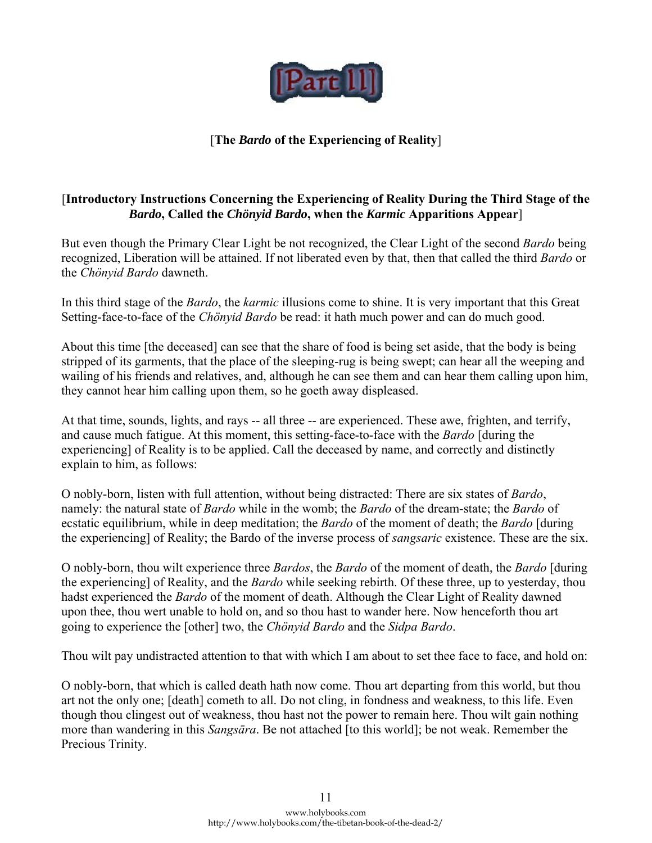

# [**The** *Bardo* **of the Experiencing of Reality**]

# [**Introductory Instructions Concerning the Experiencing of Reality During the Third Stage of the**  *Bardo***, Called the** *Chönyid Bardo***, when the** *Karmic* **Apparitions Appear**]

But even though the Primary Clear Light be not recognized, the Clear Light of the second *Bardo* being recognized, Liberation will be attained. If not liberated even by that, then that called the third *Bardo* or the *Chönyid Bardo* dawneth.

In this third stage of the *Bardo*, the *karmic* illusions come to shine. It is very important that this Great Setting-face-to-face of the *Chönyid Bardo* be read: it hath much power and can do much good.

About this time [the deceased] can see that the share of food is being set aside, that the body is being stripped of its garments, that the place of the sleeping-rug is being swept; can hear all the weeping and wailing of his friends and relatives, and, although he can see them and can hear them calling upon him, they cannot hear him calling upon them, so he goeth away displeased.

At that time, sounds, lights, and rays -- all three -- are experienced. These awe, frighten, and terrify, and cause much fatigue. At this moment, this setting-face-to-face with the *Bardo* [during the experiencing] of Reality is to be applied. Call the deceased by name, and correctly and distinctly explain to him, as follows:

O nobly-born, listen with full attention, without being distracted: There are six states of *Bardo*, namely: the natural state of *Bardo* while in the womb; the *Bardo* of the dream-state; the *Bardo* of ecstatic equilibrium, while in deep meditation; the *Bardo* of the moment of death; the *Bardo* [during the experiencing] of Reality; the Bardo of the inverse process of *sangsaric* existence. These are the six.

O nobly-born, thou wilt experience three *Bardos*, the *Bardo* of the moment of death, the *Bardo* [during the experiencing] of Reality, and the *Bardo* while seeking rebirth. Of these three, up to yesterday, thou hadst experienced the *Bardo* of the moment of death. Although the Clear Light of Reality dawned upon thee, thou wert unable to hold on, and so thou hast to wander here. Now henceforth thou art going to experience the [other] two, the *Chönyid Bardo* and the *Sidpa Bardo*.

Thou wilt pay undistracted attention to that with which I am about to set thee face to face, and hold on:

O nobly-born, that which is called death hath now come. Thou art departing from this world, but thou art not the only one; [death] cometh to all. Do not cling, in fondness and weakness, to this life. Even though thou clingest out of weakness, thou hast not the power to remain here. Thou wilt gain nothing more than wandering in this *Sangsāra*. Be not attached [to this world]; be not weak. Remember the Precious Trinity.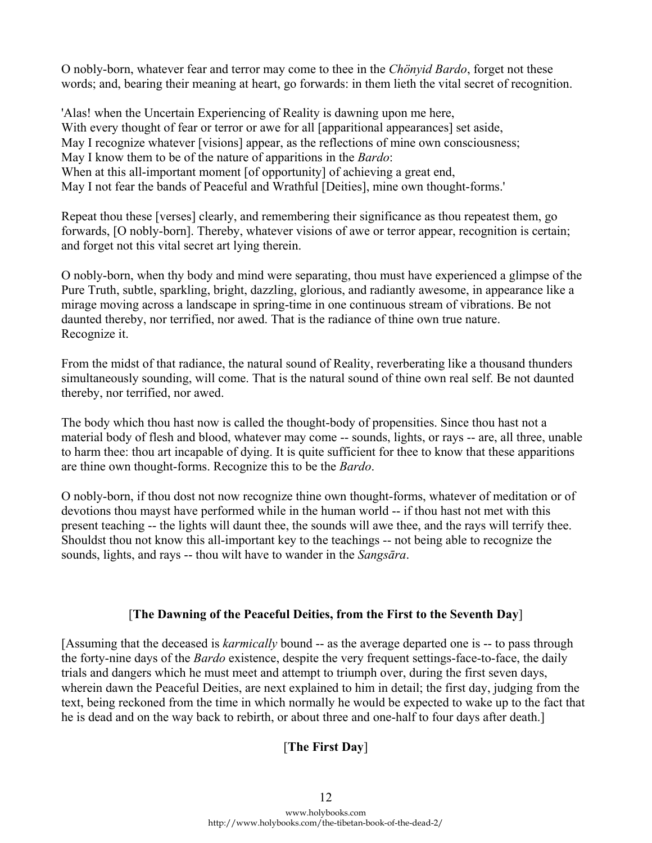O nobly-born, whatever fear and terror may come to thee in the *Chönyid Bardo*, forget not these words; and, bearing their meaning at heart, go forwards: in them lieth the vital secret of recognition.

'Alas! when the Uncertain Experiencing of Reality is dawning upon me here, With every thought of fear or terror or awe for all [apparitional appearances] set aside, May I recognize whatever [visions] appear, as the reflections of mine own consciousness; May I know them to be of the nature of apparitions in the *Bardo*: When at this all-important moment [of opportunity] of achieving a great end, May I not fear the bands of Peaceful and Wrathful [Deities], mine own thought-forms.'

Repeat thou these [verses] clearly, and remembering their significance as thou repeatest them, go forwards, [O nobly-born]. Thereby, whatever visions of awe or terror appear, recognition is certain; and forget not this vital secret art lying therein.

O nobly-born, when thy body and mind were separating, thou must have experienced a glimpse of the Pure Truth, subtle, sparkling, bright, dazzling, glorious, and radiantly awesome, in appearance like a mirage moving across a landscape in spring-time in one continuous stream of vibrations. Be not daunted thereby, nor terrified, nor awed. That is the radiance of thine own true nature. Recognize it.

From the midst of that radiance, the natural sound of Reality, reverberating like a thousand thunders simultaneously sounding, will come. That is the natural sound of thine own real self. Be not daunted thereby, nor terrified, nor awed.

The body which thou hast now is called the thought-body of propensities. Since thou hast not a material body of flesh and blood, whatever may come -- sounds, lights, or rays -- are, all three, unable to harm thee: thou art incapable of dying. It is quite sufficient for thee to know that these apparitions are thine own thought-forms. Recognize this to be the *Bardo*.

O nobly-born, if thou dost not now recognize thine own thought-forms, whatever of meditation or of devotions thou mayst have performed while in the human world -- if thou hast not met with this present teaching -- the lights will daunt thee, the sounds will awe thee, and the rays will terrify thee. Shouldst thou not know this all-important key to the teachings -- not being able to recognize the sounds, lights, and rays -- thou wilt have to wander in the *Sangsāra*.

### [**The Dawning of the Peaceful Deities, from the First to the Seventh Day**]

[Assuming that the deceased is *karmically* bound -- as the average departed one is -- to pass through the forty-nine days of the *Bardo* existence, despite the very frequent settings-face-to-face, the daily trials and dangers which he must meet and attempt to triumph over, during the first seven days, wherein dawn the Peaceful Deities, are next explained to him in detail; the first day, judging from the text, being reckoned from the time in which normally he would be expected to wake up to the fact that he is dead and on the way back to rebirth, or about three and one-half to four days after death.]

#### [**The First Day**]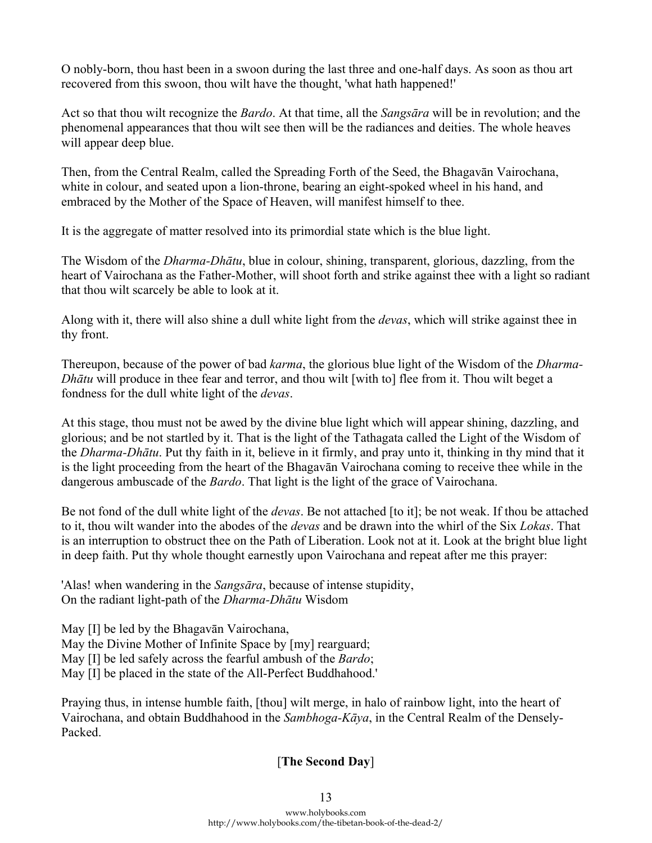O nobly-born, thou hast been in a swoon during the last three and one-half days. As soon as thou art recovered from this swoon, thou wilt have the thought, 'what hath happened!'

Act so that thou wilt recognize the *Bardo*. At that time, all the *Sangsāra* will be in revolution; and the phenomenal appearances that thou wilt see then will be the radiances and deities. The whole heaves will appear deep blue.

Then, from the Central Realm, called the Spreading Forth of the Seed, the Bhagavān Vairochana, white in colour, and seated upon a lion-throne, bearing an eight-spoked wheel in his hand, and embraced by the Mother of the Space of Heaven, will manifest himself to thee.

It is the aggregate of matter resolved into its primordial state which is the blue light.

The Wisdom of the *Dharma-Dhātu*, blue in colour, shining, transparent, glorious, dazzling, from the heart of Vairochana as the Father-Mother, will shoot forth and strike against thee with a light so radiant that thou wilt scarcely be able to look at it.

Along with it, there will also shine a dull white light from the *devas*, which will strike against thee in thy front.

Thereupon, because of the power of bad *karma*, the glorious blue light of the Wisdom of the *Dharma-Dhātu* will produce in thee fear and terror, and thou wilt [with to] flee from it. Thou wilt beget a fondness for the dull white light of the *devas*.

At this stage, thou must not be awed by the divine blue light which will appear shining, dazzling, and glorious; and be not startled by it. That is the light of the Tathagata called the Light of the Wisdom of the *Dharma-Dhātu*. Put thy faith in it, believe in it firmly, and pray unto it, thinking in thy mind that it is the light proceeding from the heart of the Bhagavān Vairochana coming to receive thee while in the dangerous ambuscade of the *Bardo*. That light is the light of the grace of Vairochana.

Be not fond of the dull white light of the *devas*. Be not attached [to it]; be not weak. If thou be attached to it, thou wilt wander into the abodes of the *devas* and be drawn into the whirl of the Six *Lokas*. That is an interruption to obstruct thee on the Path of Liberation. Look not at it. Look at the bright blue light in deep faith. Put thy whole thought earnestly upon Vairochana and repeat after me this prayer:

'Alas! when wandering in the *Sangsāra*, because of intense stupidity, On the radiant light-path of the *Dharma-Dhātu* Wisdom

May [I] be led by the Bhagavān Vairochana, May the Divine Mother of Infinite Space by [my] rearguard; May [I] be led safely across the fearful ambush of the *Bardo*; May [I] be placed in the state of the All-Perfect Buddhahood.'

Praying thus, in intense humble faith, [thou] wilt merge, in halo of rainbow light, into the heart of Vairochana, and obtain Buddhahood in the *Sambhoga-Kāya*, in the Central Realm of the Densely-Packed.

# [**The Second Day**]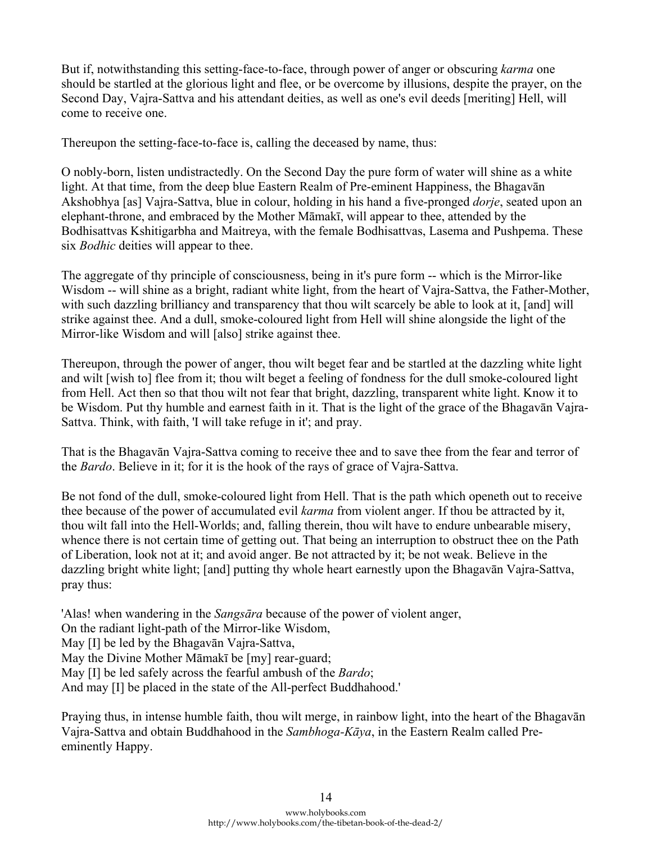But if, notwithstanding this setting-face-to-face, through power of anger or obscuring *karma* one should be startled at the glorious light and flee, or be overcome by illusions, despite the prayer, on the Second Day, Vajra-Sattva and his attendant deities, as well as one's evil deeds [meriting] Hell, will come to receive one.

Thereupon the setting-face-to-face is, calling the deceased by name, thus:

O nobly-born, listen undistractedly. On the Second Day the pure form of water will shine as a white light. At that time, from the deep blue Eastern Realm of Pre-eminent Happiness, the Bhagavān Akshobhya [as] Vajra-Sattva, blue in colour, holding in his hand a five-pronged *dorje*, seated upon an elephant-throne, and embraced by the Mother Māmakī, will appear to thee, attended by the Bodhisattvas Kshitigarbha and Maitreya, with the female Bodhisattvas, Lasema and Pushpema. These six *Bodhic* deities will appear to thee.

The aggregate of thy principle of consciousness, being in it's pure form -- which is the Mirror-like Wisdom -- will shine as a bright, radiant white light, from the heart of Vajra-Sattva, the Father-Mother, with such dazzling brilliancy and transparency that thou wilt scarcely be able to look at it, [and] will strike against thee. And a dull, smoke-coloured light from Hell will shine alongside the light of the Mirror-like Wisdom and will [also] strike against thee.

Thereupon, through the power of anger, thou wilt beget fear and be startled at the dazzling white light and wilt [wish to] flee from it; thou wilt beget a feeling of fondness for the dull smoke-coloured light from Hell. Act then so that thou wilt not fear that bright, dazzling, transparent white light. Know it to be Wisdom. Put thy humble and earnest faith in it. That is the light of the grace of the Bhagavān Vajra-Sattva. Think, with faith, 'I will take refuge in it'; and pray.

That is the Bhagavān Vajra-Sattva coming to receive thee and to save thee from the fear and terror of the *Bardo*. Believe in it; for it is the hook of the rays of grace of Vajra-Sattva.

Be not fond of the dull, smoke-coloured light from Hell. That is the path which openeth out to receive thee because of the power of accumulated evil *karma* from violent anger. If thou be attracted by it, thou wilt fall into the Hell-Worlds; and, falling therein, thou wilt have to endure unbearable misery, whence there is not certain time of getting out. That being an interruption to obstruct thee on the Path of Liberation, look not at it; and avoid anger. Be not attracted by it; be not weak. Believe in the dazzling bright white light; [and] putting thy whole heart earnestly upon the Bhagavān Vajra-Sattva, pray thus:

'Alas! when wandering in the *Sangsāra* because of the power of violent anger, On the radiant light-path of the Mirror-like Wisdom, May [I] be led by the Bhagavān Vajra-Sattva, May the Divine Mother Māmakī be [my] rear-guard; May [I] be led safely across the fearful ambush of the *Bardo*; And may [I] be placed in the state of the All-perfect Buddhahood.'

Praying thus, in intense humble faith, thou wilt merge, in rainbow light, into the heart of the Bhagavān Vajra-Sattva and obtain Buddhahood in the *Sambhoga-Kāya*, in the Eastern Realm called Preeminently Happy.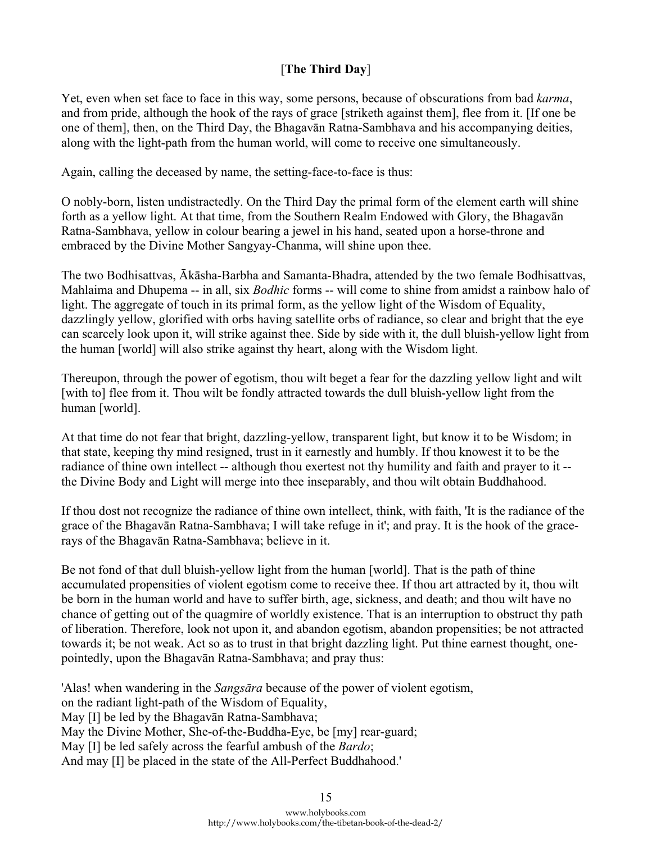### [**The Third Day**]

Yet, even when set face to face in this way, some persons, because of obscurations from bad *karma*, and from pride, although the hook of the rays of grace [striketh against them], flee from it. [If one be one of them], then, on the Third Day, the Bhagavān Ratna-Sambhava and his accompanying deities, along with the light-path from the human world, will come to receive one simultaneously.

Again, calling the deceased by name, the setting-face-to-face is thus:

O nobly-born, listen undistractedly. On the Third Day the primal form of the element earth will shine forth as a yellow light. At that time, from the Southern Realm Endowed with Glory, the Bhagavān Ratna-Sambhava, yellow in colour bearing a jewel in his hand, seated upon a horse-throne and embraced by the Divine Mother Sangyay-Chanma, will shine upon thee.

The two Bodhisattvas, Ākāsha-Barbha and Samanta-Bhadra, attended by the two female Bodhisattvas, Mahlaima and Dhupema -- in all, six *Bodhic* forms -- will come to shine from amidst a rainbow halo of light. The aggregate of touch in its primal form, as the yellow light of the Wisdom of Equality, dazzlingly yellow, glorified with orbs having satellite orbs of radiance, so clear and bright that the eye can scarcely look upon it, will strike against thee. Side by side with it, the dull bluish-yellow light from the human [world] will also strike against thy heart, along with the Wisdom light.

Thereupon, through the power of egotism, thou wilt beget a fear for the dazzling yellow light and wilt [with to] flee from it. Thou wilt be fondly attracted towards the dull bluish-yellow light from the human [world].

At that time do not fear that bright, dazzling-yellow, transparent light, but know it to be Wisdom; in that state, keeping thy mind resigned, trust in it earnestly and humbly. If thou knowest it to be the radiance of thine own intellect -- although thou exertest not thy humility and faith and prayer to it - the Divine Body and Light will merge into thee inseparably, and thou wilt obtain Buddhahood.

If thou dost not recognize the radiance of thine own intellect, think, with faith, 'It is the radiance of the grace of the Bhagavān Ratna-Sambhava; I will take refuge in it'; and pray. It is the hook of the gracerays of the Bhagavān Ratna-Sambhava; believe in it.

Be not fond of that dull bluish-yellow light from the human [world]. That is the path of thine accumulated propensities of violent egotism come to receive thee. If thou art attracted by it, thou wilt be born in the human world and have to suffer birth, age, sickness, and death; and thou wilt have no chance of getting out of the quagmire of worldly existence. That is an interruption to obstruct thy path of liberation. Therefore, look not upon it, and abandon egotism, abandon propensities; be not attracted towards it; be not weak. Act so as to trust in that bright dazzling light. Put thine earnest thought, onepointedly, upon the Bhagavān Ratna-Sambhava; and pray thus:

'Alas! when wandering in the *Sangsāra* because of the power of violent egotism, on the radiant light-path of the Wisdom of Equality, May [I] be led by the Bhagavān Ratna-Sambhava; May the Divine Mother, She-of-the-Buddha-Eye, be [my] rear-guard; May [I] be led safely across the fearful ambush of the *Bardo*; And may [I] be placed in the state of the All-Perfect Buddhahood.'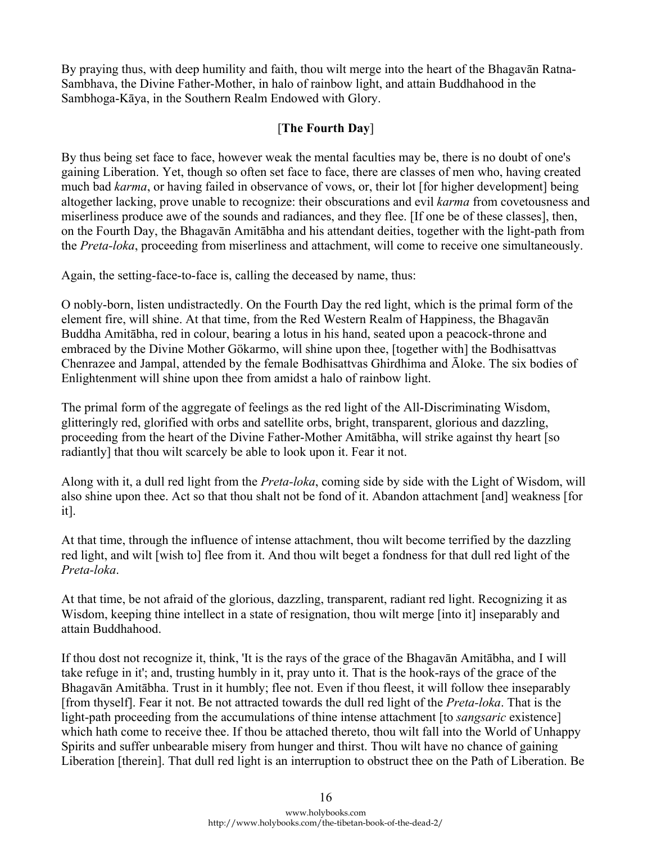By praying thus, with deep humility and faith, thou wilt merge into the heart of the Bhagavān Ratna-Sambhava, the Divine Father-Mother, in halo of rainbow light, and attain Buddhahood in the Sambhoga-Kāya, in the Southern Realm Endowed with Glory.

# [**The Fourth Day**]

By thus being set face to face, however weak the mental faculties may be, there is no doubt of one's gaining Liberation. Yet, though so often set face to face, there are classes of men who, having created much bad *karma*, or having failed in observance of vows, or, their lot [for higher development] being altogether lacking, prove unable to recognize: their obscurations and evil *karma* from covetousness and miserliness produce awe of the sounds and radiances, and they flee. [If one be of these classes], then, on the Fourth Day, the Bhagavān Amitābha and his attendant deities, together with the light-path from the *Preta-loka*, proceeding from miserliness and attachment, will come to receive one simultaneously.

Again, the setting-face-to-face is, calling the deceased by name, thus:

O nobly-born, listen undistractedly. On the Fourth Day the red light, which is the primal form of the element fire, will shine. At that time, from the Red Western Realm of Happiness, the Bhagavān Buddha Amitābha, red in colour, bearing a lotus in his hand, seated upon a peacock-throne and embraced by the Divine Mother Gökarmo, will shine upon thee, [together with] the Bodhisattvas Chenrazee and Jampal, attended by the female Bodhisattvas Ghirdhima and Āloke. The six bodies of Enlightenment will shine upon thee from amidst a halo of rainbow light.

The primal form of the aggregate of feelings as the red light of the All-Discriminating Wisdom, glitteringly red, glorified with orbs and satellite orbs, bright, transparent, glorious and dazzling, proceeding from the heart of the Divine Father-Mother Amitābha, will strike against thy heart [so radiantly] that thou wilt scarcely be able to look upon it. Fear it not.

Along with it, a dull red light from the *Preta-loka*, coming side by side with the Light of Wisdom, will also shine upon thee. Act so that thou shalt not be fond of it. Abandon attachment [and] weakness [for it].

At that time, through the influence of intense attachment, thou wilt become terrified by the dazzling red light, and wilt [wish to] flee from it. And thou wilt beget a fondness for that dull red light of the *Preta-loka*.

At that time, be not afraid of the glorious, dazzling, transparent, radiant red light. Recognizing it as Wisdom, keeping thine intellect in a state of resignation, thou wilt merge [into it] inseparably and attain Buddhahood.

If thou dost not recognize it, think, 'It is the rays of the grace of the Bhagavān Amitābha, and I will take refuge in it'; and, trusting humbly in it, pray unto it. That is the hook-rays of the grace of the Bhagavān Amitābha. Trust in it humbly; flee not. Even if thou fleest, it will follow thee inseparably [from thyself]. Fear it not. Be not attracted towards the dull red light of the *Preta-loka*. That is the light-path proceeding from the accumulations of thine intense attachment [to *sangsaric* existence] which hath come to receive thee. If thou be attached thereto, thou wilt fall into the World of Unhappy Spirits and suffer unbearable misery from hunger and thirst. Thou wilt have no chance of gaining Liberation [therein]. That dull red light is an interruption to obstruct thee on the Path of Liberation. Be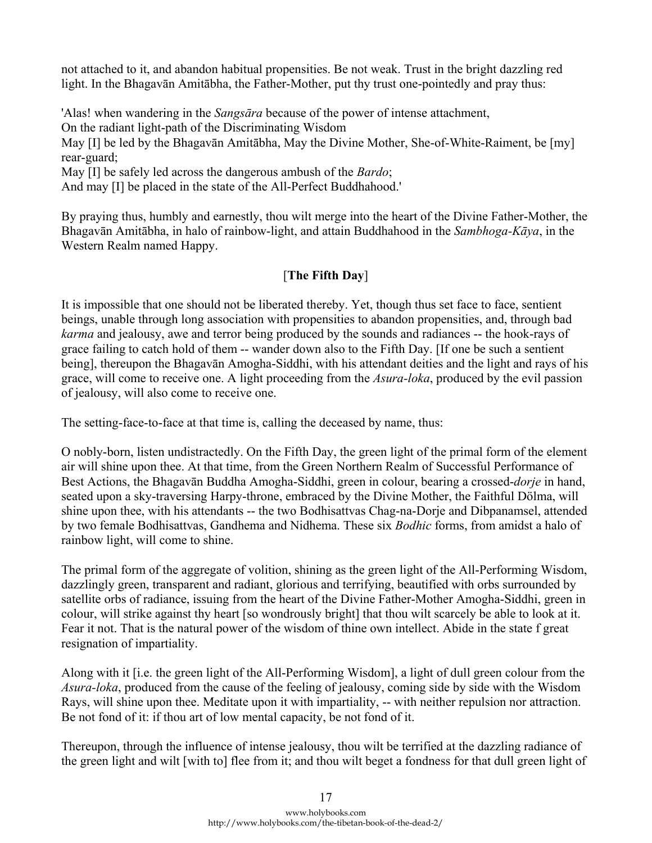not attached to it, and abandon habitual propensities. Be not weak. Trust in the bright dazzling red light. In the Bhagavān Amitābha, the Father-Mother, put thy trust one-pointedly and pray thus:

'Alas! when wandering in the *Sangsāra* because of the power of intense attachment, On the radiant light-path of the Discriminating Wisdom May [I] be led by the Bhagavān Amitābha, May the Divine Mother, She-of-White-Raiment, be [my] rear-guard; May [I] be safely led across the dangerous ambush of the *Bardo*; And may [I] be placed in the state of the All-Perfect Buddhahood.'

By praying thus, humbly and earnestly, thou wilt merge into the heart of the Divine Father-Mother, the Bhagavān Amitābha, in halo of rainbow-light, and attain Buddhahood in the *Sambhoga-Kāya*, in the Western Realm named Happy.

# [**The Fifth Day**]

It is impossible that one should not be liberated thereby. Yet, though thus set face to face, sentient beings, unable through long association with propensities to abandon propensities, and, through bad *karma* and jealousy, awe and terror being produced by the sounds and radiances -- the hook-rays of grace failing to catch hold of them -- wander down also to the Fifth Day. [If one be such a sentient being], thereupon the Bhagavān Amogha-Siddhi, with his attendant deities and the light and rays of his grace, will come to receive one. A light proceeding from the *Asura-loka*, produced by the evil passion of jealousy, will also come to receive one.

The setting-face-to-face at that time is, calling the deceased by name, thus:

O nobly-born, listen undistractedly. On the Fifth Day, the green light of the primal form of the element air will shine upon thee. At that time, from the Green Northern Realm of Successful Performance of Best Actions, the Bhagavān Buddha Amogha-Siddhi, green in colour, bearing a crossed-*dorje* in hand, seated upon a sky-traversing Harpy-throne, embraced by the Divine Mother, the Faithful Dölma, will shine upon thee, with his attendants -- the two Bodhisattvas Chag-na-Dorje and Dibpanamsel, attended by two female Bodhisattvas, Gandhema and Nidhema. These six *Bodhic* forms, from amidst a halo of rainbow light, will come to shine.

The primal form of the aggregate of volition, shining as the green light of the All-Performing Wisdom, dazzlingly green, transparent and radiant, glorious and terrifying, beautified with orbs surrounded by satellite orbs of radiance, issuing from the heart of the Divine Father-Mother Amogha-Siddhi, green in colour, will strike against thy heart [so wondrously bright] that thou wilt scarcely be able to look at it. Fear it not. That is the natural power of the wisdom of thine own intellect. Abide in the state f great resignation of impartiality.

Along with it [i.e. the green light of the All-Performing Wisdom], a light of dull green colour from the *Asura-loka*, produced from the cause of the feeling of jealousy, coming side by side with the Wisdom Rays, will shine upon thee. Meditate upon it with impartiality, -- with neither repulsion nor attraction. Be not fond of it: if thou art of low mental capacity, be not fond of it.

Thereupon, through the influence of intense jealousy, thou wilt be terrified at the dazzling radiance of the green light and wilt [with to] flee from it; and thou wilt beget a fondness for that dull green light of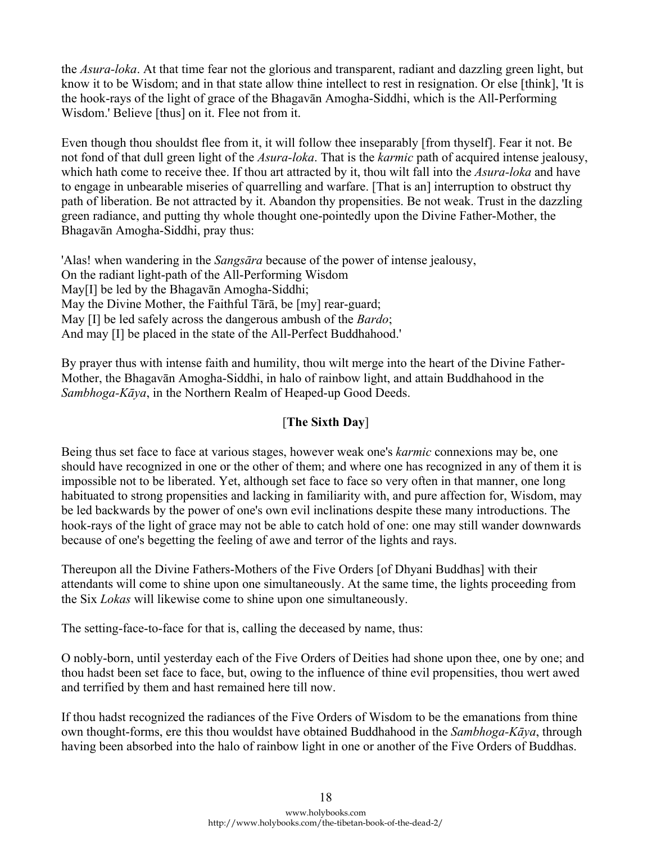the *Asura-loka*. At that time fear not the glorious and transparent, radiant and dazzling green light, but know it to be Wisdom; and in that state allow thine intellect to rest in resignation. Or else [think], 'It is the hook-rays of the light of grace of the Bhagavān Amogha-Siddhi, which is the All-Performing Wisdom.' Believe [thus] on it. Flee not from it.

Even though thou shouldst flee from it, it will follow thee inseparably [from thyself]. Fear it not. Be not fond of that dull green light of the *Asura-loka*. That is the *karmic* path of acquired intense jealousy, which hath come to receive thee. If thou art attracted by it, thou wilt fall into the *Asura-loka* and have to engage in unbearable miseries of quarrelling and warfare. [That is an] interruption to obstruct thy path of liberation. Be not attracted by it. Abandon thy propensities. Be not weak. Trust in the dazzling green radiance, and putting thy whole thought one-pointedly upon the Divine Father-Mother, the Bhagavān Amogha-Siddhi, pray thus:

'Alas! when wandering in the *Sangsāra* because of the power of intense jealousy, On the radiant light-path of the All-Performing Wisdom May[I] be led by the Bhagavān Amogha-Siddhi; May the Divine Mother, the Faithful Tārā, be [my] rear-guard; May [I] be led safely across the dangerous ambush of the *Bardo*; And may [I] be placed in the state of the All-Perfect Buddhahood.'

By prayer thus with intense faith and humility, thou wilt merge into the heart of the Divine Father-Mother, the Bhagavān Amogha-Siddhi, in halo of rainbow light, and attain Buddhahood in the *Sambhoga-Kāya*, in the Northern Realm of Heaped-up Good Deeds.

# [**The Sixth Day**]

Being thus set face to face at various stages, however weak one's *karmic* connexions may be, one should have recognized in one or the other of them; and where one has recognized in any of them it is impossible not to be liberated. Yet, although set face to face so very often in that manner, one long habituated to strong propensities and lacking in familiarity with, and pure affection for, Wisdom, may be led backwards by the power of one's own evil inclinations despite these many introductions. The hook-rays of the light of grace may not be able to catch hold of one: one may still wander downwards because of one's begetting the feeling of awe and terror of the lights and rays.

Thereupon all the Divine Fathers-Mothers of the Five Orders [of Dhyani Buddhas] with their attendants will come to shine upon one simultaneously. At the same time, the lights proceeding from the Six *Lokas* will likewise come to shine upon one simultaneously.

The setting-face-to-face for that is, calling the deceased by name, thus:

O nobly-born, until yesterday each of the Five Orders of Deities had shone upon thee, one by one; and thou hadst been set face to face, but, owing to the influence of thine evil propensities, thou wert awed and terrified by them and hast remained here till now.

If thou hadst recognized the radiances of the Five Orders of Wisdom to be the emanations from thine own thought-forms, ere this thou wouldst have obtained Buddhahood in the *Sambhoga-Kāya*, through having been absorbed into the halo of rainbow light in one or another of the Five Orders of Buddhas.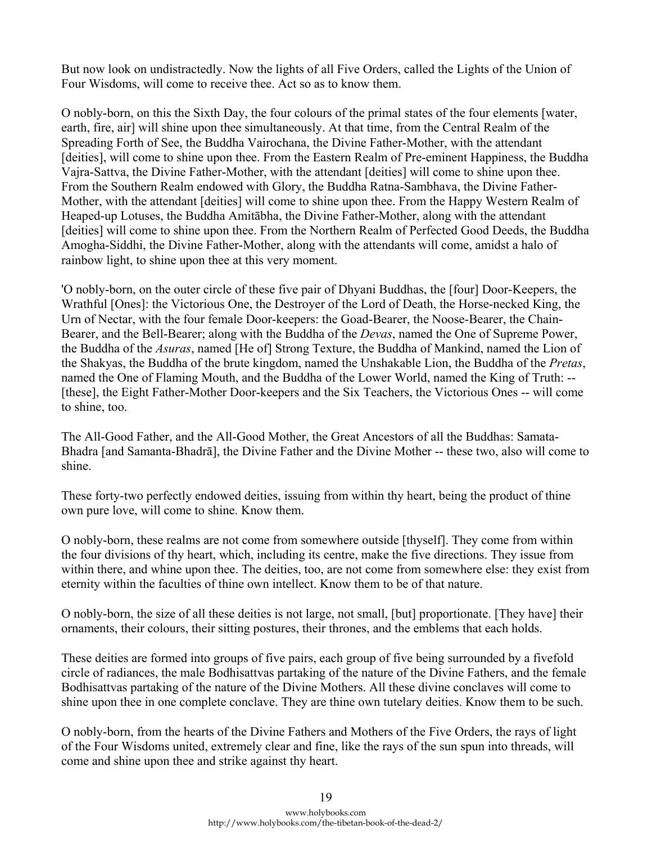But now look on undistractedly. Now the lights of all Five Orders, called the Lights of the Union of Four Wisdoms, will come to receive thee. Act so as to know them.

O nobly-born, on this the Sixth Day, the four colours of the primal states of the four elements [water, earth, fire, air] will shine upon thee simultaneously. At that time, from the Central Realm of the Spreading Forth of See, the Buddha Vairochana, the Divine Father-Mother, with the attendant [deities], will come to shine upon thee. From the Eastern Realm of Pre-eminent Happiness, the Buddha Vajra-Sattva, the Divine Father-Mother, with the attendant [deities] will come to shine upon thee. From the Southern Realm endowed with Glory, the Buddha Ratna-Sambhava, the Divine Father-Mother, with the attendant [deities] will come to shine upon thee. From the Happy Western Realm of Heaped-up Lotuses, the Buddha Amitābha, the Divine Father-Mother, along with the attendant [deities] will come to shine upon thee. From the Northern Realm of Perfected Good Deeds, the Buddha Amogha-Siddhi, the Divine Father-Mother, along with the attendants will come, amidst a halo of rainbow light, to shine upon thee at this very moment.

'O nobly-born, on the outer circle of these five pair of Dhyani Buddhas, the [four] Door-Keepers, the Wrathful [Ones]: the Victorious One, the Destroyer of the Lord of Death, the Horse-necked King, the Urn of Nectar, with the four female Door-keepers: the Goad-Bearer, the Noose-Bearer, the Chain-Bearer, and the Bell-Bearer; along with the Buddha of the *Devas*, named the One of Supreme Power, the Buddha of the *Asuras*, named [He of] Strong Texture, the Buddha of Mankind, named the Lion of the Shakyas, the Buddha of the brute kingdom, named the Unshakable Lion, the Buddha of the *Pretas*, named the One of Flaming Mouth, and the Buddha of the Lower World, named the King of Truth: -- [these], the Eight Father-Mother Door-keepers and the Six Teachers, the Victorious Ones -- will come to shine, too.

The All-Good Father, and the All-Good Mother, the Great Ancestors of all the Buddhas: Samata-Bhadra [and Samanta-Bhadrā], the Divine Father and the Divine Mother -- these two, also will come to shine.

These forty-two perfectly endowed deities, issuing from within thy heart, being the product of thine own pure love, will come to shine. Know them.

O nobly-born, these realms are not come from somewhere outside [thyself]. They come from within the four divisions of thy heart, which, including its centre, make the five directions. They issue from within there, and whine upon thee. The deities, too, are not come from somewhere else: they exist from eternity within the faculties of thine own intellect. Know them to be of that nature.

O nobly-born, the size of all these deities is not large, not small, [but] proportionate. [They have] their ornaments, their colours, their sitting postures, their thrones, and the emblems that each holds.

These deities are formed into groups of five pairs, each group of five being surrounded by a fivefold circle of radiances, the male Bodhisattvas partaking of the nature of the Divine Fathers, and the female Bodhisattvas partaking of the nature of the Divine Mothers. All these divine conclaves will come to shine upon thee in one complete conclave. They are thine own tutelary deities. Know them to be such.

O nobly-born, from the hearts of the Divine Fathers and Mothers of the Five Orders, the rays of light of the Four Wisdoms united, extremely clear and fine, like the rays of the sun spun into threads, will come and shine upon thee and strike against thy heart.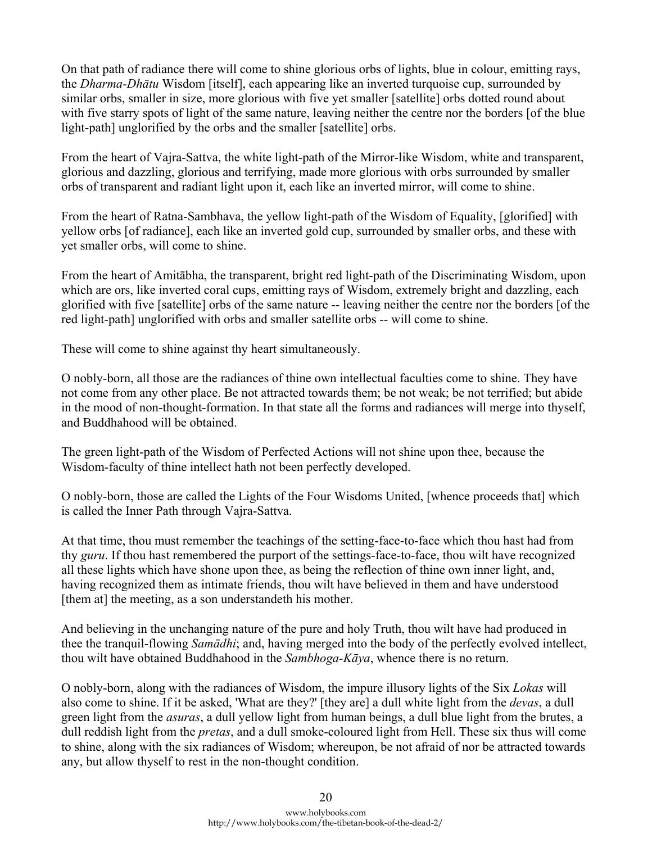On that path of radiance there will come to shine glorious orbs of lights, blue in colour, emitting rays, the *Dharma-Dhātu* Wisdom [itself], each appearing like an inverted turquoise cup, surrounded by similar orbs, smaller in size, more glorious with five yet smaller [satellite] orbs dotted round about with five starry spots of light of the same nature, leaving neither the centre nor the borders [of the blue light-path] unglorified by the orbs and the smaller [satellite] orbs.

From the heart of Vajra-Sattva, the white light-path of the Mirror-like Wisdom, white and transparent, glorious and dazzling, glorious and terrifying, made more glorious with orbs surrounded by smaller orbs of transparent and radiant light upon it, each like an inverted mirror, will come to shine.

From the heart of Ratna-Sambhava, the yellow light-path of the Wisdom of Equality, [glorified] with yellow orbs [of radiance], each like an inverted gold cup, surrounded by smaller orbs, and these with yet smaller orbs, will come to shine.

From the heart of Amitābha, the transparent, bright red light-path of the Discriminating Wisdom, upon which are ors, like inverted coral cups, emitting rays of Wisdom, extremely bright and dazzling, each glorified with five [satellite] orbs of the same nature -- leaving neither the centre nor the borders [of the red light-path] unglorified with orbs and smaller satellite orbs -- will come to shine.

These will come to shine against thy heart simultaneously.

O nobly-born, all those are the radiances of thine own intellectual faculties come to shine. They have not come from any other place. Be not attracted towards them; be not weak; be not terrified; but abide in the mood of non-thought-formation. In that state all the forms and radiances will merge into thyself, and Buddhahood will be obtained.

The green light-path of the Wisdom of Perfected Actions will not shine upon thee, because the Wisdom-faculty of thine intellect hath not been perfectly developed.

O nobly-born, those are called the Lights of the Four Wisdoms United, [whence proceeds that] which is called the Inner Path through Vajra-Sattva.

At that time, thou must remember the teachings of the setting-face-to-face which thou hast had from thy *guru*. If thou hast remembered the purport of the settings-face-to-face, thou wilt have recognized all these lights which have shone upon thee, as being the reflection of thine own inner light, and, having recognized them as intimate friends, thou wilt have believed in them and have understood [them at] the meeting, as a son understandeth his mother.

And believing in the unchanging nature of the pure and holy Truth, thou wilt have had produced in thee the tranquil-flowing *Samādhi*; and, having merged into the body of the perfectly evolved intellect, thou wilt have obtained Buddhahood in the *Sambhoga-Kāya*, whence there is no return.

O nobly-born, along with the radiances of Wisdom, the impure illusory lights of the Six *Lokas* will also come to shine. If it be asked, 'What are they?' [they are] a dull white light from the *devas*, a dull green light from the *asuras*, a dull yellow light from human beings, a dull blue light from the brutes, a dull reddish light from the *pretas*, and a dull smoke-coloured light from Hell. These six thus will come to shine, along with the six radiances of Wisdom; whereupon, be not afraid of nor be attracted towards any, but allow thyself to rest in the non-thought condition.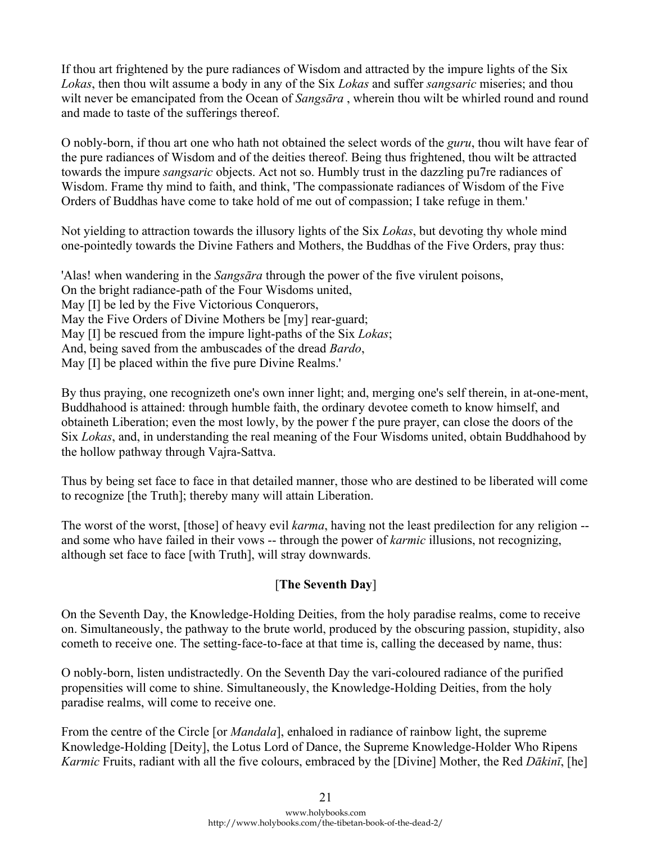If thou art frightened by the pure radiances of Wisdom and attracted by the impure lights of the Six *Lokas*, then thou wilt assume a body in any of the Six *Lokas* and suffer *sangsaric* miseries; and thou wilt never be emancipated from the Ocean of *Sangsāra* , wherein thou wilt be whirled round and round and made to taste of the sufferings thereof.

O nobly-born, if thou art one who hath not obtained the select words of the *guru*, thou wilt have fear of the pure radiances of Wisdom and of the deities thereof. Being thus frightened, thou wilt be attracted towards the impure *sangsaric* objects. Act not so. Humbly trust in the dazzling pu7re radiances of Wisdom. Frame thy mind to faith, and think, 'The compassionate radiances of Wisdom of the Five Orders of Buddhas have come to take hold of me out of compassion; I take refuge in them.'

Not yielding to attraction towards the illusory lights of the Six *Lokas*, but devoting thy whole mind one-pointedly towards the Divine Fathers and Mothers, the Buddhas of the Five Orders, pray thus:

'Alas! when wandering in the *Sangsāra* through the power of the five virulent poisons, On the bright radiance-path of the Four Wisdoms united, May [I] be led by the Five Victorious Conquerors, May the Five Orders of Divine Mothers be [my] rear-guard; May [I] be rescued from the impure light-paths of the Six *Lokas*; And, being saved from the ambuscades of the dread *Bardo*, May [I] be placed within the five pure Divine Realms.'

By thus praying, one recognizeth one's own inner light; and, merging one's self therein, in at-one-ment, Buddhahood is attained: through humble faith, the ordinary devotee cometh to know himself, and obtaineth Liberation; even the most lowly, by the power f the pure prayer, can close the doors of the Six *Lokas*, and, in understanding the real meaning of the Four Wisdoms united, obtain Buddhahood by the hollow pathway through Vajra-Sattva.

Thus by being set face to face in that detailed manner, those who are destined to be liberated will come to recognize [the Truth]; thereby many will attain Liberation.

The worst of the worst, [those] of heavy evil *karma*, having not the least predilection for any religion - and some who have failed in their vows -- through the power of *karmic* illusions, not recognizing, although set face to face [with Truth], will stray downwards.

# [**The Seventh Day**]

On the Seventh Day, the Knowledge-Holding Deities, from the holy paradise realms, come to receive on. Simultaneously, the pathway to the brute world, produced by the obscuring passion, stupidity, also cometh to receive one. The setting-face-to-face at that time is, calling the deceased by name, thus:

O nobly-born, listen undistractedly. On the Seventh Day the vari-coloured radiance of the purified propensities will come to shine. Simultaneously, the Knowledge-Holding Deities, from the holy paradise realms, will come to receive one.

From the centre of the Circle [or *Mandala*], enhaloed in radiance of rainbow light, the supreme Knowledge-Holding [Deity], the Lotus Lord of Dance, the Supreme Knowledge-Holder Who Ripens *Karmic* Fruits, radiant with all the five colours, embraced by the [Divine] Mother, the Red *Dākinī*, [he]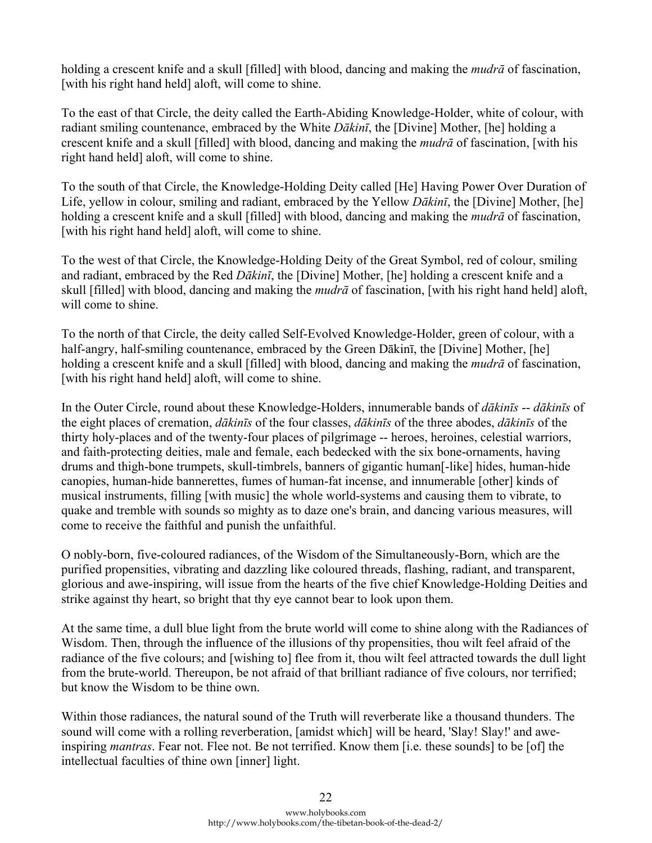holding a crescent knife and a skull [filled] with blood, dancing and making the *mudrā* of fascination, [with his right hand held] aloft, will come to shine.

To the east of that Circle, the deity called the Earth-Abiding Knowledge-Holder, white of colour, with radiant smiling countenance, embraced by the White *Dākinī*, the [Divine] Mother, [he] holding a crescent knife and a skull [filled] with blood, dancing and making the *mudrā* of fascination, [with his right hand held] aloft, will come to shine.

To the south of that Circle, the Knowledge-Holding Deity called [He] Having Power Over Duration of Life, yellow in colour, smiling and radiant, embraced by the Yellow *Dākinī*, the [Divine] Mother, [he] holding a crescent knife and a skull [filled] with blood, dancing and making the *mudrā* of fascination, [with his right hand held] aloft, will come to shine.

To the west of that Circle, the Knowledge-Holding Deity of the Great Symbol, red of colour, smiling and radiant, embraced by the Red *Dākinī*, the [Divine] Mother, [he] holding a crescent knife and a skull [filled] with blood, dancing and making the *mudrā* of fascination, [with his right hand held] aloft, will come to shine.

To the north of that Circle, the deity called Self-Evolved Knowledge-Holder, green of colour, with a half-angry, half-smiling countenance, embraced by the Green Dākinī, the [Divine] Mother, [he] holding a crescent knife and a skull [filled] with blood, dancing and making the *mudrā* of fascination, [with his right hand held] aloft, will come to shine.

In the Outer Circle, round about these Knowledge-Holders, innumerable bands of *dākinīs* -- *dākinīs* of the eight places of cremation, *dākinīs* of the four classes, *dākinīs* of the three abodes, *dākinīs* of the thirty holy-places and of the twenty-four places of pilgrimage -- heroes, heroines, celestial warriors, and faith-protecting deities, male and female, each bedecked with the six bone-ornaments, having drums and thigh-bone trumpets, skull-timbrels, banners of gigantic human[-like] hides, human-hide canopies, human-hide bannerettes, fumes of human-fat incense, and innumerable [other] kinds of musical instruments, filling [with music] the whole world-systems and causing them to vibrate, to quake and tremble with sounds so mighty as to daze one's brain, and dancing various measures, will come to receive the faithful and punish the unfaithful.

O nobly-born, five-coloured radiances, of the Wisdom of the Simultaneously-Born, which are the purified propensities, vibrating and dazzling like coloured threads, flashing, radiant, and transparent, glorious and awe-inspiring, will issue from the hearts of the five chief Knowledge-Holding Deities and strike against thy heart, so bright that thy eye cannot bear to look upon them.

At the same time, a dull blue light from the brute world will come to shine along with the Radiances of Wisdom. Then, through the influence of the illusions of thy propensities, thou wilt feel afraid of the radiance of the five colours; and [wishing to] flee from it, thou wilt feel attracted towards the dull light from the brute-world. Thereupon, be not afraid of that brilliant radiance of five colours, nor terrified; but know the Wisdom to be thine own.

Within those radiances, the natural sound of the Truth will reverberate like a thousand thunders. The sound will come with a rolling reverberation, [amidst which] will be heard, 'Slay! Slay!' and aweinspiring *mantras*. Fear not. Flee not. Be not terrified. Know them [i.e. these sounds] to be [of] the intellectual faculties of thine own [inner] light.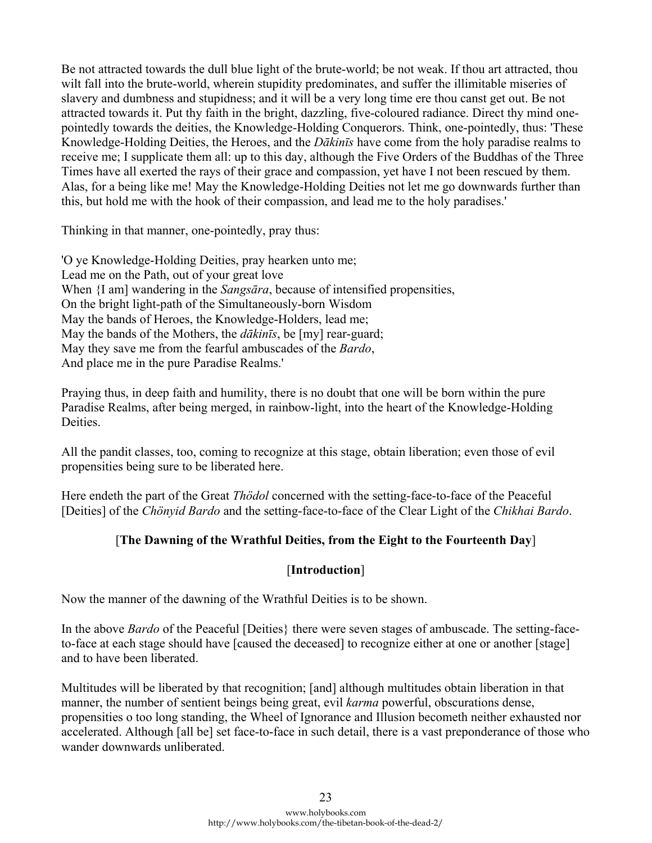Be not attracted towards the dull blue light of the brute-world; be not weak. If thou art attracted, thou wilt fall into the brute-world, wherein stupidity predominates, and suffer the illimitable miseries of slavery and dumbness and stupidness; and it will be a very long time ere thou canst get out. Be not attracted towards it. Put thy faith in the bright, dazzling, five-coloured radiance. Direct thy mind onepointedly towards the deities, the Knowledge-Holding Conquerors. Think, one-pointedly, thus: 'These Knowledge-Holding Deities, the Heroes, and the *Dākinīs* have come from the holy paradise realms to receive me; I supplicate them all: up to this day, although the Five Orders of the Buddhas of the Three Times have all exerted the rays of their grace and compassion, yet have I not been rescued by them. Alas, for a being like me! May the Knowledge-Holding Deities not let me go downwards further than this, but hold me with the hook of their compassion, and lead me to the holy paradises.'

Thinking in that manner, one-pointedly, pray thus:

'O ye Knowledge-Holding Deities, pray hearken unto me; Lead me on the Path, out of your great love When {I am] wandering in the *Sangsāra*, because of intensified propensities, On the bright light-path of the Simultaneously-born Wisdom May the bands of Heroes, the Knowledge-Holders, lead me; May the bands of the Mothers, the *dākinīs*, be [my] rear-guard; May they save me from the fearful ambuscades of the *Bardo*, And place me in the pure Paradise Realms.'

Praying thus, in deep faith and humility, there is no doubt that one will be born within the pure Paradise Realms, after being merged, in rainbow-light, into the heart of the Knowledge-Holding Deities.

All the pandit classes, too, coming to recognize at this stage, obtain liberation; even those of evil propensities being sure to be liberated here.

Here endeth the part of the Great *Thödol* concerned with the setting-face-to-face of the Peaceful [Deities] of the *Chönyid Bardo* and the setting-face-to-face of the Clear Light of the *Chikhai Bardo*.

# [**The Dawning of the Wrathful Deities, from the Eight to the Fourteenth Day**]

### [**Introduction**]

Now the manner of the dawning of the Wrathful Deities is to be shown.

In the above *Bardo* of the Peaceful [Deities} there were seven stages of ambuscade. The setting-faceto-face at each stage should have [caused the deceased] to recognize either at one or another [stage] and to have been liberated.

Multitudes will be liberated by that recognition; [and] although multitudes obtain liberation in that manner, the number of sentient beings being great, evil *karma* powerful, obscurations dense, propensities o too long standing, the Wheel of Ignorance and Illusion becometh neither exhausted nor accelerated. Although [all be] set face-to-face in such detail, there is a vast preponderance of those who wander downwards unliberated.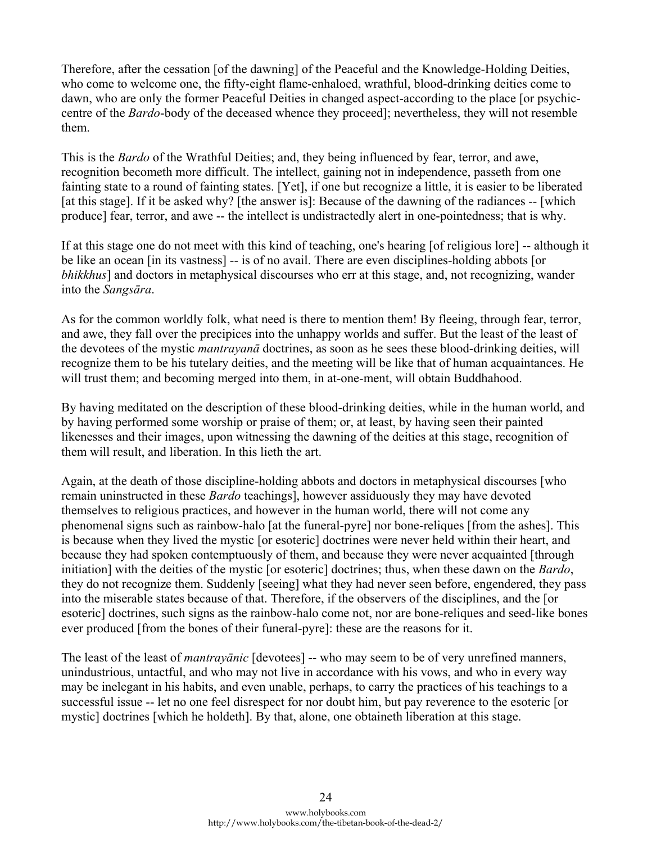Therefore, after the cessation [of the dawning] of the Peaceful and the Knowledge-Holding Deities, who come to welcome one, the fifty-eight flame-enhaloed, wrathful, blood-drinking deities come to dawn, who are only the former Peaceful Deities in changed aspect-according to the place [or psychiccentre of the *Bardo*-body of the deceased whence they proceed]; nevertheless, they will not resemble them.

This is the *Bardo* of the Wrathful Deities; and, they being influenced by fear, terror, and awe, recognition becometh more difficult. The intellect, gaining not in independence, passeth from one fainting state to a round of fainting states. [Yet], if one but recognize a little, it is easier to be liberated [at this stage]. If it be asked why? [the answer is]: Because of the dawning of the radiances -- [which] produce] fear, terror, and awe -- the intellect is undistractedly alert in one-pointedness; that is why.

If at this stage one do not meet with this kind of teaching, one's hearing [of religious lore] -- although it be like an ocean [in its vastness] -- is of no avail. There are even disciplines-holding abbots [or *bhikkhus*] and doctors in metaphysical discourses who err at this stage, and, not recognizing, wander into the *Sangsāra*.

As for the common worldly folk, what need is there to mention them! By fleeing, through fear, terror, and awe, they fall over the precipices into the unhappy worlds and suffer. But the least of the least of the devotees of the mystic *mantrayanā* doctrines, as soon as he sees these blood-drinking deities, will recognize them to be his tutelary deities, and the meeting will be like that of human acquaintances. He will trust them; and becoming merged into them, in at-one-ment, will obtain Buddhahood.

By having meditated on the description of these blood-drinking deities, while in the human world, and by having performed some worship or praise of them; or, at least, by having seen their painted likenesses and their images, upon witnessing the dawning of the deities at this stage, recognition of them will result, and liberation. In this lieth the art.

Again, at the death of those discipline-holding abbots and doctors in metaphysical discourses [who remain uninstructed in these *Bardo* teachings], however assiduously they may have devoted themselves to religious practices, and however in the human world, there will not come any phenomenal signs such as rainbow-halo [at the funeral-pyre] nor bone-reliques [from the ashes]. This is because when they lived the mystic [or esoteric] doctrines were never held within their heart, and because they had spoken contemptuously of them, and because they were never acquainted [through initiation] with the deities of the mystic [or esoteric] doctrines; thus, when these dawn on the *Bardo*, they do not recognize them. Suddenly [seeing] what they had never seen before, engendered, they pass into the miserable states because of that. Therefore, if the observers of the disciplines, and the [or esoteric] doctrines, such signs as the rainbow-halo come not, nor are bone-reliques and seed-like bones ever produced [from the bones of their funeral-pyre]: these are the reasons for it.

The least of the least of *mantrayānic* [devotees] -- who may seem to be of very unrefined manners, unindustrious, untactful, and who may not live in accordance with his vows, and who in every way may be inelegant in his habits, and even unable, perhaps, to carry the practices of his teachings to a successful issue -- let no one feel disrespect for nor doubt him, but pay reverence to the esoteric [or mystic] doctrines [which he holdeth]. By that, alone, one obtaineth liberation at this stage.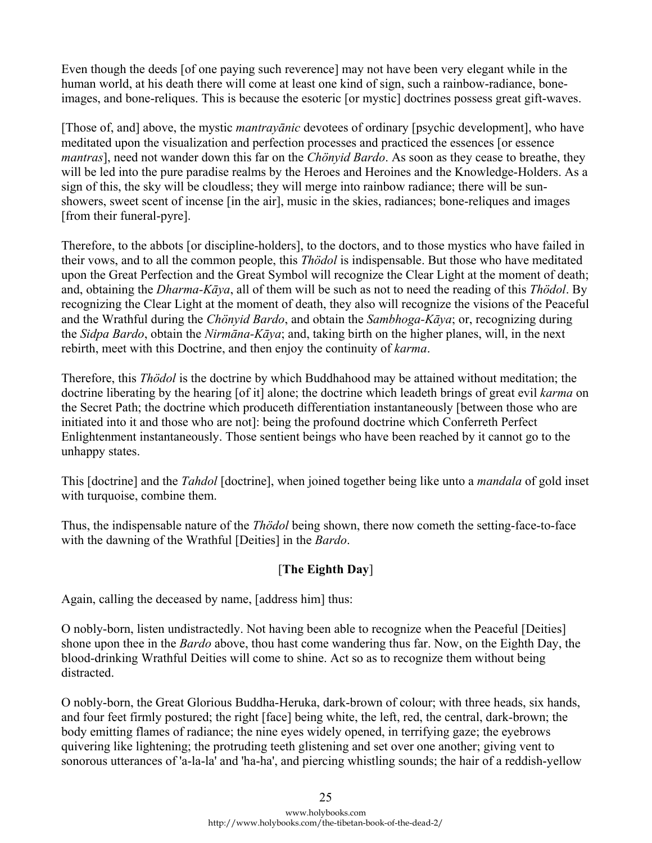Even though the deeds [of one paying such reverence] may not have been very elegant while in the human world, at his death there will come at least one kind of sign, such a rainbow-radiance, boneimages, and bone-reliques. This is because the esoteric [or mystic] doctrines possess great gift-waves.

[Those of, and] above, the mystic *mantrayānic* devotees of ordinary [psychic development], who have meditated upon the visualization and perfection processes and practiced the essences [or essence *mantras*], need not wander down this far on the *Chönyid Bardo*. As soon as they cease to breathe, they will be led into the pure paradise realms by the Heroes and Heroines and the Knowledge-Holders. As a sign of this, the sky will be cloudless; they will merge into rainbow radiance; there will be sunshowers, sweet scent of incense [in the air], music in the skies, radiances; bone-reliques and images [from their funeral-pyre].

Therefore, to the abbots [or discipline-holders], to the doctors, and to those mystics who have failed in their vows, and to all the common people, this *Thödol* is indispensable. But those who have meditated upon the Great Perfection and the Great Symbol will recognize the Clear Light at the moment of death; and, obtaining the *Dharma-Kāya*, all of them will be such as not to need the reading of this *Thödol*. By recognizing the Clear Light at the moment of death, they also will recognize the visions of the Peaceful and the Wrathful during the *Chönyid Bardo*, and obtain the *Sambhoga-Kāya*; or, recognizing during the *Sidpa Bardo*, obtain the *Nirmāna-Kāya*; and, taking birth on the higher planes, will, in the next rebirth, meet with this Doctrine, and then enjoy the continuity of *karma*.

Therefore, this *Thödol* is the doctrine by which Buddhahood may be attained without meditation; the doctrine liberating by the hearing [of it] alone; the doctrine which leadeth brings of great evil *karma* on the Secret Path; the doctrine which produceth differentiation instantaneously [between those who are initiated into it and those who are not]: being the profound doctrine which Conferreth Perfect Enlightenment instantaneously. Those sentient beings who have been reached by it cannot go to the unhappy states.

This [doctrine] and the *Tahdol* [doctrine], when joined together being like unto a *mandala* of gold inset with turquoise, combine them.

Thus, the indispensable nature of the *Thödol* being shown, there now cometh the setting-face-to-face with the dawning of the Wrathful [Deities] in the *Bardo*.

# [**The Eighth Day**]

Again, calling the deceased by name, [address him] thus:

O nobly-born, listen undistractedly. Not having been able to recognize when the Peaceful [Deities] shone upon thee in the *Bardo* above, thou hast come wandering thus far. Now, on the Eighth Day, the blood-drinking Wrathful Deities will come to shine. Act so as to recognize them without being distracted.

O nobly-born, the Great Glorious Buddha-Heruka, dark-brown of colour; with three heads, six hands, and four feet firmly postured; the right [face] being white, the left, red, the central, dark-brown; the body emitting flames of radiance; the nine eyes widely opened, in terrifying gaze; the eyebrows quivering like lightening; the protruding teeth glistening and set over one another; giving vent to sonorous utterances of 'a-la-la' and 'ha-ha', and piercing whistling sounds; the hair of a reddish-yellow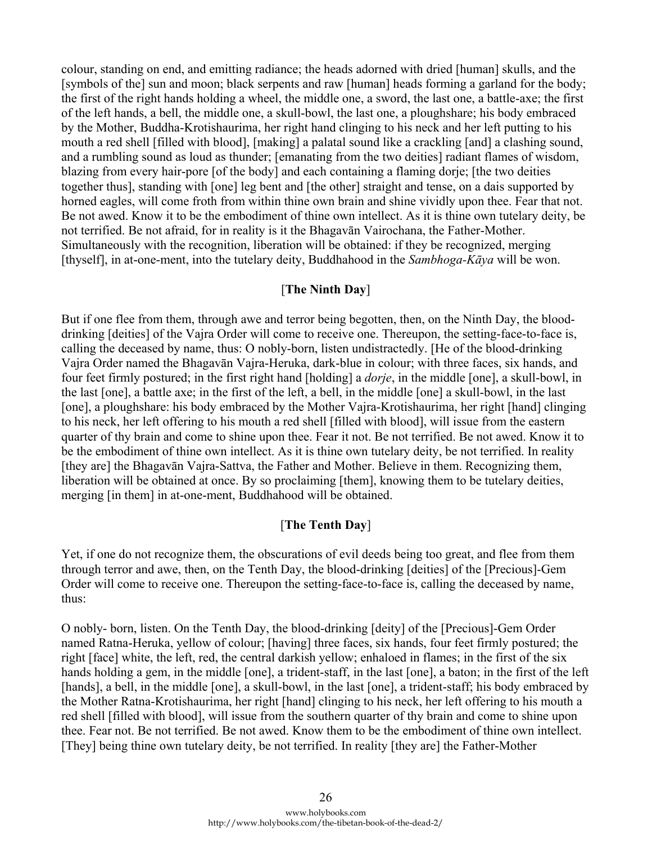colour, standing on end, and emitting radiance; the heads adorned with dried [human] skulls, and the [symbols of the] sun and moon; black serpents and raw [human] heads forming a garland for the body; the first of the right hands holding a wheel, the middle one, a sword, the last one, a battle-axe; the first of the left hands, a bell, the middle one, a skull-bowl, the last one, a ploughshare; his body embraced by the Mother, Buddha-Krotishaurima, her right hand clinging to his neck and her left putting to his mouth a red shell [filled with blood], [making] a palatal sound like a crackling [and] a clashing sound, and a rumbling sound as loud as thunder; [emanating from the two deities] radiant flames of wisdom, blazing from every hair-pore [of the body] and each containing a flaming dorje; [the two deities together thus], standing with [one] leg bent and [the other] straight and tense, on a dais supported by horned eagles, will come froth from within thine own brain and shine vividly upon thee. Fear that not. Be not awed. Know it to be the embodiment of thine own intellect. As it is thine own tutelary deity, be not terrified. Be not afraid, for in reality is it the Bhagavān Vairochana, the Father-Mother. Simultaneously with the recognition, liberation will be obtained: if they be recognized, merging [thyself], in at-one-ment, into the tutelary deity, Buddhahood in the *Sambhoga-Kāya* will be won.

### [**The Ninth Day**]

But if one flee from them, through awe and terror being begotten, then, on the Ninth Day, the blooddrinking [deities] of the Vajra Order will come to receive one. Thereupon, the setting-face-to-face is, calling the deceased by name, thus: O nobly-born, listen undistractedly. [He of the blood-drinking Vajra Order named the Bhagavān Vajra-Heruka, dark-blue in colour; with three faces, six hands, and four feet firmly postured; in the first right hand [holding] a *dorje*, in the middle [one], a skull-bowl, in the last [one], a battle axe; in the first of the left, a bell, in the middle [one] a skull-bowl, in the last [one], a ploughshare: his body embraced by the Mother Vajra-Krotishaurima, her right [hand] clinging to his neck, her left offering to his mouth a red shell [filled with blood], will issue from the eastern quarter of thy brain and come to shine upon thee. Fear it not. Be not terrified. Be not awed. Know it to be the embodiment of thine own intellect. As it is thine own tutelary deity, be not terrified. In reality [they are] the Bhagavān Vajra-Sattva, the Father and Mother. Believe in them. Recognizing them, liberation will be obtained at once. By so proclaiming [them], knowing them to be tutelary deities, merging [in them] in at-one-ment, Buddhahood will be obtained.

### [**The Tenth Day**]

Yet, if one do not recognize them, the obscurations of evil deeds being too great, and flee from them through terror and awe, then, on the Tenth Day, the blood-drinking [deities] of the [Precious]-Gem Order will come to receive one. Thereupon the setting-face-to-face is, calling the deceased by name, thus:

O nobly- born, listen. On the Tenth Day, the blood-drinking [deity] of the [Precious]-Gem Order named Ratna-Heruka, yellow of colour; [having] three faces, six hands, four feet firmly postured; the right [face] white, the left, red, the central darkish yellow; enhaloed in flames; in the first of the six hands holding a gem, in the middle [one], a trident-staff, in the last [one], a baton; in the first of the left [hands], a bell, in the middle [one], a skull-bowl, in the last [one], a trident-staff; his body embraced by the Mother Ratna-Krotishaurima, her right [hand] clinging to his neck, her left offering to his mouth a red shell [filled with blood], will issue from the southern quarter of thy brain and come to shine upon thee. Fear not. Be not terrified. Be not awed. Know them to be the embodiment of thine own intellect. [They] being thine own tutelary deity, be not terrified. In reality [they are] the Father-Mother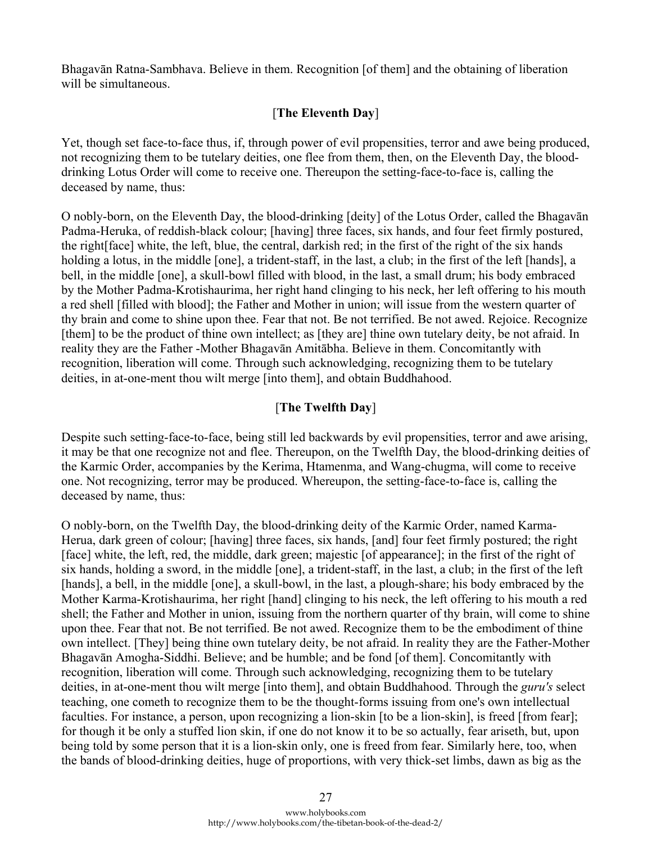Bhagavān Ratna-Sambhava. Believe in them. Recognition [of them] and the obtaining of liberation will be simultaneous.

# [**The Eleventh Day**]

Yet, though set face-to-face thus, if, through power of evil propensities, terror and awe being produced, not recognizing them to be tutelary deities, one flee from them, then, on the Eleventh Day, the blooddrinking Lotus Order will come to receive one. Thereupon the setting-face-to-face is, calling the deceased by name, thus:

O nobly-born, on the Eleventh Day, the blood-drinking [deity] of the Lotus Order, called the Bhagavān Padma-Heruka, of reddish-black colour; [having] three faces, six hands, and four feet firmly postured, the right[face] white, the left, blue, the central, darkish red; in the first of the right of the six hands holding a lotus, in the middle [one], a trident-staff, in the last, a club; in the first of the left [hands], a bell, in the middle [one], a skull-bowl filled with blood, in the last, a small drum; his body embraced by the Mother Padma-Krotishaurima, her right hand clinging to his neck, her left offering to his mouth a red shell [filled with blood]; the Father and Mother in union; will issue from the western quarter of thy brain and come to shine upon thee. Fear that not. Be not terrified. Be not awed. Rejoice. Recognize [them] to be the product of thine own intellect; as [they are] thine own tutelary deity, be not afraid. In reality they are the Father -Mother Bhagavān Amitābha. Believe in them. Concomitantly with recognition, liberation will come. Through such acknowledging, recognizing them to be tutelary deities, in at-one-ment thou wilt merge [into them], and obtain Buddhahood.

# [**The Twelfth Day**]

Despite such setting-face-to-face, being still led backwards by evil propensities, terror and awe arising, it may be that one recognize not and flee. Thereupon, on the Twelfth Day, the blood-drinking deities of the Karmic Order, accompanies by the Kerima, Htamenma, and Wang-chugma, will come to receive one. Not recognizing, terror may be produced. Whereupon, the setting-face-to-face is, calling the deceased by name, thus:

O nobly-born, on the Twelfth Day, the blood-drinking deity of the Karmic Order, named Karma-Herua, dark green of colour; [having] three faces, six hands, [and] four feet firmly postured; the right [face] white, the left, red, the middle, dark green; majestic [of appearance]; in the first of the right of six hands, holding a sword, in the middle [one], a trident-staff, in the last, a club; in the first of the left [hands], a bell, in the middle [one], a skull-bowl, in the last, a plough-share; his body embraced by the Mother Karma-Krotishaurima, her right [hand] clinging to his neck, the left offering to his mouth a red shell; the Father and Mother in union, issuing from the northern quarter of thy brain, will come to shine upon thee. Fear that not. Be not terrified. Be not awed. Recognize them to be the embodiment of thine own intellect. [They] being thine own tutelary deity, be not afraid. In reality they are the Father-Mother Bhagavān Amogha-Siddhi. Believe; and be humble; and be fond [of them]. Concomitantly with recognition, liberation will come. Through such acknowledging, recognizing them to be tutelary deities, in at-one-ment thou wilt merge [into them], and obtain Buddhahood. Through the *guru's* select teaching, one cometh to recognize them to be the thought-forms issuing from one's own intellectual faculties. For instance, a person, upon recognizing a lion-skin [to be a lion-skin], is freed [from fear]; for though it be only a stuffed lion skin, if one do not know it to be so actually, fear ariseth, but, upon being told by some person that it is a lion-skin only, one is freed from fear. Similarly here, too, when the bands of blood-drinking deities, huge of proportions, with very thick-set limbs, dawn as big as the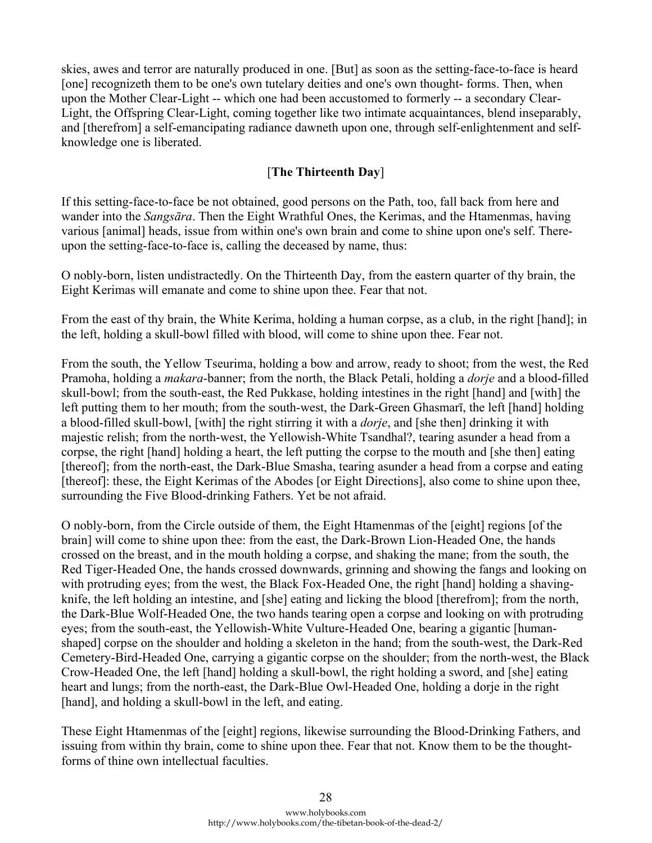skies, awes and terror are naturally produced in one. [But] as soon as the setting-face-to-face is heard [one] recognizeth them to be one's own tutelary deities and one's own thought- forms. Then, when upon the Mother Clear-Light -- which one had been accustomed to formerly -- a secondary Clear-Light, the Offspring Clear-Light, coming together like two intimate acquaintances, blend inseparably, and [therefrom] a self-emancipating radiance dawneth upon one, through self-enlightenment and selfknowledge one is liberated.

# [**The Thirteenth Day**]

If this setting-face-to-face be not obtained, good persons on the Path, too, fall back from here and wander into the *Sangsāra*. Then the Eight Wrathful Ones, the Kerimas, and the Htamenmas, having various [animal] heads, issue from within one's own brain and come to shine upon one's self. Thereupon the setting-face-to-face is, calling the deceased by name, thus:

O nobly-born, listen undistractedly. On the Thirteenth Day, from the eastern quarter of thy brain, the Eight Kerimas will emanate and come to shine upon thee. Fear that not.

From the east of thy brain, the White Kerima, holding a human corpse, as a club, in the right [hand]; in the left, holding a skull-bowl filled with blood, will come to shine upon thee. Fear not.

From the south, the Yellow Tseurima, holding a bow and arrow, ready to shoot; from the west, the Red Pramoha, holding a *makara*-banner; from the north, the Black Petali, holding a *dorje* and a blood-filled skull-bowl; from the south-east, the Red Pukkase, holding intestines in the right [hand] and [with] the left putting them to her mouth; from the south-west, the Dark-Green Ghasmarī, the left [hand] holding a blood-filled skull-bowl, [with] the right stirring it with a *dorje*, and [she then] drinking it with majestic relish; from the north-west, the Yellowish-White Tsandhal?, tearing asunder a head from a corpse, the right [hand] holding a heart, the left putting the corpse to the mouth and [she then] eating [thereof]; from the north-east, the Dark-Blue Smasha, tearing asunder a head from a corpse and eating [thereof]: these, the Eight Kerimas of the Abodes [or Eight Directions], also come to shine upon thee, surrounding the Five Blood-drinking Fathers. Yet be not afraid.

O nobly-born, from the Circle outside of them, the Eight Htamenmas of the [eight] regions [of the brain] will come to shine upon thee: from the east, the Dark-Brown Lion-Headed One, the hands crossed on the breast, and in the mouth holding a corpse, and shaking the mane; from the south, the Red Tiger-Headed One, the hands crossed downwards, grinning and showing the fangs and looking on with protruding eyes; from the west, the Black Fox-Headed One, the right [hand] holding a shavingknife, the left holding an intestine, and [she] eating and licking the blood [therefrom]; from the north, the Dark-Blue Wolf-Headed One, the two hands tearing open a corpse and looking on with protruding eyes; from the south-east, the Yellowish-White Vulture-Headed One, bearing a gigantic [humanshaped] corpse on the shoulder and holding a skeleton in the hand; from the south-west, the Dark-Red Cemetery-Bird-Headed One, carrying a gigantic corpse on the shoulder; from the north-west, the Black Crow-Headed One, the left [hand] holding a skull-bowl, the right holding a sword, and [she] eating heart and lungs; from the north-east, the Dark-Blue Owl-Headed One, holding a dorje in the right [hand], and holding a skull-bowl in the left, and eating.

These Eight Htamenmas of the [eight] regions, likewise surrounding the Blood-Drinking Fathers, and issuing from within thy brain, come to shine upon thee. Fear that not. Know them to be the thoughtforms of thine own intellectual faculties.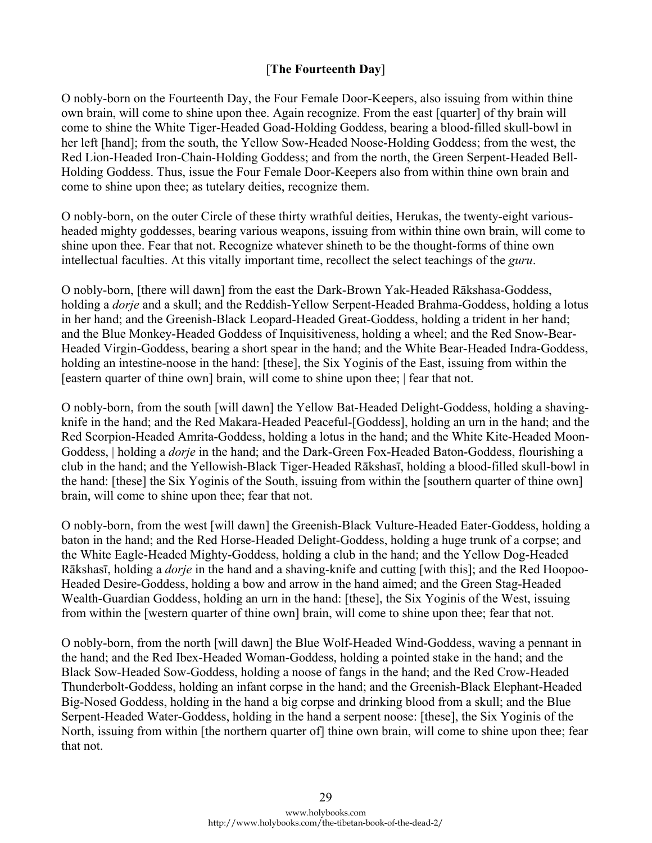## [**The Fourteenth Day**]

O nobly-born on the Fourteenth Day, the Four Female Door-Keepers, also issuing from within thine own brain, will come to shine upon thee. Again recognize. From the east [quarter] of thy brain will come to shine the White Tiger-Headed Goad-Holding Goddess, bearing a blood-filled skull-bowl in her left [hand]; from the south, the Yellow Sow-Headed Noose-Holding Goddess; from the west, the Red Lion-Headed Iron-Chain-Holding Goddess; and from the north, the Green Serpent-Headed Bell-Holding Goddess. Thus, issue the Four Female Door-Keepers also from within thine own brain and come to shine upon thee; as tutelary deities, recognize them.

O nobly-born, on the outer Circle of these thirty wrathful deities, Herukas, the twenty-eight variousheaded mighty goddesses, bearing various weapons, issuing from within thine own brain, will come to shine upon thee. Fear that not. Recognize whatever shineth to be the thought-forms of thine own intellectual faculties. At this vitally important time, recollect the select teachings of the *guru*.

O nobly-born, [there will dawn] from the east the Dark-Brown Yak-Headed Rākshasa-Goddess, holding a *dorje* and a skull; and the Reddish-Yellow Serpent-Headed Brahma-Goddess, holding a lotus in her hand; and the Greenish-Black Leopard-Headed Great-Goddess, holding a trident in her hand; and the Blue Monkey-Headed Goddess of Inquisitiveness, holding a wheel; and the Red Snow-Bear-Headed Virgin-Goddess, bearing a short spear in the hand; and the White Bear-Headed Indra-Goddess, holding an intestine-noose in the hand: [these], the Six Yoginis of the East, issuing from within the [eastern quarter of thine own] brain, will come to shine upon thee; | fear that not.

O nobly-born, from the south [will dawn] the Yellow Bat-Headed Delight-Goddess, holding a shavingknife in the hand; and the Red Makara-Headed Peaceful-[Goddess], holding an urn in the hand; and the Red Scorpion-Headed Amrita-Goddess, holding a lotus in the hand; and the White Kite-Headed Moon-Goddess, | holding a *dorje* in the hand; and the Dark-Green Fox-Headed Baton-Goddess, flourishing a club in the hand; and the Yellowish-Black Tiger-Headed Rākshasī, holding a blood-filled skull-bowl in the hand: [these] the Six Yoginis of the South, issuing from within the [southern quarter of thine own] brain, will come to shine upon thee; fear that not.

O nobly-born, from the west [will dawn] the Greenish-Black Vulture-Headed Eater-Goddess, holding a baton in the hand; and the Red Horse-Headed Delight-Goddess, holding a huge trunk of a corpse; and the White Eagle-Headed Mighty-Goddess, holding a club in the hand; and the Yellow Dog-Headed Rākshasī, holding a *dorje* in the hand and a shaving-knife and cutting [with this]; and the Red Hoopoo-Headed Desire-Goddess, holding a bow and arrow in the hand aimed; and the Green Stag-Headed Wealth-Guardian Goddess, holding an urn in the hand: [these], the Six Yoginis of the West, issuing from within the [western quarter of thine own] brain, will come to shine upon thee; fear that not.

O nobly-born, from the north [will dawn] the Blue Wolf-Headed Wind-Goddess, waving a pennant in the hand; and the Red Ibex-Headed Woman-Goddess, holding a pointed stake in the hand; and the Black Sow-Headed Sow-Goddess, holding a noose of fangs in the hand; and the Red Crow-Headed Thunderbolt-Goddess, holding an infant corpse in the hand; and the Greenish-Black Elephant-Headed Big-Nosed Goddess, holding in the hand a big corpse and drinking blood from a skull; and the Blue Serpent-Headed Water-Goddess, holding in the hand a serpent noose: [these], the Six Yoginis of the North, issuing from within [the northern quarter of] thine own brain, will come to shine upon thee; fear that not.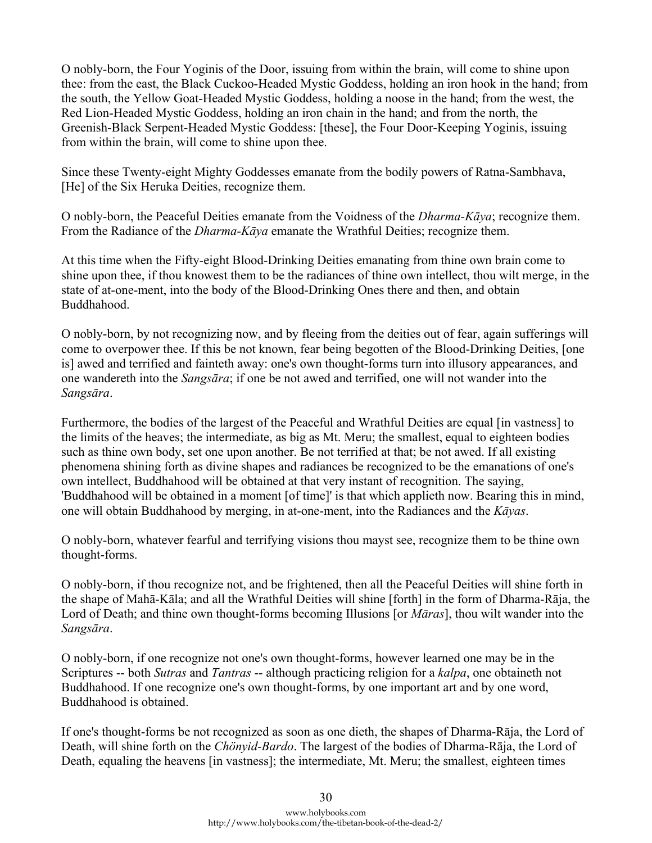O nobly-born, the Four Yoginis of the Door, issuing from within the brain, will come to shine upon thee: from the east, the Black Cuckoo-Headed Mystic Goddess, holding an iron hook in the hand; from the south, the Yellow Goat-Headed Mystic Goddess, holding a noose in the hand; from the west, the Red Lion-Headed Mystic Goddess, holding an iron chain in the hand; and from the north, the Greenish-Black Serpent-Headed Mystic Goddess: [these], the Four Door-Keeping Yoginis, issuing from within the brain, will come to shine upon thee.

Since these Twenty-eight Mighty Goddesses emanate from the bodily powers of Ratna-Sambhava, [He] of the Six Heruka Deities, recognize them.

O nobly-born, the Peaceful Deities emanate from the Voidness of the *Dharma-Kāya*; recognize them. From the Radiance of the *Dharma-Kāya* emanate the Wrathful Deities; recognize them.

At this time when the Fifty-eight Blood-Drinking Deities emanating from thine own brain come to shine upon thee, if thou knowest them to be the radiances of thine own intellect, thou wilt merge, in the state of at-one-ment, into the body of the Blood-Drinking Ones there and then, and obtain Buddhahood.

O nobly-born, by not recognizing now, and by fleeing from the deities out of fear, again sufferings will come to overpower thee. If this be not known, fear being begotten of the Blood-Drinking Deities, [one is] awed and terrified and fainteth away: one's own thought-forms turn into illusory appearances, and one wandereth into the *Sangsāra*; if one be not awed and terrified, one will not wander into the *Sangsāra*.

Furthermore, the bodies of the largest of the Peaceful and Wrathful Deities are equal [in vastness] to the limits of the heaves; the intermediate, as big as Mt. Meru; the smallest, equal to eighteen bodies such as thine own body, set one upon another. Be not terrified at that; be not awed. If all existing phenomena shining forth as divine shapes and radiances be recognized to be the emanations of one's own intellect, Buddhahood will be obtained at that very instant of recognition. The saying, 'Buddhahood will be obtained in a moment [of time]' is that which applieth now. Bearing this in mind, one will obtain Buddhahood by merging, in at-one-ment, into the Radiances and the *Kāyas*.

O nobly-born, whatever fearful and terrifying visions thou mayst see, recognize them to be thine own thought-forms.

O nobly-born, if thou recognize not, and be frightened, then all the Peaceful Deities will shine forth in the shape of Mahā-Kāla; and all the Wrathful Deities will shine [forth] in the form of Dharma-Rāja, the Lord of Death; and thine own thought-forms becoming Illusions [or *Māras*], thou wilt wander into the *Sangsāra*.

O nobly-born, if one recognize not one's own thought-forms, however learned one may be in the Scriptures -- both *Sutras* and *Tantras* -- although practicing religion for a *kalpa*, one obtaineth not Buddhahood. If one recognize one's own thought-forms, by one important art and by one word, Buddhahood is obtained.

If one's thought-forms be not recognized as soon as one dieth, the shapes of Dharma-Rāja, the Lord of Death, will shine forth on the *Chönyid-Bardo*. The largest of the bodies of Dharma-Rāja, the Lord of Death, equaling the heavens [in vastness]; the intermediate, Mt. Meru; the smallest, eighteen times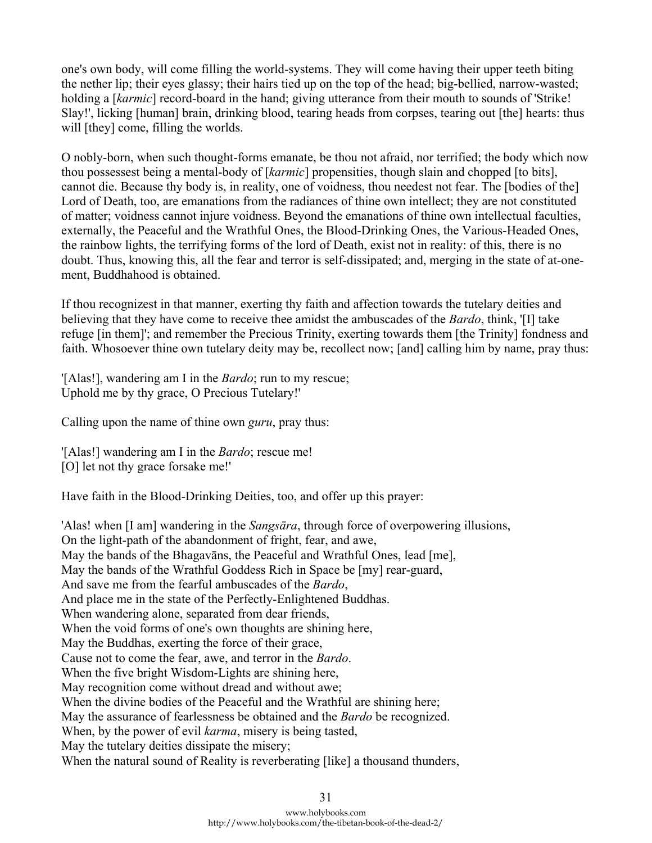one's own body, will come filling the world-systems. They will come having their upper teeth biting the nether lip; their eyes glassy; their hairs tied up on the top of the head; big-bellied, narrow-wasted; holding a [*karmic*] record-board in the hand; giving utterance from their mouth to sounds of 'Strike! Slay!', licking [human] brain, drinking blood, tearing heads from corpses, tearing out [the] hearts: thus will [they] come, filling the worlds.

O nobly-born, when such thought-forms emanate, be thou not afraid, nor terrified; the body which now thou possessest being a mental-body of [*karmic*] propensities, though slain and chopped [to bits], cannot die. Because thy body is, in reality, one of voidness, thou needest not fear. The [bodies of the] Lord of Death, too, are emanations from the radiances of thine own intellect; they are not constituted of matter; voidness cannot injure voidness. Beyond the emanations of thine own intellectual faculties, externally, the Peaceful and the Wrathful Ones, the Blood-Drinking Ones, the Various-Headed Ones, the rainbow lights, the terrifying forms of the lord of Death, exist not in reality: of this, there is no doubt. Thus, knowing this, all the fear and terror is self-dissipated; and, merging in the state of at-onement, Buddhahood is obtained.

If thou recognizest in that manner, exerting thy faith and affection towards the tutelary deities and believing that they have come to receive thee amidst the ambuscades of the *Bardo*, think, '[I] take refuge [in them]'; and remember the Precious Trinity, exerting towards them [the Trinity] fondness and faith. Whosoever thine own tutelary deity may be, recollect now; [and] calling him by name, pray thus:

'[Alas!], wandering am I in the *Bardo*; run to my rescue; Uphold me by thy grace, O Precious Tutelary!'

Calling upon the name of thine own *guru*, pray thus:

'[Alas!] wandering am I in the *Bardo*; rescue me! [O] let not thy grace forsake me!'

Have faith in the Blood-Drinking Deities, too, and offer up this prayer:

'Alas! when [I am] wandering in the *Sangsāra*, through force of overpowering illusions, On the light-path of the abandonment of fright, fear, and awe, May the bands of the Bhagavāns, the Peaceful and Wrathful Ones, lead [me], May the bands of the Wrathful Goddess Rich in Space be [my] rear-guard, And save me from the fearful ambuscades of the *Bardo*, And place me in the state of the Perfectly-Enlightened Buddhas. When wandering alone, separated from dear friends, When the void forms of one's own thoughts are shining here, May the Buddhas, exerting the force of their grace, Cause not to come the fear, awe, and terror in the *Bardo*. When the five bright Wisdom-Lights are shining here, May recognition come without dread and without awe; When the divine bodies of the Peaceful and the Wrathful are shining here; May the assurance of fearlessness be obtained and the *Bardo* be recognized. When, by the power of evil *karma*, misery is being tasted, May the tutelary deities dissipate the misery; When the natural sound of Reality is reverberating [like] a thousand thunders,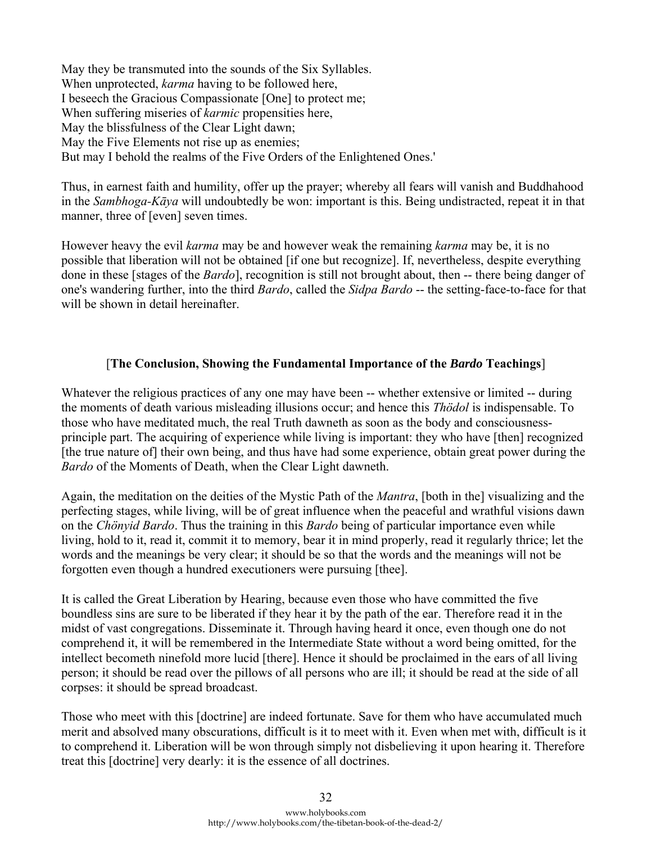May they be transmuted into the sounds of the Six Syllables. When unprotected, *karma* having to be followed here, I beseech the Gracious Compassionate [One] to protect me; When suffering miseries of *karmic* propensities here, May the blissfulness of the Clear Light dawn; May the Five Elements not rise up as enemies; But may I behold the realms of the Five Orders of the Enlightened Ones.'

Thus, in earnest faith and humility, offer up the prayer; whereby all fears will vanish and Buddhahood in the *Sambhoga-Kāya* will undoubtedly be won: important is this. Being undistracted, repeat it in that manner, three of [even] seven times.

However heavy the evil *karma* may be and however weak the remaining *karma* may be, it is no possible that liberation will not be obtained [if one but recognize]. If, nevertheless, despite everything done in these [stages of the *Bardo*], recognition is still not brought about, then -- there being danger of one's wandering further, into the third *Bardo*, called the *Sidpa Bardo* -- the setting-face-to-face for that will be shown in detail hereinafter.

### [**The Conclusion, Showing the Fundamental Importance of the** *Bardo* **Teachings**]

Whatever the religious practices of any one may have been -- whether extensive or limited -- during the moments of death various misleading illusions occur; and hence this *Thödol* is indispensable. To those who have meditated much, the real Truth dawneth as soon as the body and consciousnessprinciple part. The acquiring of experience while living is important: they who have [then] recognized [the true nature of] their own being, and thus have had some experience, obtain great power during the *Bardo* of the Moments of Death, when the Clear Light dawneth.

Again, the meditation on the deities of the Mystic Path of the *Mantra*, [both in the] visualizing and the perfecting stages, while living, will be of great influence when the peaceful and wrathful visions dawn on the *Chönyid Bardo*. Thus the training in this *Bardo* being of particular importance even while living, hold to it, read it, commit it to memory, bear it in mind properly, read it regularly thrice; let the words and the meanings be very clear; it should be so that the words and the meanings will not be forgotten even though a hundred executioners were pursuing [thee].

It is called the Great Liberation by Hearing, because even those who have committed the five boundless sins are sure to be liberated if they hear it by the path of the ear. Therefore read it in the midst of vast congregations. Disseminate it. Through having heard it once, even though one do not comprehend it, it will be remembered in the Intermediate State without a word being omitted, for the intellect becometh ninefold more lucid [there]. Hence it should be proclaimed in the ears of all living person; it should be read over the pillows of all persons who are ill; it should be read at the side of all corpses: it should be spread broadcast.

Those who meet with this [doctrine] are indeed fortunate. Save for them who have accumulated much merit and absolved many obscurations, difficult is it to meet with it. Even when met with, difficult is it to comprehend it. Liberation will be won through simply not disbelieving it upon hearing it. Therefore treat this [doctrine] very dearly: it is the essence of all doctrines.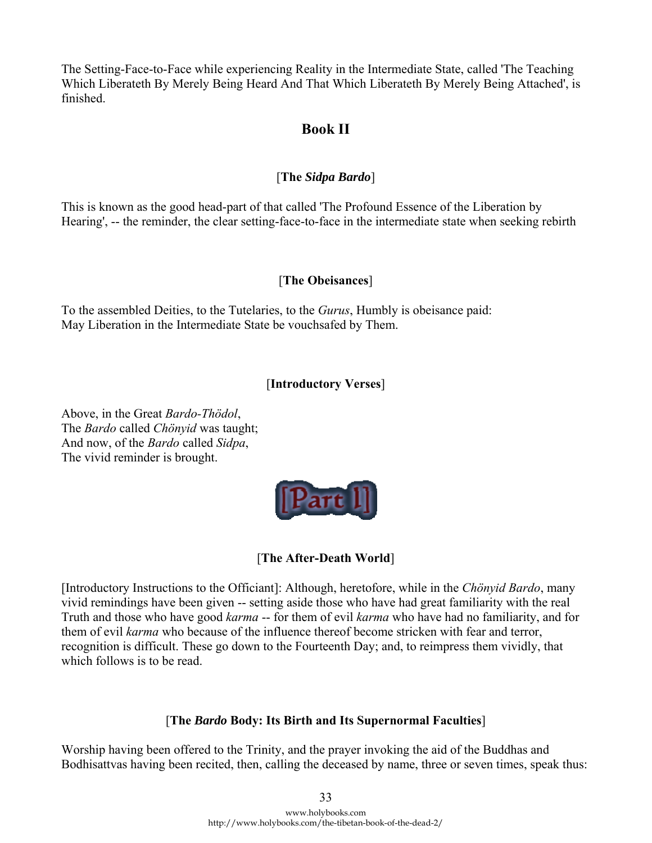The Setting-Face-to-Face while experiencing Reality in the Intermediate State, called 'The Teaching Which Liberateth By Merely Being Heard And That Which Liberateth By Merely Being Attached', is finished.

# **Book II**

# [**The** *Sidpa Bardo*]

This is known as the good head-part of that called 'The Profound Essence of the Liberation by Hearing', -- the reminder, the clear setting-face-to-face in the intermediate state when seeking rebirth

### [**The Obeisances**]

To the assembled Deities, to the Tutelaries, to the *Gurus*, Humbly is obeisance paid: May Liberation in the Intermediate State be vouchsafed by Them.

# [**Introductory Verses**]

Above, in the Great *Bardo-Thödol*, The *Bardo* called *Chönyid* was taught; And now, of the *Bardo* called *Sidpa*, The vivid reminder is brought.



# [**The After-Death World**]

[Introductory Instructions to the Officiant]: Although, heretofore, while in the *Chönyid Bardo*, many vivid remindings have been given -- setting aside those who have had great familiarity with the real Truth and those who have good *karma* -- for them of evil *karma* who have had no familiarity, and for them of evil *karma* who because of the influence thereof become stricken with fear and terror, recognition is difficult. These go down to the Fourteenth Day; and, to reimpress them vividly, that which follows is to be read.

### [**The** *Bardo* **Body: Its Birth and Its Supernormal Faculties**]

Worship having been offered to the Trinity, and the prayer invoking the aid of the Buddhas and Bodhisattvas having been recited, then, calling the deceased by name, three or seven times, speak thus: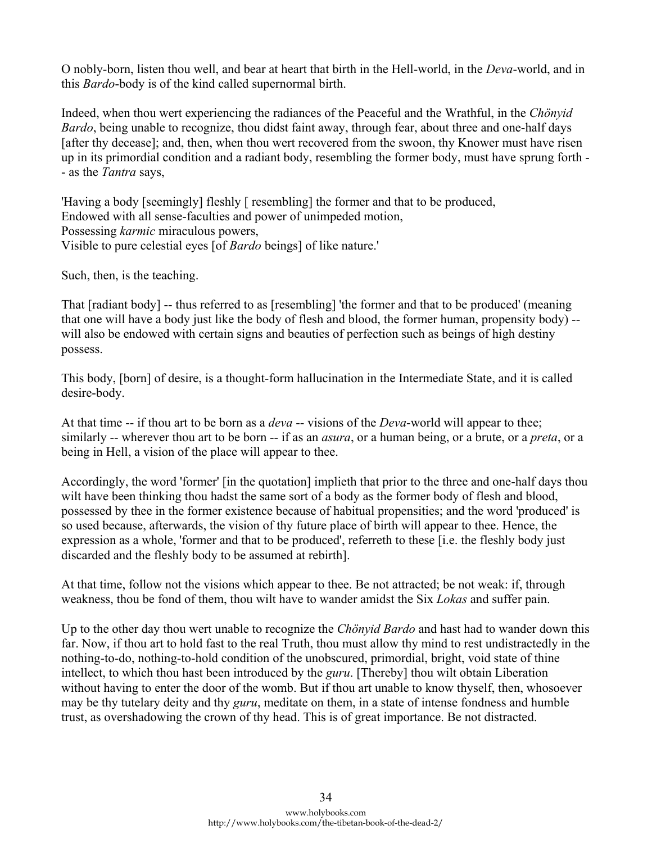O nobly-born, listen thou well, and bear at heart that birth in the Hell-world, in the *Deva*-world, and in this *Bardo*-body is of the kind called supernormal birth.

Indeed, when thou wert experiencing the radiances of the Peaceful and the Wrathful, in the *Chönyid Bardo*, being unable to recognize, thou didst faint away, through fear, about three and one-half days [after thy decease]; and, then, when thou wert recovered from the swoon, thy Knower must have risen up in its primordial condition and a radiant body, resembling the former body, must have sprung forth - - as the *Tantra* says,

'Having a body [seemingly] fleshly [ resembling] the former and that to be produced, Endowed with all sense-faculties and power of unimpeded motion, Possessing *karmic* miraculous powers, Visible to pure celestial eyes [of *Bardo* beings] of like nature.'

Such, then, is the teaching.

That [radiant body] -- thus referred to as [resembling] 'the former and that to be produced' (meaning that one will have a body just like the body of flesh and blood, the former human, propensity body) - will also be endowed with certain signs and beauties of perfection such as beings of high destiny possess.

This body, [born] of desire, is a thought-form hallucination in the Intermediate State, and it is called desire-body.

At that time -- if thou art to be born as a *deva* -- visions of the *Deva*-world will appear to thee; similarly -- wherever thou art to be born -- if as an *asura*, or a human being, or a brute, or a *preta*, or a being in Hell, a vision of the place will appear to thee.

Accordingly, the word 'former' [in the quotation] implieth that prior to the three and one-half days thou wilt have been thinking thou hadst the same sort of a body as the former body of flesh and blood, possessed by thee in the former existence because of habitual propensities; and the word 'produced' is so used because, afterwards, the vision of thy future place of birth will appear to thee. Hence, the expression as a whole, 'former and that to be produced', referreth to these [i.e. the fleshly body just discarded and the fleshly body to be assumed at rebirth].

At that time, follow not the visions which appear to thee. Be not attracted; be not weak: if, through weakness, thou be fond of them, thou wilt have to wander amidst the Six *Lokas* and suffer pain.

Up to the other day thou wert unable to recognize the *Chönyid Bardo* and hast had to wander down this far. Now, if thou art to hold fast to the real Truth, thou must allow thy mind to rest undistractedly in the nothing-to-do, nothing-to-hold condition of the unobscured, primordial, bright, void state of thine intellect, to which thou hast been introduced by the *guru*. [Thereby] thou wilt obtain Liberation without having to enter the door of the womb. But if thou art unable to know thyself, then, whosoever may be thy tutelary deity and thy *guru*, meditate on them, in a state of intense fondness and humble trust, as overshadowing the crown of thy head. This is of great importance. Be not distracted.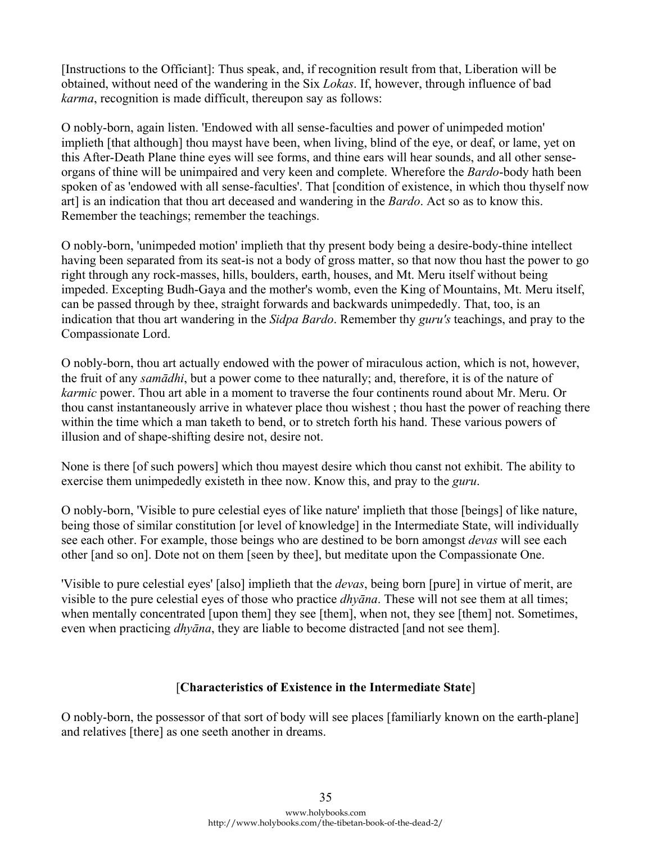[Instructions to the Officiant]: Thus speak, and, if recognition result from that, Liberation will be obtained, without need of the wandering in the Six *Lokas*. If, however, through influence of bad *karma*, recognition is made difficult, thereupon say as follows:

O nobly-born, again listen. 'Endowed with all sense-faculties and power of unimpeded motion' implieth [that although] thou mayst have been, when living, blind of the eye, or deaf, or lame, yet on this After-Death Plane thine eyes will see forms, and thine ears will hear sounds, and all other senseorgans of thine will be unimpaired and very keen and complete. Wherefore the *Bardo*-body hath been spoken of as 'endowed with all sense-faculties'. That [condition of existence, in which thou thyself now art] is an indication that thou art deceased and wandering in the *Bardo*. Act so as to know this. Remember the teachings; remember the teachings.

O nobly-born, 'unimpeded motion' implieth that thy present body being a desire-body-thine intellect having been separated from its seat-is not a body of gross matter, so that now thou hast the power to go right through any rock-masses, hills, boulders, earth, houses, and Mt. Meru itself without being impeded. Excepting Budh-Gaya and the mother's womb, even the King of Mountains, Mt. Meru itself, can be passed through by thee, straight forwards and backwards unimpededly. That, too, is an indication that thou art wandering in the *Sidpa Bardo*. Remember thy *guru's* teachings, and pray to the Compassionate Lord.

O nobly-born, thou art actually endowed with the power of miraculous action, which is not, however, the fruit of any *samādhi*, but a power come to thee naturally; and, therefore, it is of the nature of *karmic* power. Thou art able in a moment to traverse the four continents round about Mr. Meru. Or thou canst instantaneously arrive in whatever place thou wishest ; thou hast the power of reaching there within the time which a man taketh to bend, or to stretch forth his hand. These various powers of illusion and of shape-shifting desire not, desire not.

None is there [of such powers] which thou mayest desire which thou canst not exhibit. The ability to exercise them unimpededly existeth in thee now. Know this, and pray to the *guru*.

O nobly-born, 'Visible to pure celestial eyes of like nature' implieth that those [beings] of like nature, being those of similar constitution [or level of knowledge] in the Intermediate State, will individually see each other. For example, those beings who are destined to be born amongst *devas* will see each other [and so on]. Dote not on them [seen by thee], but meditate upon the Compassionate One.

'Visible to pure celestial eyes' [also] implieth that the *devas*, being born [pure] in virtue of merit, are visible to the pure celestial eyes of those who practice *dhyāna*. These will not see them at all times; when mentally concentrated [upon them] they see [them], when not, they see [them] not. Sometimes, even when practicing *dhyāna*, they are liable to become distracted [and not see them].

### [**Characteristics of Existence in the Intermediate State**]

O nobly-born, the possessor of that sort of body will see places [familiarly known on the earth-plane] and relatives [there] as one seeth another in dreams.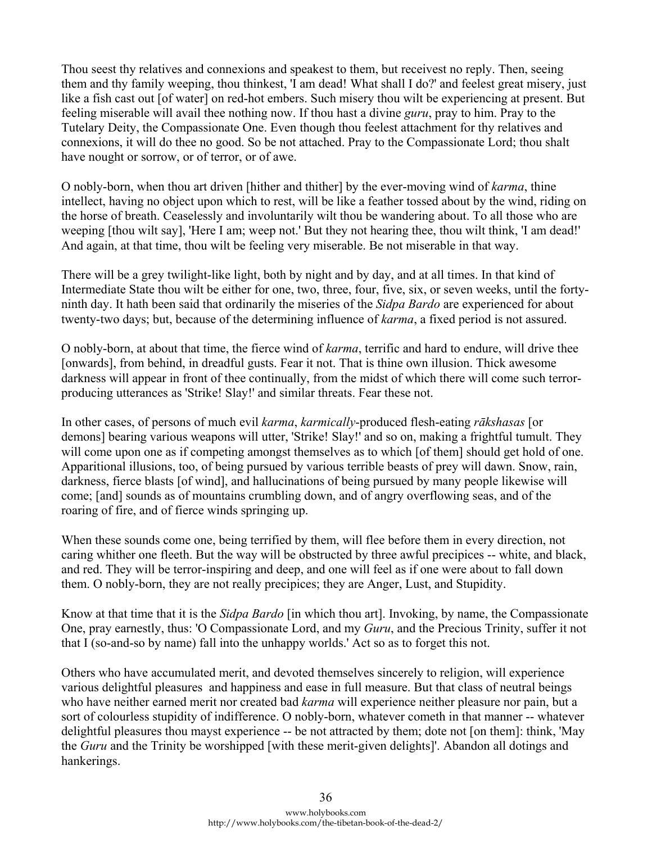Thou seest thy relatives and connexions and speakest to them, but receivest no reply. Then, seeing them and thy family weeping, thou thinkest, 'I am dead! What shall I do?' and feelest great misery, just like a fish cast out [of water] on red-hot embers. Such misery thou wilt be experiencing at present. But feeling miserable will avail thee nothing now. If thou hast a divine *guru*, pray to him. Pray to the Tutelary Deity, the Compassionate One. Even though thou feelest attachment for thy relatives and connexions, it will do thee no good. So be not attached. Pray to the Compassionate Lord; thou shalt have nought or sorrow, or of terror, or of awe.

O nobly-born, when thou art driven [hither and thither] by the ever-moving wind of *karma*, thine intellect, having no object upon which to rest, will be like a feather tossed about by the wind, riding on the horse of breath. Ceaselessly and involuntarily wilt thou be wandering about. To all those who are weeping [thou wilt say], 'Here I am; weep not.' But they not hearing thee, thou wilt think, 'I am dead!' And again, at that time, thou wilt be feeling very miserable. Be not miserable in that way.

There will be a grey twilight-like light, both by night and by day, and at all times. In that kind of Intermediate State thou wilt be either for one, two, three, four, five, six, or seven weeks, until the fortyninth day. It hath been said that ordinarily the miseries of the *Sidpa Bardo* are experienced for about twenty-two days; but, because of the determining influence of *karma*, a fixed period is not assured.

O nobly-born, at about that time, the fierce wind of *karma*, terrific and hard to endure, will drive thee [onwards], from behind, in dreadful gusts. Fear it not. That is thine own illusion. Thick awesome darkness will appear in front of thee continually, from the midst of which there will come such terrorproducing utterances as 'Strike! Slay!' and similar threats. Fear these not.

In other cases, of persons of much evil *karma*, *karmically*-produced flesh-eating *rākshasas* [or demons] bearing various weapons will utter, 'Strike! Slay!' and so on, making a frightful tumult. They will come upon one as if competing amongst themselves as to which [of them] should get hold of one. Apparitional illusions, too, of being pursued by various terrible beasts of prey will dawn. Snow, rain, darkness, fierce blasts [of wind], and hallucinations of being pursued by many people likewise will come; [and] sounds as of mountains crumbling down, and of angry overflowing seas, and of the roaring of fire, and of fierce winds springing up.

When these sounds come one, being terrified by them, will flee before them in every direction, not caring whither one fleeth. But the way will be obstructed by three awful precipices -- white, and black, and red. They will be terror-inspiring and deep, and one will feel as if one were about to fall down them. O nobly-born, they are not really precipices; they are Anger, Lust, and Stupidity.

Know at that time that it is the *Sidpa Bardo* [in which thou art]. Invoking, by name, the Compassionate One, pray earnestly, thus: 'O Compassionate Lord, and my *Guru*, and the Precious Trinity, suffer it not that I (so-and-so by name) fall into the unhappy worlds.' Act so as to forget this not.

Others who have accumulated merit, and devoted themselves sincerely to religion, will experience various delightful pleasures and happiness and ease in full measure. But that class of neutral beings who have neither earned merit nor created bad *karma* will experience neither pleasure nor pain, but a sort of colourless stupidity of indifference. O nobly-born, whatever cometh in that manner -- whatever delightful pleasures thou mayst experience -- be not attracted by them; dote not [on them]: think, 'May the *Guru* and the Trinity be worshipped [with these merit-given delights]'. Abandon all dotings and hankerings.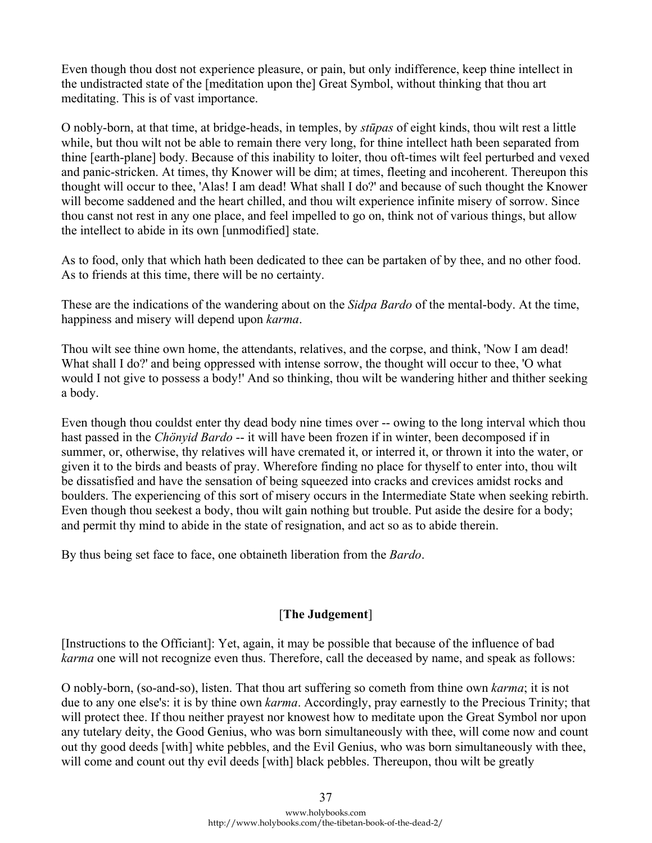Even though thou dost not experience pleasure, or pain, but only indifference, keep thine intellect in the undistracted state of the [meditation upon the] Great Symbol, without thinking that thou art meditating. This is of vast importance.

O nobly-born, at that time, at bridge-heads, in temples, by *stūpas* of eight kinds, thou wilt rest a little while, but thou wilt not be able to remain there very long, for thine intellect hath been separated from thine [earth-plane] body. Because of this inability to loiter, thou oft-times wilt feel perturbed and vexed and panic-stricken. At times, thy Knower will be dim; at times, fleeting and incoherent. Thereupon this thought will occur to thee, 'Alas! I am dead! What shall I do?' and because of such thought the Knower will become saddened and the heart chilled, and thou wilt experience infinite misery of sorrow. Since thou canst not rest in any one place, and feel impelled to go on, think not of various things, but allow the intellect to abide in its own [unmodified] state.

As to food, only that which hath been dedicated to thee can be partaken of by thee, and no other food. As to friends at this time, there will be no certainty.

These are the indications of the wandering about on the *Sidpa Bardo* of the mental-body. At the time, happiness and misery will depend upon *karma*.

Thou wilt see thine own home, the attendants, relatives, and the corpse, and think, 'Now I am dead! What shall I do?' and being oppressed with intense sorrow, the thought will occur to thee, 'O what would I not give to possess a body!' And so thinking, thou wilt be wandering hither and thither seeking a body.

Even though thou couldst enter thy dead body nine times over -- owing to the long interval which thou hast passed in the *Chönyid Bardo* -- it will have been frozen if in winter, been decomposed if in summer, or, otherwise, thy relatives will have cremated it, or interred it, or thrown it into the water, or given it to the birds and beasts of pray. Wherefore finding no place for thyself to enter into, thou wilt be dissatisfied and have the sensation of being squeezed into cracks and crevices amidst rocks and boulders. The experiencing of this sort of misery occurs in the Intermediate State when seeking rebirth. Even though thou seekest a body, thou wilt gain nothing but trouble. Put aside the desire for a body; and permit thy mind to abide in the state of resignation, and act so as to abide therein.

By thus being set face to face, one obtaineth liberation from the *Bardo*.

# [**The Judgement**]

[Instructions to the Officiant]: Yet, again, it may be possible that because of the influence of bad *karma* one will not recognize even thus. Therefore, call the deceased by name, and speak as follows:

O nobly-born, (so-and-so), listen. That thou art suffering so cometh from thine own *karma*; it is not due to any one else's: it is by thine own *karma*. Accordingly, pray earnestly to the Precious Trinity; that will protect thee. If thou neither prayest nor knowest how to meditate upon the Great Symbol nor upon any tutelary deity, the Good Genius, who was born simultaneously with thee, will come now and count out thy good deeds [with] white pebbles, and the Evil Genius, who was born simultaneously with thee, will come and count out thy evil deeds [with] black pebbles. Thereupon, thou wilt be greatly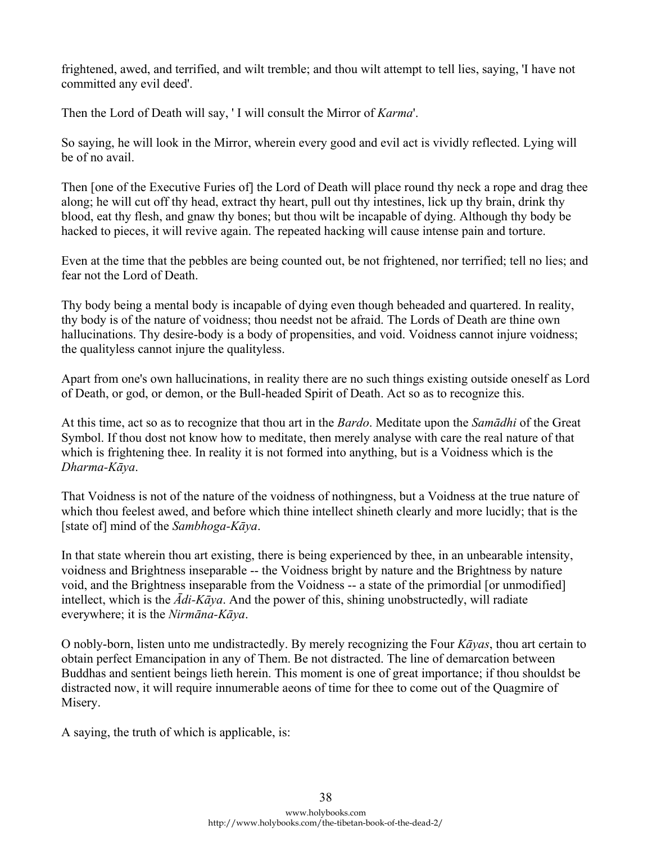frightened, awed, and terrified, and wilt tremble; and thou wilt attempt to tell lies, saying, 'I have not committed any evil deed'.

Then the Lord of Death will say, ' I will consult the Mirror of *Karma*'.

So saying, he will look in the Mirror, wherein every good and evil act is vividly reflected. Lying will be of no avail.

Then [one of the Executive Furies of] the Lord of Death will place round thy neck a rope and drag thee along; he will cut off thy head, extract thy heart, pull out thy intestines, lick up thy brain, drink thy blood, eat thy flesh, and gnaw thy bones; but thou wilt be incapable of dying. Although thy body be hacked to pieces, it will revive again. The repeated hacking will cause intense pain and torture.

Even at the time that the pebbles are being counted out, be not frightened, nor terrified; tell no lies; and fear not the Lord of Death.

Thy body being a mental body is incapable of dying even though beheaded and quartered. In reality, thy body is of the nature of voidness; thou needst not be afraid. The Lords of Death are thine own hallucinations. Thy desire-body is a body of propensities, and void. Voidness cannot injure voidness; the qualityless cannot injure the qualityless.

Apart from one's own hallucinations, in reality there are no such things existing outside oneself as Lord of Death, or god, or demon, or the Bull-headed Spirit of Death. Act so as to recognize this.

At this time, act so as to recognize that thou art in the *Bardo*. Meditate upon the *Samādhi* of the Great Symbol. If thou dost not know how to meditate, then merely analyse with care the real nature of that which is frightening thee. In reality it is not formed into anything, but is a Voidness which is the *Dharma-Kāya*.

That Voidness is not of the nature of the voidness of nothingness, but a Voidness at the true nature of which thou feelest awed, and before which thine intellect shineth clearly and more lucidly; that is the [state of] mind of the *Sambhoga-Kāya*.

In that state wherein thou art existing, there is being experienced by thee, in an unbearable intensity, voidness and Brightness inseparable -- the Voidness bright by nature and the Brightness by nature void, and the Brightness inseparable from the Voidness -- a state of the primordial [or unmodified] intellect, which is the *Ādi-Kāya*. And the power of this, shining unobstructedly, will radiate everywhere; it is the *Nirmāna-Kāya*.

O nobly-born, listen unto me undistractedly. By merely recognizing the Four *Kāyas*, thou art certain to obtain perfect Emancipation in any of Them. Be not distracted. The line of demarcation between Buddhas and sentient beings lieth herein. This moment is one of great importance; if thou shouldst be distracted now, it will require innumerable aeons of time for thee to come out of the Quagmire of Misery.

A saying, the truth of which is applicable, is: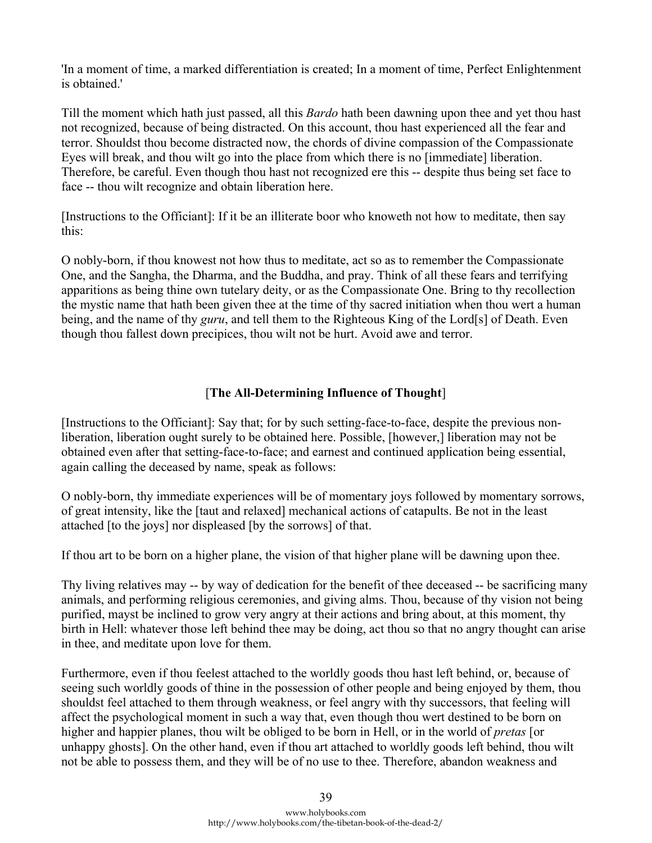'In a moment of time, a marked differentiation is created; In a moment of time, Perfect Enlightenment is obtained.'

Till the moment which hath just passed, all this *Bardo* hath been dawning upon thee and yet thou hast not recognized, because of being distracted. On this account, thou hast experienced all the fear and terror. Shouldst thou become distracted now, the chords of divine compassion of the Compassionate Eyes will break, and thou wilt go into the place from which there is no [immediate] liberation. Therefore, be careful. Even though thou hast not recognized ere this -- despite thus being set face to face -- thou wilt recognize and obtain liberation here.

[Instructions to the Officiant]: If it be an illiterate boor who knoweth not how to meditate, then say this:

O nobly-born, if thou knowest not how thus to meditate, act so as to remember the Compassionate One, and the Sangha, the Dharma, and the Buddha, and pray. Think of all these fears and terrifying apparitions as being thine own tutelary deity, or as the Compassionate One. Bring to thy recollection the mystic name that hath been given thee at the time of thy sacred initiation when thou wert a human being, and the name of thy *guru*, and tell them to the Righteous King of the Lord[s] of Death. Even though thou fallest down precipices, thou wilt not be hurt. Avoid awe and terror.

### [**The All-Determining Influence of Thought**]

[Instructions to the Officiant]: Say that; for by such setting-face-to-face, despite the previous nonliberation, liberation ought surely to be obtained here. Possible, [however,] liberation may not be obtained even after that setting-face-to-face; and earnest and continued application being essential, again calling the deceased by name, speak as follows:

O nobly-born, thy immediate experiences will be of momentary joys followed by momentary sorrows, of great intensity, like the [taut and relaxed] mechanical actions of catapults. Be not in the least attached [to the joys] nor displeased [by the sorrows] of that.

If thou art to be born on a higher plane, the vision of that higher plane will be dawning upon thee.

Thy living relatives may -- by way of dedication for the benefit of thee deceased -- be sacrificing many animals, and performing religious ceremonies, and giving alms. Thou, because of thy vision not being purified, mayst be inclined to grow very angry at their actions and bring about, at this moment, thy birth in Hell: whatever those left behind thee may be doing, act thou so that no angry thought can arise in thee, and meditate upon love for them.

Furthermore, even if thou feelest attached to the worldly goods thou hast left behind, or, because of seeing such worldly goods of thine in the possession of other people and being enjoyed by them, thou shouldst feel attached to them through weakness, or feel angry with thy successors, that feeling will affect the psychological moment in such a way that, even though thou wert destined to be born on higher and happier planes, thou wilt be obliged to be born in Hell, or in the world of *pretas* [or unhappy ghosts]. On the other hand, even if thou art attached to worldly goods left behind, thou wilt not be able to possess them, and they will be of no use to thee. Therefore, abandon weakness and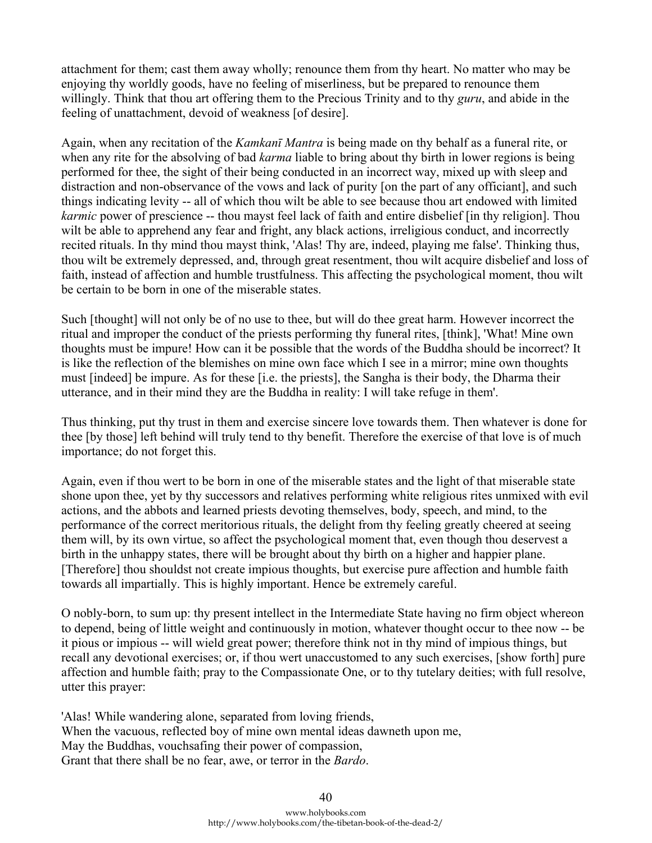attachment for them; cast them away wholly; renounce them from thy heart. No matter who may be enjoying thy worldly goods, have no feeling of miserliness, but be prepared to renounce them willingly. Think that thou art offering them to the Precious Trinity and to thy *guru*, and abide in the feeling of unattachment, devoid of weakness [of desire].

Again, when any recitation of the *Kamkanī Mantra* is being made on thy behalf as a funeral rite, or when any rite for the absolving of bad *karma* liable to bring about thy birth in lower regions is being performed for thee, the sight of their being conducted in an incorrect way, mixed up with sleep and distraction and non-observance of the vows and lack of purity [on the part of any officiant], and such things indicating levity -- all of which thou wilt be able to see because thou art endowed with limited *karmic* power of prescience -- thou mayst feel lack of faith and entire disbelief [in thy religion]. Thou wilt be able to apprehend any fear and fright, any black actions, irreligious conduct, and incorrectly recited rituals. In thy mind thou mayst think, 'Alas! Thy are, indeed, playing me false'. Thinking thus, thou wilt be extremely depressed, and, through great resentment, thou wilt acquire disbelief and loss of faith, instead of affection and humble trustfulness. This affecting the psychological moment, thou wilt be certain to be born in one of the miserable states.

Such [thought] will not only be of no use to thee, but will do thee great harm. However incorrect the ritual and improper the conduct of the priests performing thy funeral rites, [think], 'What! Mine own thoughts must be impure! How can it be possible that the words of the Buddha should be incorrect? It is like the reflection of the blemishes on mine own face which I see in a mirror; mine own thoughts must [indeed] be impure. As for these [i.e. the priests], the Sangha is their body, the Dharma their utterance, and in their mind they are the Buddha in reality: I will take refuge in them'.

Thus thinking, put thy trust in them and exercise sincere love towards them. Then whatever is done for thee [by those] left behind will truly tend to thy benefit. Therefore the exercise of that love is of much importance; do not forget this.

Again, even if thou wert to be born in one of the miserable states and the light of that miserable state shone upon thee, yet by thy successors and relatives performing white religious rites unmixed with evil actions, and the abbots and learned priests devoting themselves, body, speech, and mind, to the performance of the correct meritorious rituals, the delight from thy feeling greatly cheered at seeing them will, by its own virtue, so affect the psychological moment that, even though thou deservest a birth in the unhappy states, there will be brought about thy birth on a higher and happier plane. [Therefore] thou shouldst not create impious thoughts, but exercise pure affection and humble faith towards all impartially. This is highly important. Hence be extremely careful.

O nobly-born, to sum up: thy present intellect in the Intermediate State having no firm object whereon to depend, being of little weight and continuously in motion, whatever thought occur to thee now -- be it pious or impious -- will wield great power; therefore think not in thy mind of impious things, but recall any devotional exercises; or, if thou wert unaccustomed to any such exercises, [show forth] pure affection and humble faith; pray to the Compassionate One, or to thy tutelary deities; with full resolve, utter this prayer:

'Alas! While wandering alone, separated from loving friends, When the vacuous, reflected boy of mine own mental ideas dawneth upon me, May the Buddhas, vouchsafing their power of compassion, Grant that there shall be no fear, awe, or terror in the *Bardo*.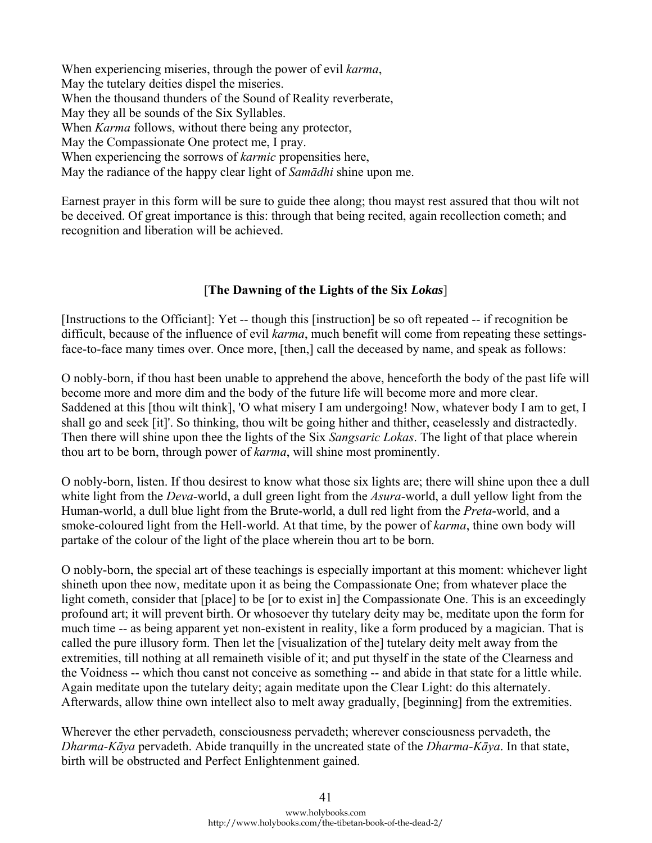When experiencing miseries, through the power of evil *karma*, May the tutelary deities dispel the miseries. When the thousand thunders of the Sound of Reality reverberate, May they all be sounds of the Six Syllables. When *Karma* follows, without there being any protector, May the Compassionate One protect me, I pray. When experiencing the sorrows of *karmic* propensities here, May the radiance of the happy clear light of *Samādhi* shine upon me.

Earnest prayer in this form will be sure to guide thee along; thou mayst rest assured that thou wilt not be deceived. Of great importance is this: through that being recited, again recollection cometh; and recognition and liberation will be achieved.

# [**The Dawning of the Lights of the Six** *Lokas*]

[Instructions to the Officiant]: Yet -- though this [instruction] be so oft repeated -- if recognition be difficult, because of the influence of evil *karma*, much benefit will come from repeating these settingsface-to-face many times over. Once more, [then,] call the deceased by name, and speak as follows:

O nobly-born, if thou hast been unable to apprehend the above, henceforth the body of the past life will become more and more dim and the body of the future life will become more and more clear. Saddened at this [thou wilt think], 'O what misery I am undergoing! Now, whatever body I am to get, I shall go and seek [it]'. So thinking, thou wilt be going hither and thither, ceaselessly and distractedly. Then there will shine upon thee the lights of the Six *Sangsaric Lokas*. The light of that place wherein thou art to be born, through power of *karma*, will shine most prominently.

O nobly-born, listen. If thou desirest to know what those six lights are; there will shine upon thee a dull white light from the *Deva*-world, a dull green light from the *Asura*-world, a dull yellow light from the Human-world, a dull blue light from the Brute-world, a dull red light from the *Preta*-world, and a smoke-coloured light from the Hell-world. At that time, by the power of *karma*, thine own body will partake of the colour of the light of the place wherein thou art to be born.

O nobly-born, the special art of these teachings is especially important at this moment: whichever light shineth upon thee now, meditate upon it as being the Compassionate One; from whatever place the light cometh, consider that [place] to be [or to exist in] the Compassionate One. This is an exceedingly profound art; it will prevent birth. Or whosoever thy tutelary deity may be, meditate upon the form for much time -- as being apparent yet non-existent in reality, like a form produced by a magician. That is called the pure illusory form. Then let the [visualization of the] tutelary deity melt away from the extremities, till nothing at all remaineth visible of it; and put thyself in the state of the Clearness and the Voidness -- which thou canst not conceive as something -- and abide in that state for a little while. Again meditate upon the tutelary deity; again meditate upon the Clear Light: do this alternately. Afterwards, allow thine own intellect also to melt away gradually, [beginning] from the extremities.

Wherever the ether pervadeth, consciousness pervadeth; wherever consciousness pervadeth, the *Dharma-Kāya* pervadeth. Abide tranquilly in the uncreated state of the *Dharma-Kāya*. In that state, birth will be obstructed and Perfect Enlightenment gained.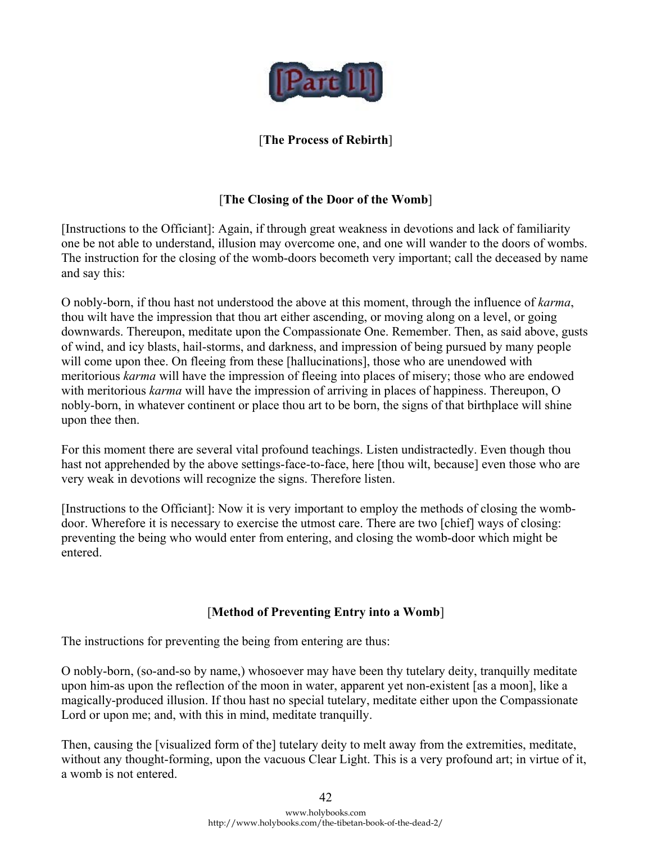

# [**The Process of Rebirth**]

# [**The Closing of the Door of the Womb**]

[Instructions to the Officiant]: Again, if through great weakness in devotions and lack of familiarity one be not able to understand, illusion may overcome one, and one will wander to the doors of wombs. The instruction for the closing of the womb-doors becometh very important; call the deceased by name and say this:

O nobly-born, if thou hast not understood the above at this moment, through the influence of *karma*, thou wilt have the impression that thou art either ascending, or moving along on a level, or going downwards. Thereupon, meditate upon the Compassionate One. Remember. Then, as said above, gusts of wind, and icy blasts, hail-storms, and darkness, and impression of being pursued by many people will come upon thee. On fleeing from these [hallucinations], those who are unendowed with meritorious *karma* will have the impression of fleeing into places of misery; those who are endowed with meritorious *karma* will have the impression of arriving in places of happiness. Thereupon, O nobly-born, in whatever continent or place thou art to be born, the signs of that birthplace will shine upon thee then.

For this moment there are several vital profound teachings. Listen undistractedly. Even though thou hast not apprehended by the above settings-face-to-face, here [thou wilt, because] even those who are very weak in devotions will recognize the signs. Therefore listen.

[Instructions to the Officiant]: Now it is very important to employ the methods of closing the wombdoor. Wherefore it is necessary to exercise the utmost care. There are two [chief] ways of closing: preventing the being who would enter from entering, and closing the womb-door which might be entered.

### [**Method of Preventing Entry into a Womb**]

The instructions for preventing the being from entering are thus:

O nobly-born, (so-and-so by name,) whosoever may have been thy tutelary deity, tranquilly meditate upon him-as upon the reflection of the moon in water, apparent yet non-existent [as a moon], like a magically-produced illusion. If thou hast no special tutelary, meditate either upon the Compassionate Lord or upon me; and, with this in mind, meditate tranquilly.

Then, causing the [visualized form of the] tutelary deity to melt away from the extremities, meditate, without any thought-forming, upon the vacuous Clear Light. This is a very profound art; in virtue of it, a womb is not entered.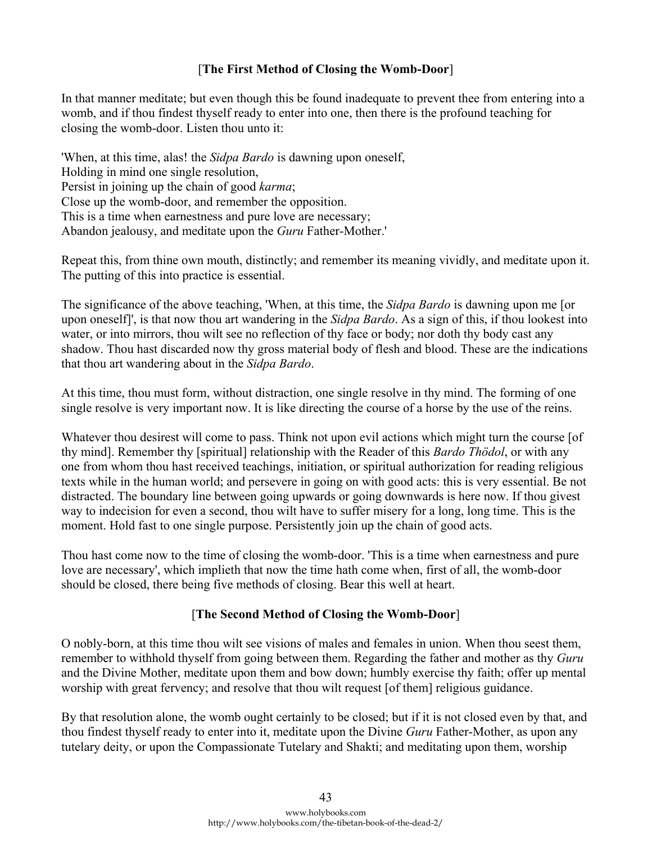## [**The First Method of Closing the Womb-Door**]

In that manner meditate; but even though this be found inadequate to prevent thee from entering into a womb, and if thou findest thyself ready to enter into one, then there is the profound teaching for closing the womb-door. Listen thou unto it:

'When, at this time, alas! the *Sidpa Bardo* is dawning upon oneself, Holding in mind one single resolution, Persist in joining up the chain of good *karma*; Close up the womb-door, and remember the opposition. This is a time when earnestness and pure love are necessary; Abandon jealousy, and meditate upon the *Guru* Father-Mother.'

Repeat this, from thine own mouth, distinctly; and remember its meaning vividly, and meditate upon it. The putting of this into practice is essential.

The significance of the above teaching, 'When, at this time, the *Sidpa Bardo* is dawning upon me [or upon oneself]', is that now thou art wandering in the *Sidpa Bardo*. As a sign of this, if thou lookest into water, or into mirrors, thou wilt see no reflection of thy face or body; nor doth thy body cast any shadow. Thou hast discarded now thy gross material body of flesh and blood. These are the indications that thou art wandering about in the *Sidpa Bardo*.

At this time, thou must form, without distraction, one single resolve in thy mind. The forming of one single resolve is very important now. It is like directing the course of a horse by the use of the reins.

Whatever thou desirest will come to pass. Think not upon evil actions which might turn the course [of thy mind]. Remember thy [spiritual] relationship with the Reader of this *Bardo Thödol*, or with any one from whom thou hast received teachings, initiation, or spiritual authorization for reading religious texts while in the human world; and persevere in going on with good acts: this is very essential. Be not distracted. The boundary line between going upwards or going downwards is here now. If thou givest way to indecision for even a second, thou wilt have to suffer misery for a long, long time. This is the moment. Hold fast to one single purpose. Persistently join up the chain of good acts.

Thou hast come now to the time of closing the womb-door. 'This is a time when earnestness and pure love are necessary', which implieth that now the time hath come when, first of all, the womb-door should be closed, there being five methods of closing. Bear this well at heart.

### [**The Second Method of Closing the Womb-Door**]

O nobly-born, at this time thou wilt see visions of males and females in union. When thou seest them, remember to withhold thyself from going between them. Regarding the father and mother as thy *Guru* and the Divine Mother, meditate upon them and bow down; humbly exercise thy faith; offer up mental worship with great fervency; and resolve that thou wilt request [of them] religious guidance.

By that resolution alone, the womb ought certainly to be closed; but if it is not closed even by that, and thou findest thyself ready to enter into it, meditate upon the Divine *Guru* Father-Mother, as upon any tutelary deity, or upon the Compassionate Tutelary and Shakti; and meditating upon them, worship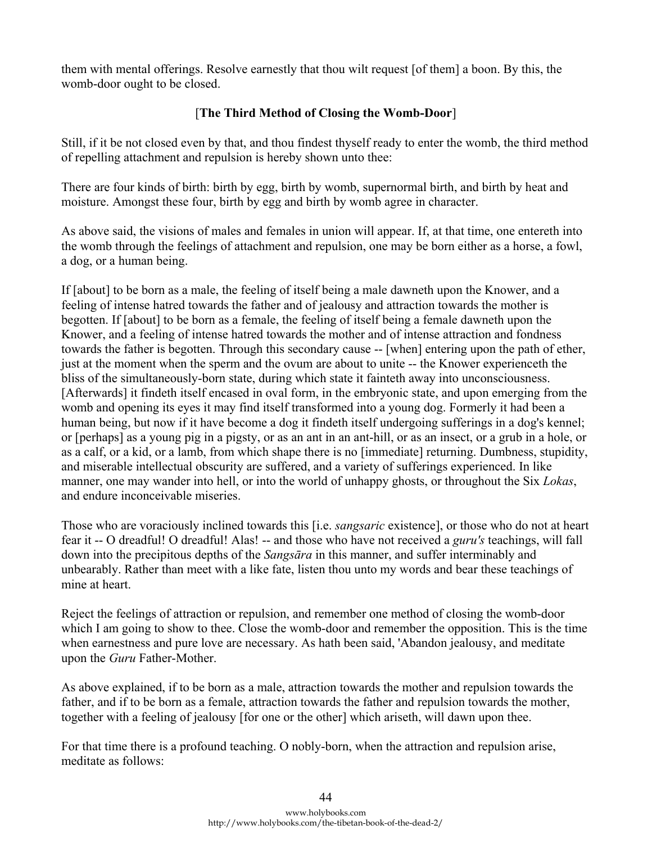them with mental offerings. Resolve earnestly that thou wilt request [of them] a boon. By this, the womb-door ought to be closed.

# [**The Third Method of Closing the Womb-Door**]

Still, if it be not closed even by that, and thou findest thyself ready to enter the womb, the third method of repelling attachment and repulsion is hereby shown unto thee:

There are four kinds of birth: birth by egg, birth by womb, supernormal birth, and birth by heat and moisture. Amongst these four, birth by egg and birth by womb agree in character.

As above said, the visions of males and females in union will appear. If, at that time, one entereth into the womb through the feelings of attachment and repulsion, one may be born either as a horse, a fowl, a dog, or a human being.

If [about] to be born as a male, the feeling of itself being a male dawneth upon the Knower, and a feeling of intense hatred towards the father and of jealousy and attraction towards the mother is begotten. If [about] to be born as a female, the feeling of itself being a female dawneth upon the Knower, and a feeling of intense hatred towards the mother and of intense attraction and fondness towards the father is begotten. Through this secondary cause -- [when] entering upon the path of ether, just at the moment when the sperm and the ovum are about to unite -- the Knower experienceth the bliss of the simultaneously-born state, during which state it fainteth away into unconsciousness. [Afterwards] it findeth itself encased in oval form, in the embryonic state, and upon emerging from the womb and opening its eyes it may find itself transformed into a young dog. Formerly it had been a human being, but now if it have become a dog it findeth itself undergoing sufferings in a dog's kennel; or [perhaps] as a young pig in a pigsty, or as an ant in an ant-hill, or as an insect, or a grub in a hole, or as a calf, or a kid, or a lamb, from which shape there is no [immediate] returning. Dumbness, stupidity, and miserable intellectual obscurity are suffered, and a variety of sufferings experienced. In like manner, one may wander into hell, or into the world of unhappy ghosts, or throughout the Six *Lokas*, and endure inconceivable miseries.

Those who are voraciously inclined towards this [i.e. *sangsaric* existence], or those who do not at heart fear it -- O dreadful! O dreadful! Alas! -- and those who have not received a *guru's* teachings, will fall down into the precipitous depths of the *Sangsāra* in this manner, and suffer interminably and unbearably. Rather than meet with a like fate, listen thou unto my words and bear these teachings of mine at heart.

Reject the feelings of attraction or repulsion, and remember one method of closing the womb-door which I am going to show to thee. Close the womb-door and remember the opposition. This is the time when earnestness and pure love are necessary. As hath been said, 'Abandon jealousy, and meditate upon the *Guru* Father-Mother.

As above explained, if to be born as a male, attraction towards the mother and repulsion towards the father, and if to be born as a female, attraction towards the father and repulsion towards the mother, together with a feeling of jealousy [for one or the other] which ariseth, will dawn upon thee.

For that time there is a profound teaching. O nobly-born, when the attraction and repulsion arise, meditate as follows: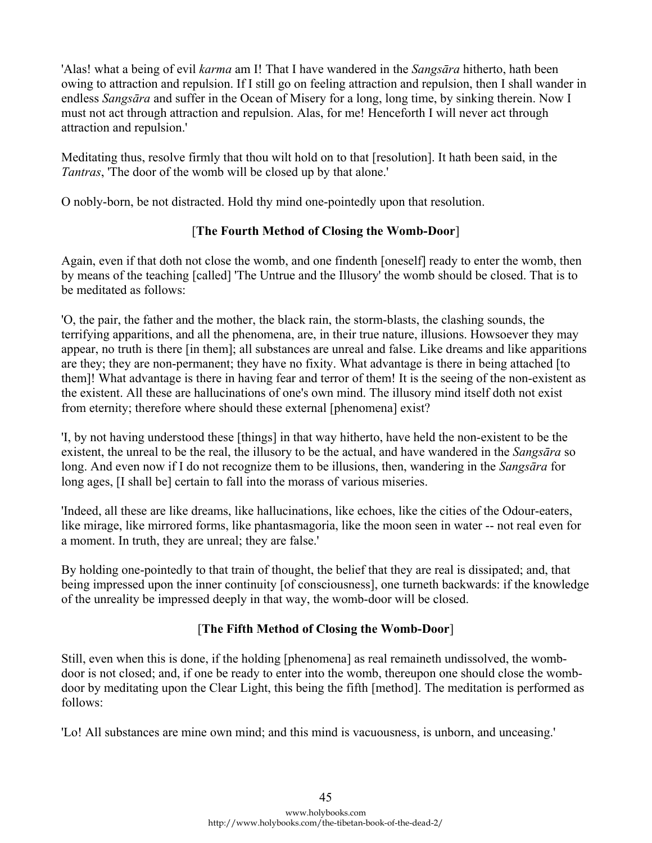'Alas! what a being of evil *karma* am I! That I have wandered in the *Sangsāra* hitherto, hath been owing to attraction and repulsion. If I still go on feeling attraction and repulsion, then I shall wander in endless *Sangsāra* and suffer in the Ocean of Misery for a long, long time, by sinking therein. Now I must not act through attraction and repulsion. Alas, for me! Henceforth I will never act through attraction and repulsion.'

Meditating thus, resolve firmly that thou wilt hold on to that [resolution]. It hath been said, in the *Tantras*, 'The door of the womb will be closed up by that alone.'

O nobly-born, be not distracted. Hold thy mind one-pointedly upon that resolution.

# [**The Fourth Method of Closing the Womb-Door**]

Again, even if that doth not close the womb, and one findenth [oneself] ready to enter the womb, then by means of the teaching [called] 'The Untrue and the Illusory' the womb should be closed. That is to be meditated as follows:

'O, the pair, the father and the mother, the black rain, the storm-blasts, the clashing sounds, the terrifying apparitions, and all the phenomena, are, in their true nature, illusions. Howsoever they may appear, no truth is there [in them]; all substances are unreal and false. Like dreams and like apparitions are they; they are non-permanent; they have no fixity. What advantage is there in being attached [to them]! What advantage is there in having fear and terror of them! It is the seeing of the non-existent as the existent. All these are hallucinations of one's own mind. The illusory mind itself doth not exist from eternity; therefore where should these external [phenomena] exist?

'I, by not having understood these [things] in that way hitherto, have held the non-existent to be the existent, the unreal to be the real, the illusory to be the actual, and have wandered in the *Sangsāra* so long. And even now if I do not recognize them to be illusions, then, wandering in the *Sangsāra* for long ages, [I shall be] certain to fall into the morass of various miseries.

'Indeed, all these are like dreams, like hallucinations, like echoes, like the cities of the Odour-eaters, like mirage, like mirrored forms, like phantasmagoria, like the moon seen in water -- not real even for a moment. In truth, they are unreal; they are false.'

By holding one-pointedly to that train of thought, the belief that they are real is dissipated; and, that being impressed upon the inner continuity [of consciousness], one turneth backwards: if the knowledge of the unreality be impressed deeply in that way, the womb-door will be closed.

# [**The Fifth Method of Closing the Womb-Door**]

Still, even when this is done, if the holding [phenomena] as real remaineth undissolved, the wombdoor is not closed; and, if one be ready to enter into the womb, thereupon one should close the wombdoor by meditating upon the Clear Light, this being the fifth [method]. The meditation is performed as follows:

'Lo! All substances are mine own mind; and this mind is vacuousness, is unborn, and unceasing.'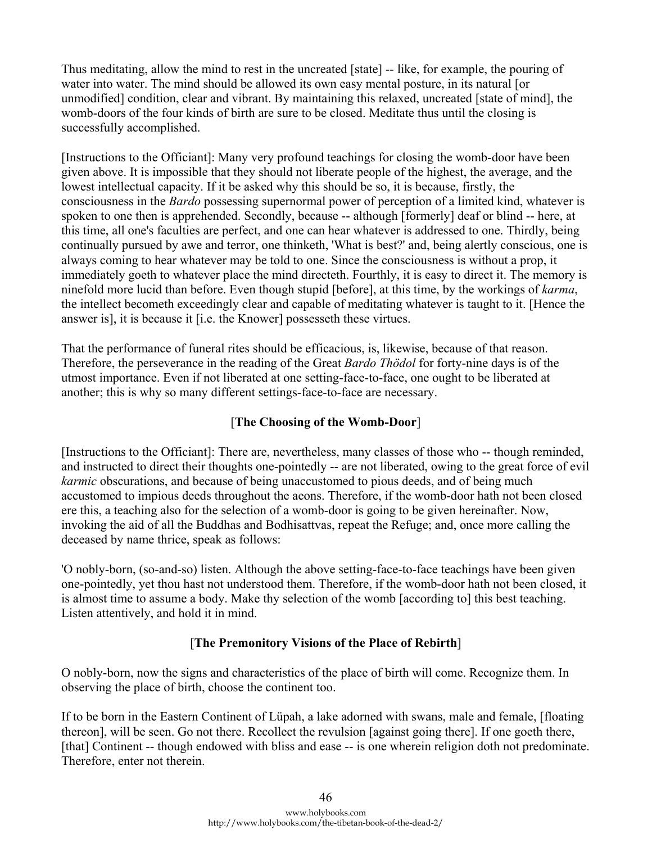Thus meditating, allow the mind to rest in the uncreated [state] -- like, for example, the pouring of water into water. The mind should be allowed its own easy mental posture, in its natural [or unmodified] condition, clear and vibrant. By maintaining this relaxed, uncreated [state of mind], the womb-doors of the four kinds of birth are sure to be closed. Meditate thus until the closing is successfully accomplished.

[Instructions to the Officiant]: Many very profound teachings for closing the womb-door have been given above. It is impossible that they should not liberate people of the highest, the average, and the lowest intellectual capacity. If it be asked why this should be so, it is because, firstly, the consciousness in the *Bardo* possessing supernormal power of perception of a limited kind, whatever is spoken to one then is apprehended. Secondly, because -- although [formerly] deaf or blind -- here, at this time, all one's faculties are perfect, and one can hear whatever is addressed to one. Thirdly, being continually pursued by awe and terror, one thinketh, 'What is best?' and, being alertly conscious, one is always coming to hear whatever may be told to one. Since the consciousness is without a prop, it immediately goeth to whatever place the mind directeth. Fourthly, it is easy to direct it. The memory is ninefold more lucid than before. Even though stupid [before], at this time, by the workings of *karma*, the intellect becometh exceedingly clear and capable of meditating whatever is taught to it. [Hence the answer is], it is because it [i.e. the Knower] possesseth these virtues.

That the performance of funeral rites should be efficacious, is, likewise, because of that reason. Therefore, the perseverance in the reading of the Great *Bardo Thödol* for forty-nine days is of the utmost importance. Even if not liberated at one setting-face-to-face, one ought to be liberated at another; this is why so many different settings-face-to-face are necessary.

# [**The Choosing of the Womb-Door**]

[Instructions to the Officiant]: There are, nevertheless, many classes of those who -- though reminded, and instructed to direct their thoughts one-pointedly -- are not liberated, owing to the great force of evil *karmic* obscurations, and because of being unaccustomed to pious deeds, and of being much accustomed to impious deeds throughout the aeons. Therefore, if the womb-door hath not been closed ere this, a teaching also for the selection of a womb-door is going to be given hereinafter. Now, invoking the aid of all the Buddhas and Bodhisattvas, repeat the Refuge; and, once more calling the deceased by name thrice, speak as follows:

'O nobly-born, (so-and-so) listen. Although the above setting-face-to-face teachings have been given one-pointedly, yet thou hast not understood them. Therefore, if the womb-door hath not been closed, it is almost time to assume a body. Make thy selection of the womb [according to] this best teaching. Listen attentively, and hold it in mind.

### [**The Premonitory Visions of the Place of Rebirth**]

O nobly-born, now the signs and characteristics of the place of birth will come. Recognize them. In observing the place of birth, choose the continent too.

If to be born in the Eastern Continent of Lüpah, a lake adorned with swans, male and female, [floating thereon], will be seen. Go not there. Recollect the revulsion [against going there]. If one goeth there, [that] Continent -- though endowed with bliss and ease -- is one wherein religion doth not predominate. Therefore, enter not therein.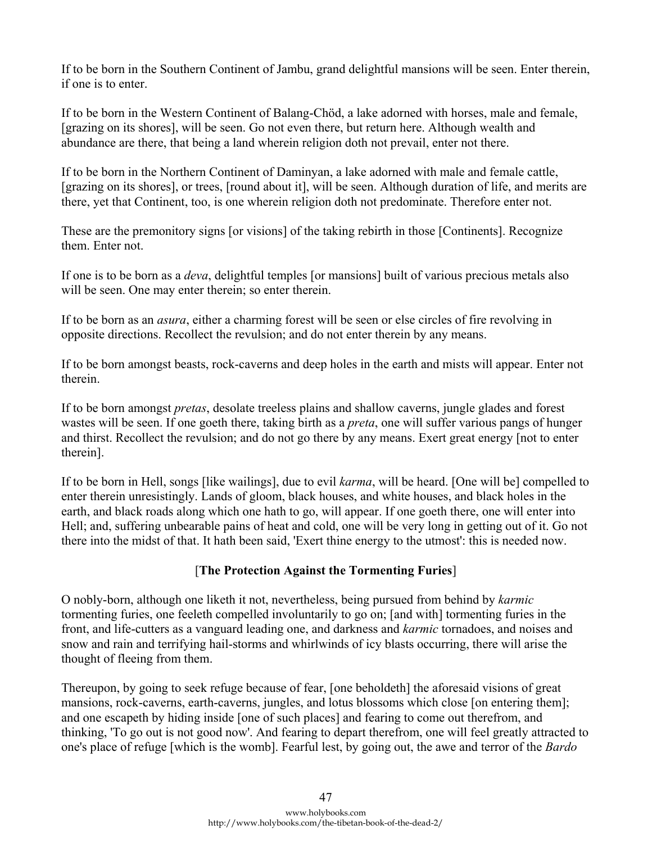If to be born in the Southern Continent of Jambu, grand delightful mansions will be seen. Enter therein, if one is to enter.

If to be born in the Western Continent of Balang-Chöd, a lake adorned with horses, male and female, [grazing on its shores], will be seen. Go not even there, but return here. Although wealth and abundance are there, that being a land wherein religion doth not prevail, enter not there.

If to be born in the Northern Continent of Daminyan, a lake adorned with male and female cattle, [grazing on its shores], or trees, [round about it], will be seen. Although duration of life, and merits are there, yet that Continent, too, is one wherein religion doth not predominate. Therefore enter not.

These are the premonitory signs [or visions] of the taking rebirth in those [Continents]. Recognize them. Enter not.

If one is to be born as a *deva*, delightful temples [or mansions] built of various precious metals also will be seen. One may enter therein; so enter therein.

If to be born as an *asura*, either a charming forest will be seen or else circles of fire revolving in opposite directions. Recollect the revulsion; and do not enter therein by any means.

If to be born amongst beasts, rock-caverns and deep holes in the earth and mists will appear. Enter not therein.

If to be born amongst *pretas*, desolate treeless plains and shallow caverns, jungle glades and forest wastes will be seen. If one goeth there, taking birth as a *preta*, one will suffer various pangs of hunger and thirst. Recollect the revulsion; and do not go there by any means. Exert great energy [not to enter therein].

If to be born in Hell, songs [like wailings], due to evil *karma*, will be heard. [One will be] compelled to enter therein unresistingly. Lands of gloom, black houses, and white houses, and black holes in the earth, and black roads along which one hath to go, will appear. If one goeth there, one will enter into Hell; and, suffering unbearable pains of heat and cold, one will be very long in getting out of it. Go not there into the midst of that. It hath been said, 'Exert thine energy to the utmost': this is needed now.

# [**The Protection Against the Tormenting Furies**]

O nobly-born, although one liketh it not, nevertheless, being pursued from behind by *karmic* tormenting furies, one feeleth compelled involuntarily to go on; [and with] tormenting furies in the front, and life-cutters as a vanguard leading one, and darkness and *karmic* tornadoes, and noises and snow and rain and terrifying hail-storms and whirlwinds of icy blasts occurring, there will arise the thought of fleeing from them.

Thereupon, by going to seek refuge because of fear, [one beholdeth] the aforesaid visions of great mansions, rock-caverns, earth-caverns, jungles, and lotus blossoms which close [on entering them]; and one escapeth by hiding inside [one of such places] and fearing to come out therefrom, and thinking, 'To go out is not good now'. And fearing to depart therefrom, one will feel greatly attracted to one's place of refuge [which is the womb]. Fearful lest, by going out, the awe and terror of the *Bardo*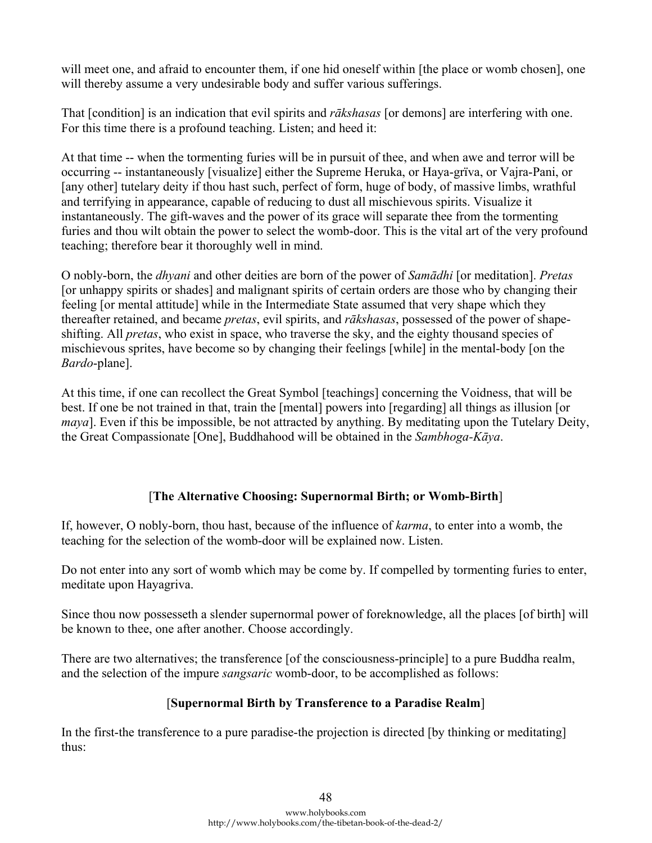will meet one, and afraid to encounter them, if one hid oneself within [the place or womb chosen], one will thereby assume a very undesirable body and suffer various sufferings.

That [condition] is an indication that evil spirits and *rākshasas* [or demons] are interfering with one. For this time there is a profound teaching. Listen; and heed it:

At that time -- when the tormenting furies will be in pursuit of thee, and when awe and terror will be occurring -- instantaneously [visualize] either the Supreme Heruka, or Haya-grïva, or Vajra-Pani, or [any other] tutelary deity if thou hast such, perfect of form, huge of body, of massive limbs, wrathful and terrifying in appearance, capable of reducing to dust all mischievous spirits. Visualize it instantaneously. The gift-waves and the power of its grace will separate thee from the tormenting furies and thou wilt obtain the power to select the womb-door. This is the vital art of the very profound teaching; therefore bear it thoroughly well in mind.

O nobly-born, the *dhyani* and other deities are born of the power of *Samādhi* [or meditation]. *Pretas* [or unhappy spirits or shades] and malignant spirits of certain orders are those who by changing their feeling [or mental attitude] while in the Intermediate State assumed that very shape which they thereafter retained, and became *pretas*, evil spirits, and *rākshasas*, possessed of the power of shapeshifting. All *pretas*, who exist in space, who traverse the sky, and the eighty thousand species of mischievous sprites, have become so by changing their feelings [while] in the mental-body [on the *Bardo*-plane].

At this time, if one can recollect the Great Symbol [teachings] concerning the Voidness, that will be best. If one be not trained in that, train the [mental] powers into [regarding] all things as illusion [or *maya*]. Even if this be impossible, be not attracted by anything. By meditating upon the Tutelary Deity, the Great Compassionate [One], Buddhahood will be obtained in the *Sambhoga-Kāya*.

# [**The Alternative Choosing: Supernormal Birth; or Womb-Birth**]

If, however, O nobly-born, thou hast, because of the influence of *karma*, to enter into a womb, the teaching for the selection of the womb-door will be explained now. Listen.

Do not enter into any sort of womb which may be come by. If compelled by tormenting furies to enter, meditate upon Hayagriva.

Since thou now possesseth a slender supernormal power of foreknowledge, all the places [of birth] will be known to thee, one after another. Choose accordingly.

There are two alternatives; the transference [of the consciousness-principle] to a pure Buddha realm, and the selection of the impure *sangsaric* womb-door, to be accomplished as follows:

# [**Supernormal Birth by Transference to a Paradise Realm**]

In the first-the transference to a pure paradise-the projection is directed [by thinking or meditating] thus: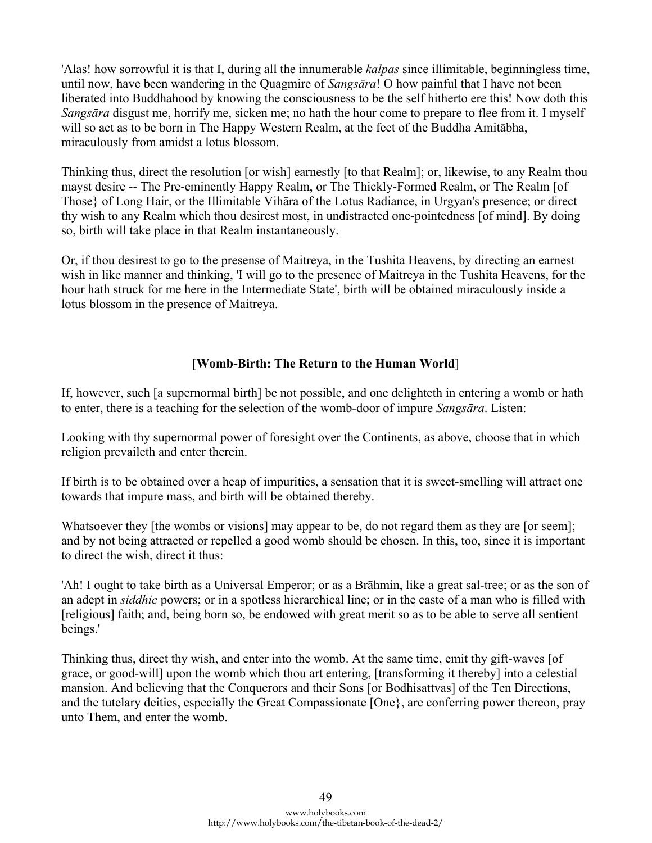'Alas! how sorrowful it is that I, during all the innumerable *kalpas* since illimitable, beginningless time, until now, have been wandering in the Quagmire of *Sangsāra*! O how painful that I have not been liberated into Buddhahood by knowing the consciousness to be the self hitherto ere this! Now doth this *Sangsāra* disgust me, horrify me, sicken me; no hath the hour come to prepare to flee from it. I myself will so act as to be born in The Happy Western Realm, at the feet of the Buddha Amitābha, miraculously from amidst a lotus blossom.

Thinking thus, direct the resolution [or wish] earnestly [to that Realm]; or, likewise, to any Realm thou mayst desire -- The Pre-eminently Happy Realm, or The Thickly-Formed Realm, or The Realm [of Those} of Long Hair, or the Illimitable Vihāra of the Lotus Radiance, in Urgyan's presence; or direct thy wish to any Realm which thou desirest most, in undistracted one-pointedness [of mind]. By doing so, birth will take place in that Realm instantaneously.

Or, if thou desirest to go to the presense of Maitreya, in the Tushita Heavens, by directing an earnest wish in like manner and thinking, 'I will go to the presence of Maitreya in the Tushita Heavens, for the hour hath struck for me here in the Intermediate State', birth will be obtained miraculously inside a lotus blossom in the presence of Maitreya.

# [**Womb-Birth: The Return to the Human World**]

If, however, such [a supernormal birth] be not possible, and one delighteth in entering a womb or hath to enter, there is a teaching for the selection of the womb-door of impure *Sangsāra*. Listen:

Looking with thy supernormal power of foresight over the Continents, as above, choose that in which religion prevaileth and enter therein.

If birth is to be obtained over a heap of impurities, a sensation that it is sweet-smelling will attract one towards that impure mass, and birth will be obtained thereby.

Whatsoever they [the wombs or visions] may appear to be, do not regard them as they are [or seem]; and by not being attracted or repelled a good womb should be chosen. In this, too, since it is important to direct the wish, direct it thus:

'Ah! I ought to take birth as a Universal Emperor; or as a Brāhmin, like a great sal-tree; or as the son of an adept in *siddhic* powers; or in a spotless hierarchical line; or in the caste of a man who is filled with [religious] faith; and, being born so, be endowed with great merit so as to be able to serve all sentient beings.'

Thinking thus, direct thy wish, and enter into the womb. At the same time, emit thy gift-waves [of grace, or good-will] upon the womb which thou art entering, [transforming it thereby] into a celestial mansion. And believing that the Conquerors and their Sons [or Bodhisattvas] of the Ten Directions, and the tutelary deities, especially the Great Compassionate [One}, are conferring power thereon, pray unto Them, and enter the womb.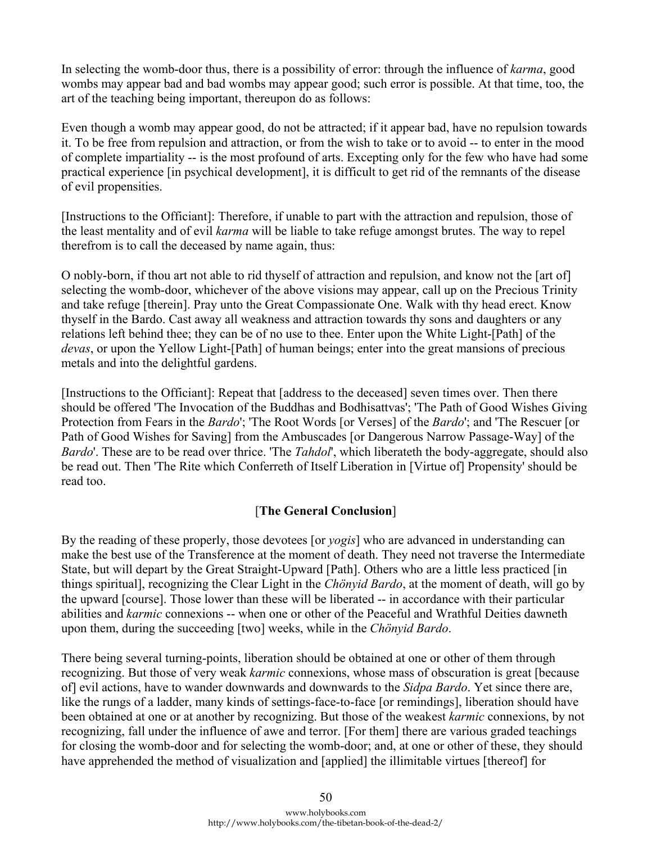In selecting the womb-door thus, there is a possibility of error: through the influence of *karma*, good wombs may appear bad and bad wombs may appear good; such error is possible. At that time, too, the art of the teaching being important, thereupon do as follows:

Even though a womb may appear good, do not be attracted; if it appear bad, have no repulsion towards it. To be free from repulsion and attraction, or from the wish to take or to avoid -- to enter in the mood of complete impartiality -- is the most profound of arts. Excepting only for the few who have had some practical experience [in psychical development], it is difficult to get rid of the remnants of the disease of evil propensities.

[Instructions to the Officiant]: Therefore, if unable to part with the attraction and repulsion, those of the least mentality and of evil *karma* will be liable to take refuge amongst brutes. The way to repel therefrom is to call the deceased by name again, thus:

O nobly-born, if thou art not able to rid thyself of attraction and repulsion, and know not the [art of] selecting the womb-door, whichever of the above visions may appear, call up on the Precious Trinity and take refuge [therein]. Pray unto the Great Compassionate One. Walk with thy head erect. Know thyself in the Bardo. Cast away all weakness and attraction towards thy sons and daughters or any relations left behind thee; they can be of no use to thee. Enter upon the White Light-[Path] of the *devas*, or upon the Yellow Light-[Path] of human beings; enter into the great mansions of precious metals and into the delightful gardens.

[Instructions to the Officiant]: Repeat that [address to the deceased] seven times over. Then there should be offered 'The Invocation of the Buddhas and Bodhisattvas'; 'The Path of Good Wishes Giving Protection from Fears in the *Bardo*'; 'The Root Words [or Verses] of the *Bardo*'; and 'The Rescuer [or Path of Good Wishes for Saving] from the Ambuscades [or Dangerous Narrow Passage-Way] of the *Bardo*'. These are to be read over thrice. 'The *Tahdol*', which liberateth the body-aggregate, should also be read out. Then 'The Rite which Conferreth of Itself Liberation in [Virtue of] Propensity' should be read too.

# [**The General Conclusion**]

By the reading of these properly, those devotees [or *yogis*] who are advanced in understanding can make the best use of the Transference at the moment of death. They need not traverse the Intermediate State, but will depart by the Great Straight-Upward [Path]. Others who are a little less practiced [in things spiritual], recognizing the Clear Light in the *Chönyid Bardo*, at the moment of death, will go by the upward [course]. Those lower than these will be liberated -- in accordance with their particular abilities and *karmic* connexions -- when one or other of the Peaceful and Wrathful Deities dawneth upon them, during the succeeding [two] weeks, while in the *Chönyid Bardo*.

There being several turning-points, liberation should be obtained at one or other of them through recognizing. But those of very weak *karmic* connexions, whose mass of obscuration is great [because of] evil actions, have to wander downwards and downwards to the *Sidpa Bardo*. Yet since there are, like the rungs of a ladder, many kinds of settings-face-to-face [or remindings], liberation should have been obtained at one or at another by recognizing. But those of the weakest *karmic* connexions, by not recognizing, fall under the influence of awe and terror. [For them] there are various graded teachings for closing the womb-door and for selecting the womb-door; and, at one or other of these, they should have apprehended the method of visualization and [applied] the illimitable virtues [thereof] for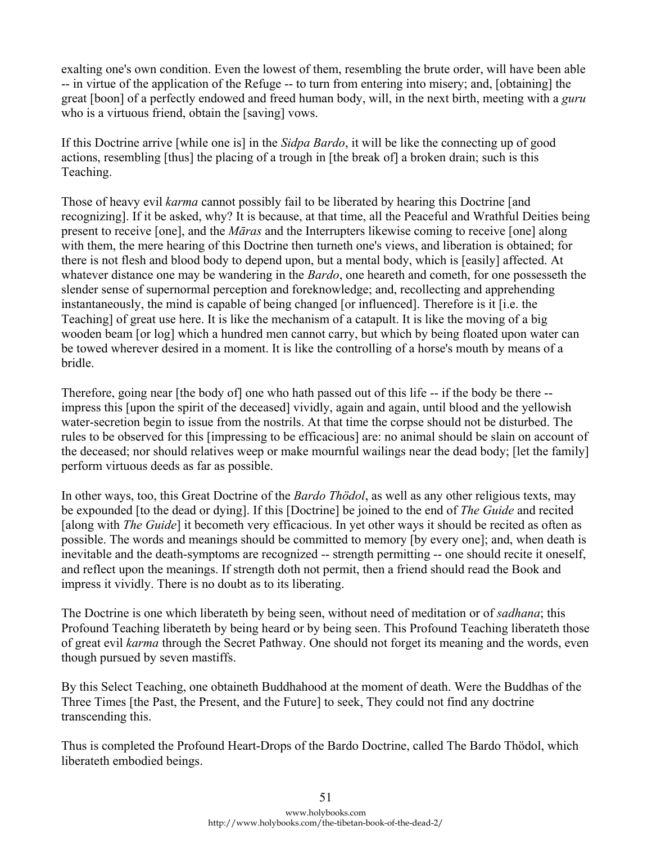exalting one's own condition. Even the lowest of them, resembling the brute order, will have been able -- in virtue of the application of the Refuge -- to turn from entering into misery; and, [obtaining] the great [boon] of a perfectly endowed and freed human body, will, in the next birth, meeting with a *guru* who is a virtuous friend, obtain the [saving] vows.

If this Doctrine arrive [while one is] in the *Sidpa Bardo*, it will be like the connecting up of good actions, resembling [thus] the placing of a trough in [the break of] a broken drain; such is this Teaching.

Those of heavy evil *karma* cannot possibly fail to be liberated by hearing this Doctrine [and recognizing]. If it be asked, why? It is because, at that time, all the Peaceful and Wrathful Deities being present to receive [one], and the *Māras* and the Interrupters likewise coming to receive [one] along with them, the mere hearing of this Doctrine then turneth one's views, and liberation is obtained; for there is not flesh and blood body to depend upon, but a mental body, which is [easily] affected. At whatever distance one may be wandering in the *Bardo*, one heareth and cometh, for one possesseth the slender sense of supernormal perception and foreknowledge; and, recollecting and apprehending instantaneously, the mind is capable of being changed [or influenced]. Therefore is it [i.e. the Teaching] of great use here. It is like the mechanism of a catapult. It is like the moving of a big wooden beam [or log] which a hundred men cannot carry, but which by being floated upon water can be towed wherever desired in a moment. It is like the controlling of a horse's mouth by means of a bridle.

Therefore, going near [the body of] one who hath passed out of this life -- if the body be there - impress this [upon the spirit of the deceased] vividly, again and again, until blood and the yellowish water-secretion begin to issue from the nostrils. At that time the corpse should not be disturbed. The rules to be observed for this [impressing to be efficacious] are: no animal should be slain on account of the deceased; nor should relatives weep or make mournful wailings near the dead body; [let the family] perform virtuous deeds as far as possible.

In other ways, too, this Great Doctrine of the *Bardo Thödol*, as well as any other religious texts, may be expounded [to the dead or dying]. If this [Doctrine] be joined to the end of *The Guide* and recited [along with *The Guide*] it becometh very efficacious. In yet other ways it should be recited as often as possible. The words and meanings should be committed to memory [by every one]; and, when death is inevitable and the death-symptoms are recognized -- strength permitting -- one should recite it oneself, and reflect upon the meanings. If strength doth not permit, then a friend should read the Book and impress it vividly. There is no doubt as to its liberating.

The Doctrine is one which liberateth by being seen, without need of meditation or of *sadhana*; this Profound Teaching liberateth by being heard or by being seen. This Profound Teaching liberateth those of great evil *karma* through the Secret Pathway. One should not forget its meaning and the words, even though pursued by seven mastiffs.

By this Select Teaching, one obtaineth Buddhahood at the moment of death. Were the Buddhas of the Three Times [the Past, the Present, and the Future] to seek, They could not find any doctrine transcending this.

Thus is completed the Profound Heart-Drops of the Bardo Doctrine, called The Bardo Thödol, which liberateth embodied beings.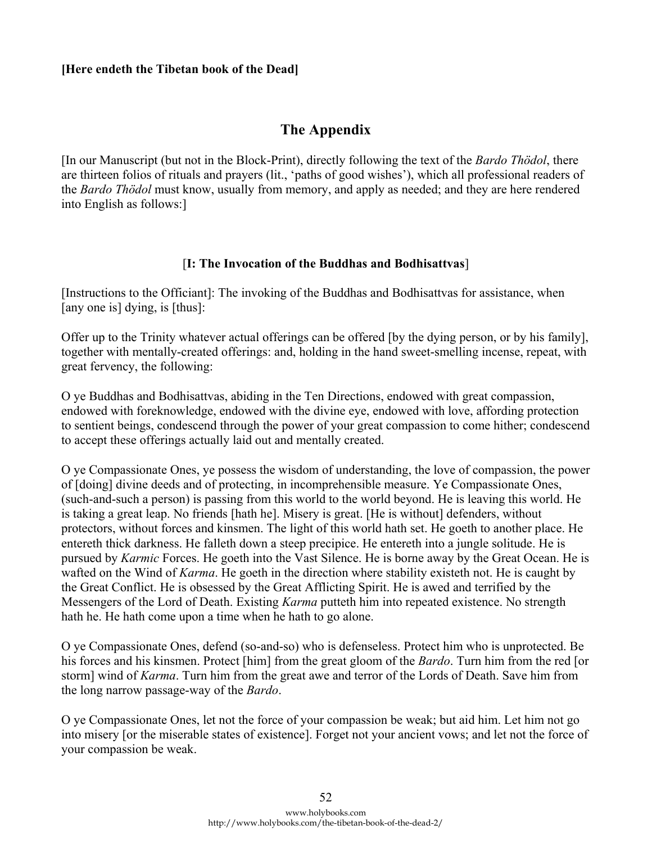### **[Here endeth the Tibetan book of the Dead]**

# **The Appendix**

[In our Manuscript (but not in the Block-Print), directly following the text of the *Bardo Thödol*, there are thirteen folios of rituals and prayers (lit., 'paths of good wishes'), which all professional readers of the *Bardo Thödol* must know, usually from memory, and apply as needed; and they are here rendered into English as follows:]

### [**I: The Invocation of the Buddhas and Bodhisattvas**]

[Instructions to the Officiant]: The invoking of the Buddhas and Bodhisattvas for assistance, when [any one is] dying, is [thus]:

Offer up to the Trinity whatever actual offerings can be offered [by the dying person, or by his family], together with mentally-created offerings: and, holding in the hand sweet-smelling incense, repeat, with great fervency, the following:

O ye Buddhas and Bodhisattvas, abiding in the Ten Directions, endowed with great compassion, endowed with foreknowledge, endowed with the divine eye, endowed with love, affording protection to sentient beings, condescend through the power of your great compassion to come hither; condescend to accept these offerings actually laid out and mentally created.

O ye Compassionate Ones, ye possess the wisdom of understanding, the love of compassion, the power of [doing] divine deeds and of protecting, in incomprehensible measure. Ye Compassionate Ones, (such-and-such a person) is passing from this world to the world beyond. He is leaving this world. He is taking a great leap. No friends [hath he]. Misery is great. [He is without] defenders, without protectors, without forces and kinsmen. The light of this world hath set. He goeth to another place. He entereth thick darkness. He falleth down a steep precipice. He entereth into a jungle solitude. He is pursued by *Karmic* Forces. He goeth into the Vast Silence. He is borne away by the Great Ocean. He is wafted on the Wind of *Karma*. He goeth in the direction where stability existeth not. He is caught by the Great Conflict. He is obsessed by the Great Afflicting Spirit. He is awed and terrified by the Messengers of the Lord of Death. Existing *Karma* putteth him into repeated existence. No strength hath he. He hath come upon a time when he hath to go alone.

O ye Compassionate Ones, defend (so-and-so) who is defenseless. Protect him who is unprotected. Be his forces and his kinsmen. Protect [him] from the great gloom of the *Bardo*. Turn him from the red [or storm] wind of *Karma*. Turn him from the great awe and terror of the Lords of Death. Save him from the long narrow passage-way of the *Bardo*.

O ye Compassionate Ones, let not the force of your compassion be weak; but aid him. Let him not go into misery [or the miserable states of existence]. Forget not your ancient vows; and let not the force of your compassion be weak.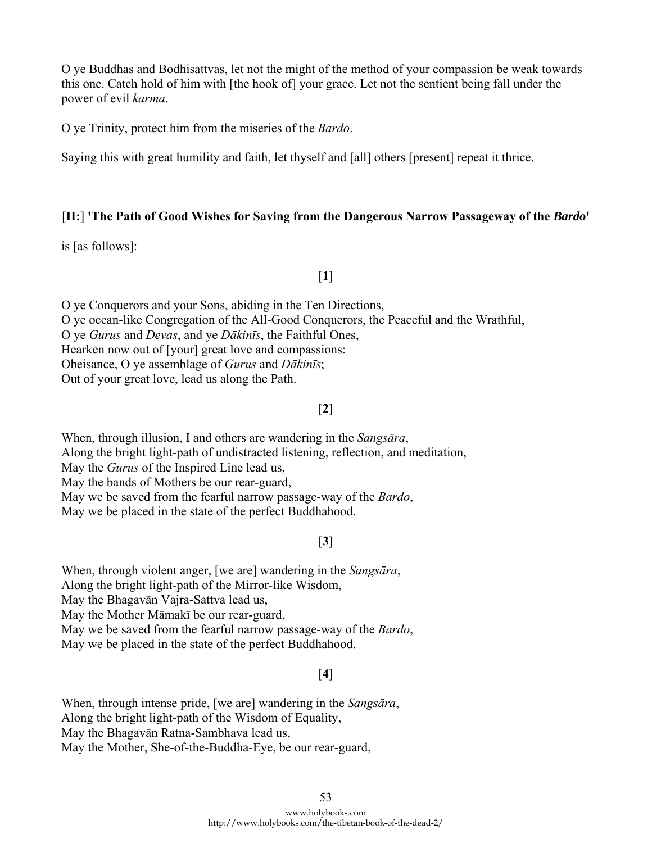O ye Buddhas and Bodhisattvas, let not the might of the method of your compassion be weak towards this one. Catch hold of him with [the hook of] your grace. Let not the sentient being fall under the power of evil *karma*.

O ye Trinity, protect him from the miseries of the *Bardo*.

Saying this with great humility and faith, let thyself and [all] others [present] repeat it thrice.

### [**II:**] **'The Path of Good Wishes for Saving from the Dangerous Narrow Passageway of the** *Bardo***'**

is [as follows]:

#### [**1**]

O ye Conquerors and your Sons, abiding in the Ten Directions, O ye ocean-like Congregation of the All-Good Conquerors, the Peaceful and the Wrathful, O ye *Gurus* and *Devas*, and ye *Dākinīs*, the Faithful Ones, Hearken now out of [your] great love and compassions: Obeisance, O ye assemblage of *Gurus* and *Dākinīs*; Out of your great love, lead us along the Path.

# [**2**]

When, through illusion, I and others are wandering in the *Sangsāra*, Along the bright light-path of undistracted listening, reflection, and meditation, May the *Gurus* of the Inspired Line lead us, May the bands of Mothers be our rear-guard, May we be saved from the fearful narrow passage-way of the *Bardo*, May we be placed in the state of the perfect Buddhahood.

### [**3**]

When, through violent anger, [we are] wandering in the *Sangsāra*, Along the bright light-path of the Mirror-like Wisdom, May the Bhagavān Vajra-Sattva lead us, May the Mother Māmakī be our rear-guard, May we be saved from the fearful narrow passage-way of the *Bardo*, May we be placed in the state of the perfect Buddhahood.

### [**4**]

When, through intense pride, [we are] wandering in the *Sangsāra*, Along the bright light-path of the Wisdom of Equality, May the Bhagavān Ratna-Sambhava lead us, May the Mother, She-of-the-Buddha-Eye, be our rear-guard,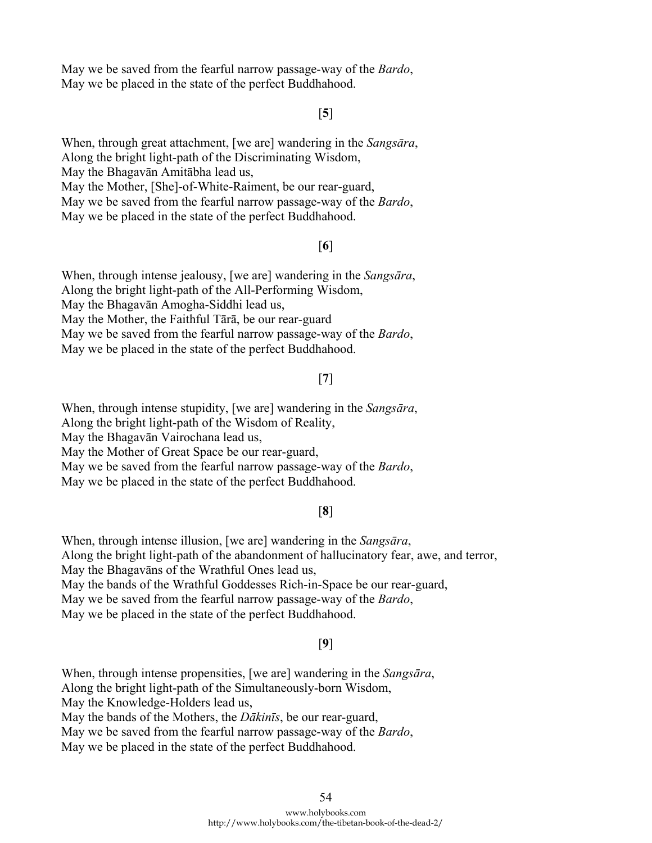May we be saved from the fearful narrow passage-way of the *Bardo*, May we be placed in the state of the perfect Buddhahood.

[**5**]

When, through great attachment, [we are] wandering in the *Sangsāra*, Along the bright light-path of the Discriminating Wisdom, May the Bhagavān Amitābha lead us, May the Mother, [She]-of-White-Raiment, be our rear-guard, May we be saved from the fearful narrow passage-way of the *Bardo*, May we be placed in the state of the perfect Buddhahood.

#### [**6**]

When, through intense jealousy, [we are] wandering in the *Sangsāra*, Along the bright light-path of the All-Performing Wisdom, May the Bhagavān Amogha-Siddhi lead us, May the Mother, the Faithful Tārā, be our rear-guard May we be saved from the fearful narrow passage-way of the *Bardo*, May we be placed in the state of the perfect Buddhahood.

#### [**7**]

When, through intense stupidity, [we are] wandering in the *Sangsāra*, Along the bright light-path of the Wisdom of Reality, May the Bhagavān Vairochana lead us, May the Mother of Great Space be our rear-guard, May we be saved from the fearful narrow passage-way of the *Bardo*, May we be placed in the state of the perfect Buddhahood.

#### [**8**]

When, through intense illusion, [we are] wandering in the *Sangsāra*, Along the bright light-path of the abandonment of hallucinatory fear, awe, and terror, May the Bhagavāns of the Wrathful Ones lead us, May the bands of the Wrathful Goddesses Rich-in-Space be our rear-guard, May we be saved from the fearful narrow passage-way of the *Bardo*, May we be placed in the state of the perfect Buddhahood.

#### [**9**]

When, through intense propensities, [we are] wandering in the *Sangsāra*, Along the bright light-path of the Simultaneously-born Wisdom, May the Knowledge-Holders lead us, May the bands of the Mothers, the *Dākinīs*, be our rear-guard, May we be saved from the fearful narrow passage-way of the *Bardo*, May we be placed in the state of the perfect Buddhahood.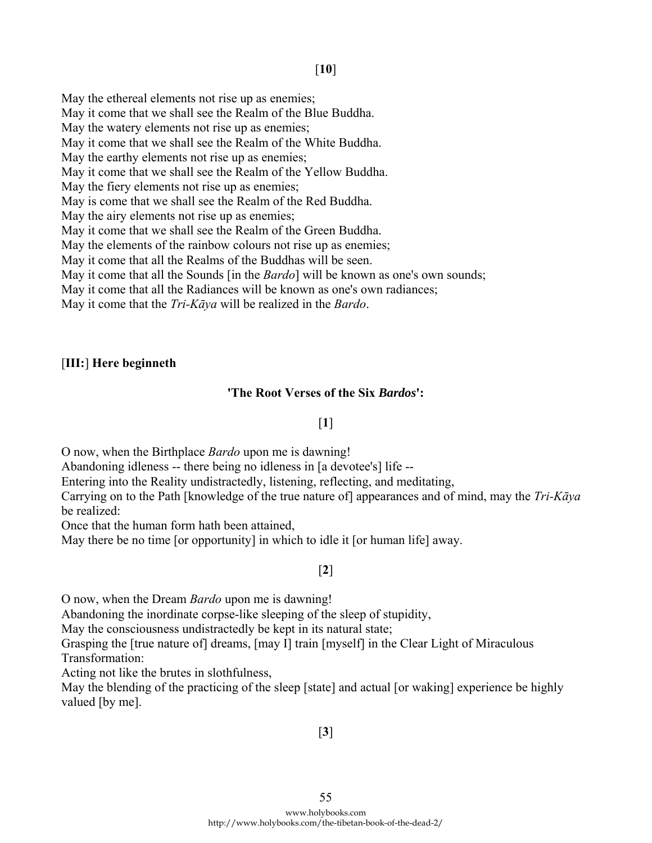May the ethereal elements not rise up as enemies; May it come that we shall see the Realm of the Blue Buddha. May the watery elements not rise up as enemies; May it come that we shall see the Realm of the White Buddha. May the earthy elements not rise up as enemies; May it come that we shall see the Realm of the Yellow Buddha. May the fiery elements not rise up as enemies; May is come that we shall see the Realm of the Red Buddha. May the airy elements not rise up as enemies; May it come that we shall see the Realm of the Green Buddha. May the elements of the rainbow colours not rise up as enemies; May it come that all the Realms of the Buddhas will be seen. May it come that all the Sounds [in the *Bardo*] will be known as one's own sounds; May it come that all the Radiances will be known as one's own radiances; May it come that the *Tri-Kāya* will be realized in the *Bardo*.

#### [**III:**] **Here beginneth**

#### **'The Root Verses of the Six** *Bardos***':**

### [**1**]

O now, when the Birthplace *Bardo* upon me is dawning!

Abandoning idleness -- there being no idleness in [a devotee's] life --

Entering into the Reality undistractedly, listening, reflecting, and meditating,

Carrying on to the Path [knowledge of the true nature of] appearances and of mind, may the *Tri-Kāya* be realized:

Once that the human form hath been attained,

May there be no time [or opportunity] in which to idle it [or human life] away.

#### [**2**]

O now, when the Dream *Bardo* upon me is dawning!

Abandoning the inordinate corpse-like sleeping of the sleep of stupidity,

May the consciousness undistractedly be kept in its natural state;

Grasping the [true nature of] dreams, [may I] train [myself] in the Clear Light of Miraculous Transformation:

Acting not like the brutes in slothfulness,

May the blending of the practicing of the sleep [state] and actual [or waking] experience be highly valued [by me].

#### [**3**]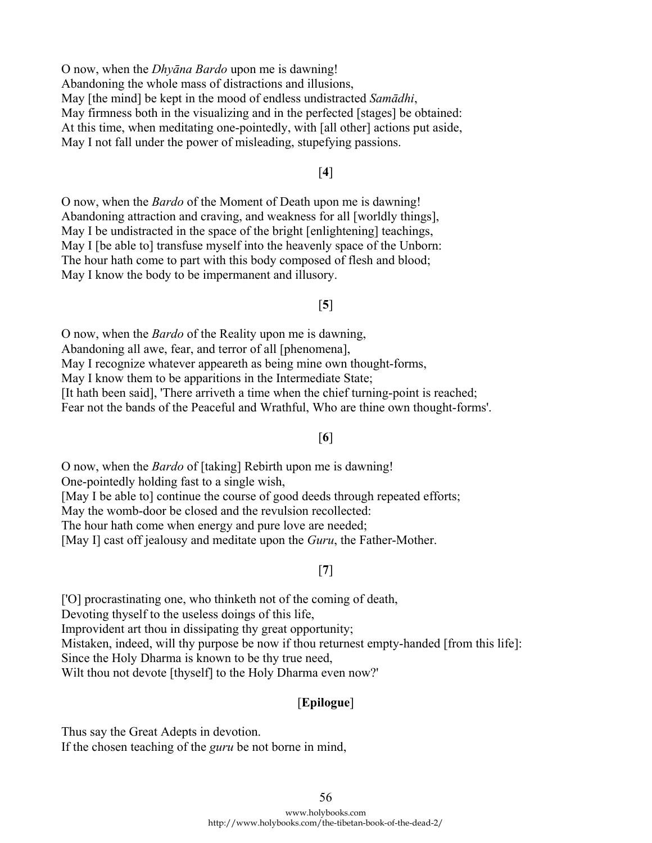O now, when the *Dhyāna Bardo* upon me is dawning! Abandoning the whole mass of distractions and illusions, May [the mind] be kept in the mood of endless undistracted *Samādhi*, May firmness both in the visualizing and in the perfected [stages] be obtained: At this time, when meditating one-pointedly, with [all other] actions put aside, May I not fall under the power of misleading, stupefying passions.

### [**4**]

O now, when the *Bardo* of the Moment of Death upon me is dawning! Abandoning attraction and craving, and weakness for all [worldly things], May I be undistracted in the space of the bright [enlightening] teachings, May I [be able to] transfuse myself into the heavenly space of the Unborn: The hour hath come to part with this body composed of flesh and blood; May I know the body to be impermanent and illusory.

#### [**5**]

O now, when the *Bardo* of the Reality upon me is dawning, Abandoning all awe, fear, and terror of all [phenomena], May I recognize whatever appeareth as being mine own thought-forms, May I know them to be apparitions in the Intermediate State; [It hath been said], 'There arriveth a time when the chief turning-point is reached; Fear not the bands of the Peaceful and Wrathful, Who are thine own thought-forms'.

#### [**6**]

O now, when the *Bardo* of [taking] Rebirth upon me is dawning! One-pointedly holding fast to a single wish, [May I be able to] continue the course of good deeds through repeated efforts; May the womb-door be closed and the revulsion recollected: The hour hath come when energy and pure love are needed; [May I] cast off jealousy and meditate upon the *Guru*, the Father-Mother.

#### [**7**]

['O] procrastinating one, who thinketh not of the coming of death, Devoting thyself to the useless doings of this life, Improvident art thou in dissipating thy great opportunity; Mistaken, indeed, will thy purpose be now if thou returnest empty-handed [from this life]: Since the Holy Dharma is known to be thy true need, Wilt thou not devote [thyself] to the Holy Dharma even now?'

### [**Epilogue**]

Thus say the Great Adepts in devotion. If the chosen teaching of the *guru* be not borne in mind,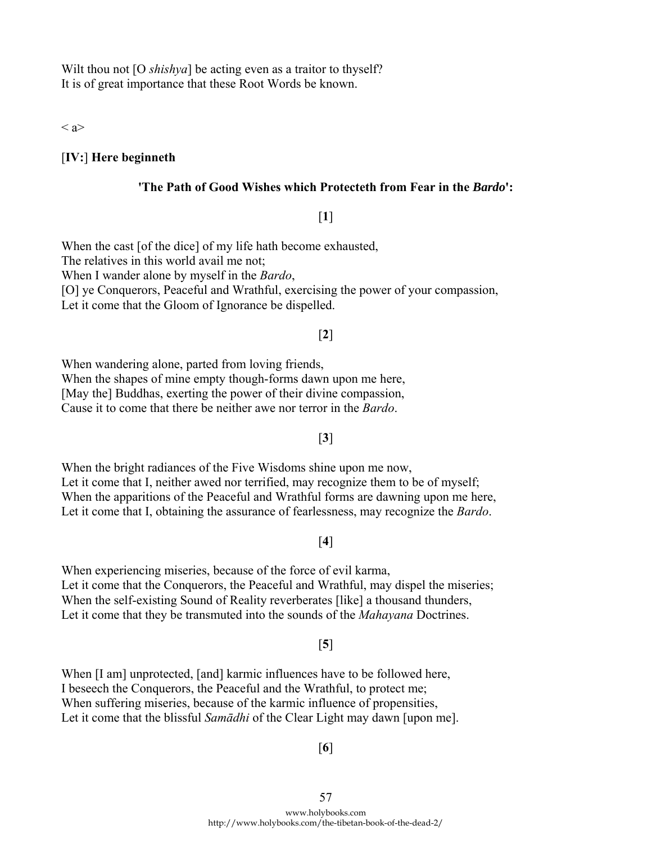Wilt thou not [O *shishya*] be acting even as a traitor to thyself? It is of great importance that these Root Words be known.

 $\langle a \rangle$ 

#### [**IV:**] **Here beginneth**

#### **'The Path of Good Wishes which Protecteth from Fear in the** *Bardo***':**

#### [**1**]

When the cast [of the dice] of my life hath become exhausted, The relatives in this world avail me not; When I wander alone by myself in the *Bardo*, [O] ye Conquerors, Peaceful and Wrathful, exercising the power of your compassion, Let it come that the Gloom of Ignorance be dispelled.

#### [**2**]

When wandering alone, parted from loving friends, When the shapes of mine empty though-forms dawn upon me here, [May the] Buddhas, exerting the power of their divine compassion, Cause it to come that there be neither awe nor terror in the *Bardo*.

#### [**3**]

When the bright radiances of the Five Wisdoms shine upon me now, Let it come that I, neither awed nor terrified, may recognize them to be of myself; When the apparitions of the Peaceful and Wrathful forms are dawning upon me here, Let it come that I, obtaining the assurance of fearlessness, may recognize the *Bardo*.

#### [**4**]

When experiencing miseries, because of the force of evil karma, Let it come that the Conquerors, the Peaceful and Wrathful, may dispel the miseries; When the self-existing Sound of Reality reverberates [like] a thousand thunders, Let it come that they be transmuted into the sounds of the *Mahayana* Doctrines.

#### [**5**]

When [I am] unprotected, [and] karmic influences have to be followed here, I beseech the Conquerors, the Peaceful and the Wrathful, to protect me; When suffering miseries, because of the karmic influence of propensities, Let it come that the blissful *Samādhi* of the Clear Light may dawn [upon me].

#### [**6**]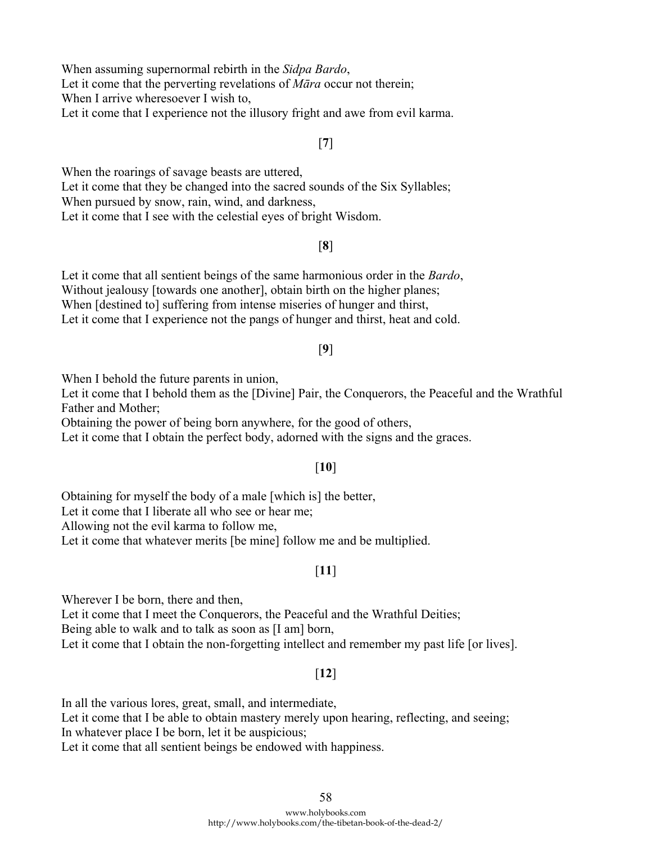When assuming supernormal rebirth in the *Sidpa Bardo*, Let it come that the perverting revelations of *Māra* occur not therein; When I arrive wheresoever I wish to, Let it come that I experience not the illusory fright and awe from evil karma.

#### [**7**]

When the roarings of savage beasts are uttered, Let it come that they be changed into the sacred sounds of the Six Syllables; When pursued by snow, rain, wind, and darkness, Let it come that I see with the celestial eyes of bright Wisdom.

### [**8**]

Let it come that all sentient beings of the same harmonious order in the *Bardo*, Without jealousy [towards one another], obtain birth on the higher planes; When [destined to] suffering from intense miseries of hunger and thirst, Let it come that I experience not the pangs of hunger and thirst, heat and cold.

#### [**9**]

When I behold the future parents in union,

Let it come that I behold them as the [Divine] Pair, the Conquerors, the Peaceful and the Wrathful Father and Mother;

Obtaining the power of being born anywhere, for the good of others,

Let it come that I obtain the perfect body, adorned with the signs and the graces.

#### [**10**]

Obtaining for myself the body of a male [which is] the better, Let it come that I liberate all who see or hear me;

Allowing not the evil karma to follow me,

Let it come that whatever merits [be mine] follow me and be multiplied.

#### [**11**]

Wherever I be born, there and then,

Let it come that I meet the Conquerors, the Peaceful and the Wrathful Deities;

Being able to walk and to talk as soon as [I am] born,

Let it come that I obtain the non-forgetting intellect and remember my past life [or lives].

#### [**12**]

In all the various lores, great, small, and intermediate, Let it come that I be able to obtain mastery merely upon hearing, reflecting, and seeing; In whatever place I be born, let it be auspicious; Let it come that all sentient beings be endowed with happiness.